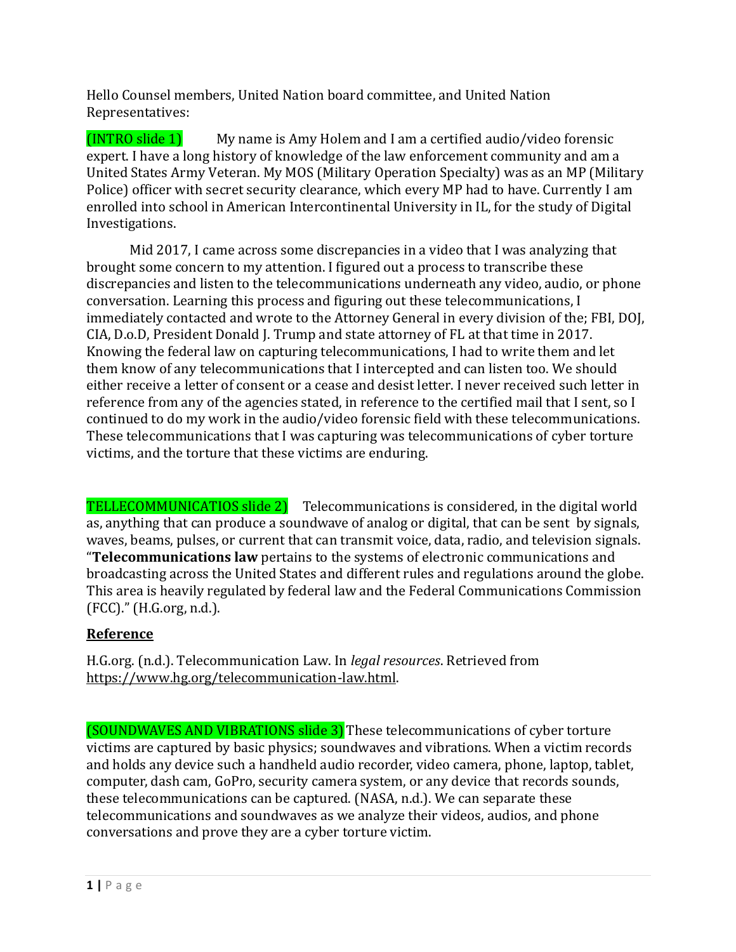Hello Counsel members, United Nation board committee, and United Nation Representatives:

(INTRO slide 1) My name is Amy Holem and I am a certified audio/video forensic expert. I have a long history of knowledge of the law enforcement community and am a United States Army Veteran. My MOS (Military Operation Specialty) was as an MP (Military Police) officer with secret security clearance, which every MP had to have. Currently I am enrolled into school in American Intercontinental University in IL, for the study of Digital Investigations.

Mid 2017, I came across some discrepancies in a video that I was analyzing that brought some concern to my attention. I figured out a process to transcribe these discrepancies and listen to the telecommunications underneath any video, audio, or phone conversation. Learning this process and figuring out these telecommunications, I immediately contacted and wrote to the Attorney General in every division of the; FBI, DOJ, CIA, D.o.D, President Donald J. Trump and state attorney of FL at that time in 2017. Knowing the federal law on capturing telecommunications, I had to write them and let them know of any telecommunications that I intercepted and can listen too. We should either receive a letter of consent or a cease and desist letter. I never received such letter in reference from any of the agencies stated, in reference to the certified mail that I sent, so I continued to do my work in the audio/video forensic field with these telecommunications. These telecommunications that I was capturing was telecommunications of cyber torture victims, and the torture that these victims are enduring.

TELLECOMMUNICATIOS slide 2) Telecommunications is considered, in the digital world as, anything that can produce a soundwave of analog or digital, that can be sent by signals, waves, beams, pulses, or current that can transmit voice, data, radio, and television signals. "**Telecommunications law** pertains to the systems of electronic communications and broadcasting across the United States and different rules and regulations around the globe. This area is heavily regulated by federal law and the Federal Communications Commission (FCC)." (H.G.org, n.d.).

# **Reference**

H.G.org. (n.d.). Telecommunication Law. In *legal resources*. Retrieved from [https://www.hg.org/telecommunication-law.html.](https://www.hg.org/telecommunication-law.html)

(SOUNDWAVES AND VIBRATIONS slide 3)These telecommunications of cyber torture victims are captured by basic physics; soundwaves and vibrations. When a victim records and holds any device such a handheld audio recorder, video camera, phone, laptop, tablet, computer, dash cam, GoPro, security camera system, or any device that records sounds, these telecommunications can be captured. (NASA, n.d.). We can separate these telecommunications and soundwaves as we analyze their videos, audios, and phone conversations and prove they are a cyber torture victim.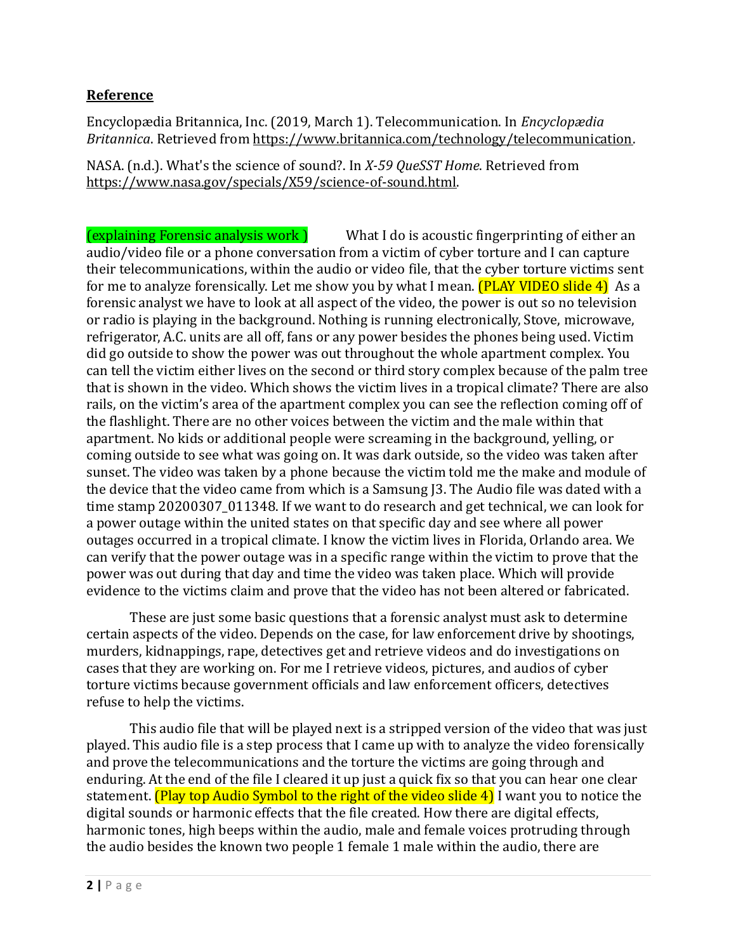### **Reference**

Encyclopædia Britannica, Inc. (2019, March 1). Telecommunication. In *Encyclopædia Britannica*. Retrieved from [https://www.britannica.com/technology/telecommunication.](https://www.britannica.com/technology/telecommunication)

NASA. (n.d.). What's the science of sound?. In *X-59 QueSST Home*. Retrieved from [https://www.nasa.gov/specials/X59/science-of-sound.html.](https://www.nasa.gov/specials/X59/science-of-sound.html)

(explaining Forensic analysis work ) What I do is acoustic fingerprinting of either an audio/video file or a phone conversation from a victim of cyber torture and I can capture their telecommunications, within the audio or video file, that the cyber torture victims sent for me to analyze forensically. Let me show you by what I mean. **(PLAY VIDEO slide 4)** As a forensic analyst we have to look at all aspect of the video, the power is out so no television or radio is playing in the background. Nothing is running electronically, Stove, microwave, refrigerator, A.C. units are all off, fans or any power besides the phones being used. Victim did go outside to show the power was out throughout the whole apartment complex. You can tell the victim either lives on the second or third story complex because of the palm tree that is shown in the video. Which shows the victim lives in a tropical climate? There are also rails, on the victim's area of the apartment complex you can see the reflection coming off of the flashlight. There are no other voices between the victim and the male within that apartment. No kids or additional people were screaming in the background, yelling, or coming outside to see what was going on. It was dark outside, so the video was taken after sunset. The video was taken by a phone because the victim told me the make and module of the device that the video came from which is a Samsung J3. The Audio file was dated with a time stamp 20200307 011348. If we want to do research and get technical, we can look for a power outage within the united states on that specific day and see where all power outages occurred in a tropical climate. I know the victim lives in Florida, Orlando area. We can verify that the power outage was in a specific range within the victim to prove that the power was out during that day and time the video was taken place. Which will provide evidence to the victims claim and prove that the video has not been altered or fabricated.

These are just some basic questions that a forensic analyst must ask to determine certain aspects of the video. Depends on the case, for law enforcement drive by shootings, murders, kidnappings, rape, detectives get and retrieve videos and do investigations on cases that they are working on. For me I retrieve videos, pictures, and audios of cyber torture victims because government officials and law enforcement officers, detectives refuse to help the victims.

This audio file that will be played next is a stripped version of the video that was just played. This audio file is a step process that I came up with to analyze the video forensically and prove the telecommunications and the torture the victims are going through and enduring. At the end of the file I cleared it up just a quick fix so that you can hear one clear statement. **(Play top Audio Symbol to the right of the video slide 4)** I want you to notice the digital sounds or harmonic effects that the file created. How there are digital effects, harmonic tones, high beeps within the audio, male and female voices protruding through the audio besides the known two people 1 female 1 male within the audio, there are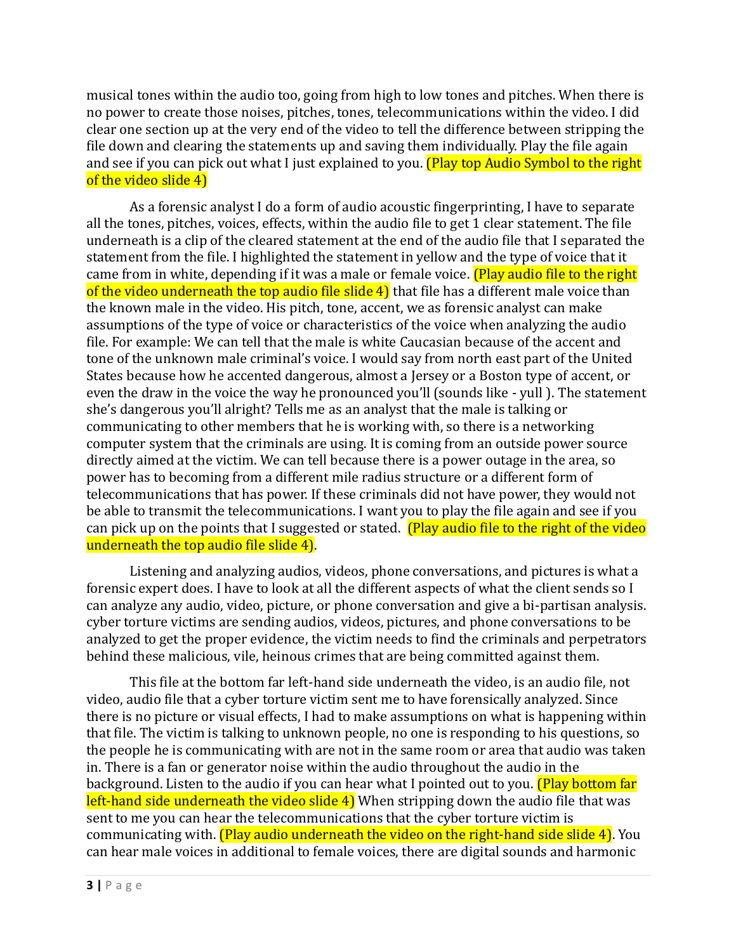musical tones within the audio too, going from high to low tones and pitches. When there is no power to create those noises, pitches, tones, telecommunications within the video. I did clear one section up at the very end of the video to tell the difference between stripping the file down and clearing the statements up and saving them individually. Play the file again and see if you can pick out what I just explained to you. (Play top Audio Symbol to the right of the video slide 4)

As a forensic analyst I do a form of audio acoustic fingerprinting, I have to separate all the tones, pitches, voices, effects, within the audio file to get 1 clear statement. The file underneath is a clip of the cleared statement at the end of the audio file that I separated the statement from the file. I highlighted the statement in yellow and the type of voice that it came from in white, depending if it was a male or female voice. (Play audio file to the right of the video underneath the top audio file slide  $4$ ) that file has a different male voice than the known male in the video. His pitch, tone, accent, we as forensic analyst can make assumptions of the type of voice or characteristics of the voice when analyzing the audio file. For example: We can tell that the male is white Caucasian because of the accent and tone of the unknown male criminal's voice. I would say from north east part of the United States because how he accented dangerous, almost a Jersey or a Boston type of accent, or even the draw in the voice the way he pronounced you'll (sounds like - yull ). The statement she's dangerous you'll alright? Tells me as an analyst that the male is talking or communicating to other members that he is working with, so there is a networking computer system that the criminals are using. It is coming from an outside power source directly aimed at the victim. We can tell because there is a power outage in the area, so power has to becoming from a different mile radius structure or a different form of telecommunications that has power. If these criminals did not have power, they would not be able to transmit the telecommunications. I want you to play the file again and see if you can pick up on the points that I suggested or stated. (Play audio file to the right of the video underneath the top audio file slide 4).

Listening and analyzing audios, videos, phone conversations, and pictures is what a forensic expert does. I have to look at all the different aspects of what the client sends so I can analyze any audio, video, picture, or phone conversation and give a bi-partisan analysis. cyber torture victims are sending audios, videos, pictures, and phone conversations to be analyzed to get the proper evidence, the victim needs to find the criminals and perpetrators behind these malicious, vile, heinous crimes that are being committed against them.

This file at the bottom far left-hand side underneath the video, is an audio file, not video, audio file that a cyber torture victim sent me to have forensically analyzed. Since there is no picture or visual effects, I had to make assumptions on what is happening within that file. The victim is talking to unknown people, no one is responding to his questions, so the people he is communicating with are not in the same room or area that audio was taken in. There is a fan or generator noise within the audio throughout the audio in the background. Listen to the audio if you can hear what I pointed out to you. **(Play bottom far** left-hand side underneath the video slide 4) When stripping down the audio file that was sent to me you can hear the telecommunications that the cyber torture victim is communicating with. **(Play audio underneath the video on the right-hand side slide 4)**. You can hear male voices in additional to female voices, there are digital sounds and harmonic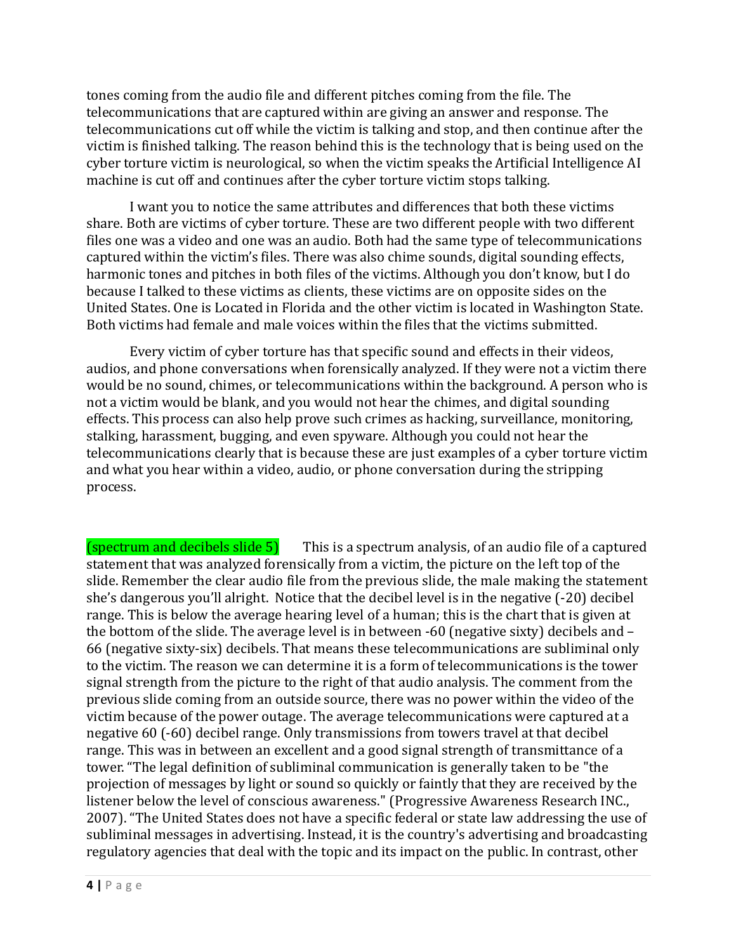tones coming from the audio file and different pitches coming from the file. The telecommunications that are captured within are giving an answer and response. The telecommunications cut off while the victim is talking and stop, and then continue after the victim is finished talking. The reason behind this is the technology that is being used on the cyber torture victim is neurological, so when the victim speaks the Artificial Intelligence AI machine is cut off and continues after the cyber torture victim stops talking.

I want you to notice the same attributes and differences that both these victims share. Both are victims of cyber torture. These are two different people with two different files one was a video and one was an audio. Both had the same type of telecommunications captured within the victim's files. There was also chime sounds, digital sounding effects, harmonic tones and pitches in both files of the victims. Although you don't know, but I do because I talked to these victims as clients, these victims are on opposite sides on the United States. One is Located in Florida and the other victim is located in Washington State. Both victims had female and male voices within the files that the victims submitted.

Every victim of cyber torture has that specific sound and effects in their videos, audios, and phone conversations when forensically analyzed. If they were not a victim there would be no sound, chimes, or telecommunications within the background. A person who is not a victim would be blank, and you would not hear the chimes, and digital sounding effects. This process can also help prove such crimes as hacking, surveillance, monitoring, stalking, harassment, bugging, and even spyware. Although you could not hear the telecommunications clearly that is because these are just examples of a cyber torture victim and what you hear within a video, audio, or phone conversation during the stripping process.

 $(s$  pectrum and decibels slide 5) This is a spectrum analysis, of an audio file of a captured statement that was analyzed forensically from a victim, the picture on the left top of the slide. Remember the clear audio file from the previous slide, the male making the statement she's dangerous you'll alright. Notice that the decibel level is in the negative (-20) decibel range. This is below the average hearing level of a human; this is the chart that is given at the bottom of the slide. The average level is in between -60 (negative sixty) decibels and – 66 (negative sixty-six) decibels. That means these telecommunications are subliminal only to the victim. The reason we can determine it is a form of telecommunications is the tower signal strength from the picture to the right of that audio analysis. The comment from the previous slide coming from an outside source, there was no power within the video of the victim because of the power outage. The average telecommunications were captured at a negative 60 (-60) decibel range. Only transmissions from towers travel at that decibel range. This was in between an excellent and a good signal strength of transmittance of a tower. "The legal definition of subliminal communication is generally taken to be "the projection of messages by light or sound so quickly or faintly that they are received by the listener below the level of conscious awareness." (Progressive Awareness Research INC., 2007). "The United States does not have a specific federal or state law addressing the use of subliminal messages in advertising. Instead, it is the country's advertising and broadcasting regulatory agencies that deal with the topic and its impact on the public. In contrast, other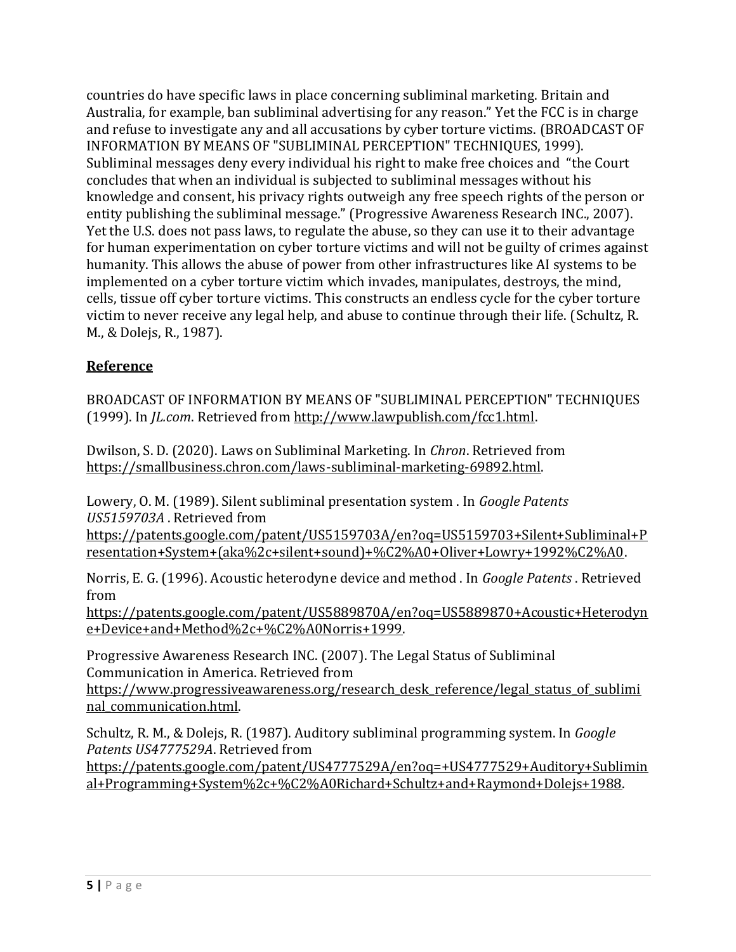countries do have specific laws in place concerning subliminal marketing. Britain and Australia, for example, ban subliminal advertising for any reason." Yet the FCC is in charge and refuse to investigate any and all accusations by cyber torture victims. (BROADCAST OF INFORMATION BY MEANS OF "SUBLIMINAL PERCEPTION" TECHNIQUES, 1999). Subliminal messages deny every individual his right to make free choices and "the Court concludes that when an individual is subjected to subliminal messages without his knowledge and consent, his privacy rights outweigh any free speech rights of the person or entity publishing the subliminal message." (Progressive Awareness Research INC., 2007). Yet the U.S. does not pass laws, to regulate the abuse, so they can use it to their advantage for human experimentation on cyber torture victims and will not be guilty of crimes against humanity. This allows the abuse of power from other infrastructures like AI systems to be implemented on a cyber torture victim which invades, manipulates, destroys, the mind, cells, tissue off cyber torture victims. This constructs an endless cycle for the cyber torture victim to never receive any legal help, and abuse to continue through their life. (Schultz, R. M., & Dolejs, R., 1987).

# **Reference**

BROADCAST OF INFORMATION BY MEANS OF "SUBLIMINAL PERCEPTION" TECHNIQUES (1999). In *JL.com*. Retrieved from [http://www.lawpublish.com/fcc1.html.](http://www.lawpublish.com/fcc1.html)

Dwilson, S. D. (2020). Laws on Subliminal Marketing. In *Chron*. Retrieved from [https://smallbusiness.chron.com/laws-subliminal-marketing-69892.html.](https://smallbusiness.chron.com/laws-subliminal-marketing-69892.html)

Lowery, O. M. (1989). Silent subliminal presentation system . In *Google Patents US5159703A* . Retrieved from

[https://patents.google.com/patent/US5159703A/en?oq=US5159703+Silent+Subliminal+P](https://patents.google.com/patent/US5159703A/en?oq=US5159703+Silent+Subliminal+Presentation+System+(aka%2c+silent+sound)+%C2%A0+Oliver+Lowry+1992%C2%A0) [resentation+System+\(aka%2c+silent+sound\)+%C2%A0+Oliver+Lowry+1992%C2%A0.](https://patents.google.com/patent/US5159703A/en?oq=US5159703+Silent+Subliminal+Presentation+System+(aka%2c+silent+sound)+%C2%A0+Oliver+Lowry+1992%C2%A0) 

Norris, E. G. (1996). Acoustic heterodyne device and method . In *Google Patents* . Retrieved from

[https://patents.google.com/patent/US5889870A/en?oq=US5889870+Acoustic+Heterodyn](https://patents.google.com/patent/US5889870A/en?oq=US5889870+Acoustic+Heterodyne+Device+and+Method%2c+%C2%A0Norris+1999) [e+Device+and+Method%2c+%C2%A0Norris+1999.](https://patents.google.com/patent/US5889870A/en?oq=US5889870+Acoustic+Heterodyne+Device+and+Method%2c+%C2%A0Norris+1999)

Progressive Awareness Research INC. (2007). The Legal Status of Subliminal Communication in America. Retrieved from

[https://www.progressiveawareness.org/research\\_desk\\_reference/legal\\_status\\_of\\_sublimi](https://www.progressiveawareness.org/research_desk_reference/legal_status_of_subliminal_communication.html) nal communication.html.

Schultz, R. M., & Dolejs, R. (1987). Auditory subliminal programming system. In *Google Patents US4777529A*. Retrieved from

[https://patents.google.com/patent/US4777529A/en?oq=+US4777529+Auditory+Sublimin](https://patents.google.com/patent/US4777529A/en?oq=+US4777529+Auditory+Subliminal+Programming+System%2c+%C2%A0Richard+Schultz+and+Raymond+Dolejs+1988) [al+Programming+System%2c+%C2%A0Richard+Schultz+and+Raymond+Dolejs+1988.](https://patents.google.com/patent/US4777529A/en?oq=+US4777529+Auditory+Subliminal+Programming+System%2c+%C2%A0Richard+Schultz+and+Raymond+Dolejs+1988)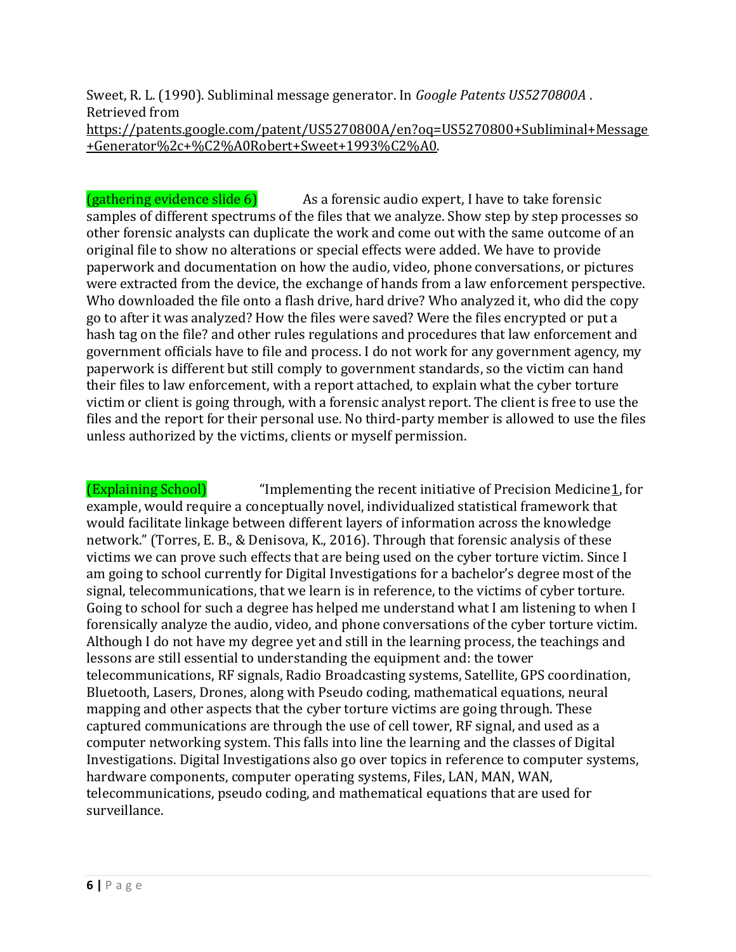Sweet, R. L. (1990). Subliminal message generator. In *Google Patents US5270800A* . Retrieved from

[https://patents.google.com/patent/US5270800A/en?oq=US5270800+Subliminal+Message](https://patents.google.com/patent/US5270800A/en?oq=US5270800+Subliminal+Message+Generator%2c+%C2%A0Robert+Sweet+1993%C2%A0) [+Generator%2c+%C2%A0Robert+Sweet+1993%C2%A0.](https://patents.google.com/patent/US5270800A/en?oq=US5270800+Subliminal+Message+Generator%2c+%C2%A0Robert+Sweet+1993%C2%A0)

 $(gathering evidence slide 6)$  As a forensic audio expert, I have to take forensic samples of different spectrums of the files that we analyze. Show step by step processes so other forensic analysts can duplicate the work and come out with the same outcome of an original file to show no alterations or special effects were added. We have to provide paperwork and documentation on how the audio, video, phone conversations, or pictures were extracted from the device, the exchange of hands from a law enforcement perspective. Who downloaded the file onto a flash drive, hard drive? Who analyzed it, who did the copy go to after it was analyzed? How the files were saved? Were the files encrypted or put a hash tag on the file? and other rules regulations and procedures that law enforcement and government officials have to file and process. I do not work for any government agency, my paperwork is different but still comply to government standards, so the victim can hand their files to law enforcement, with a report attached, to explain what the cyber torture victim or client is going through, with a forensic analyst report. The client is free to use the files and the report for their personal use. No third-party member is allowed to use the files unless authorized by the victims, clients or myself permission.

(Explaining School) "Implementing the recent initiative of Precision Medicine[1,](https://www.nature.com/articles/srep37422#ref-CR1) for example, would require a conceptually novel, individualized statistical framework that would facilitate linkage between different layers of information across the knowledge network." (Torres, E. B., & Denisova, K., 2016). Through that forensic analysis of these victims we can prove such effects that are being used on the cyber torture victim. Since I am going to school currently for Digital Investigations for a bachelor's degree most of the signal, telecommunications, that we learn is in reference, to the victims of cyber torture. Going to school for such a degree has helped me understand what I am listening to when I forensically analyze the audio, video, and phone conversations of the cyber torture victim. Although I do not have my degree yet and still in the learning process, the teachings and lessons are still essential to understanding the equipment and: the tower telecommunications, RF signals, Radio Broadcasting systems, Satellite, GPS coordination, Bluetooth, Lasers, Drones, along with Pseudo coding, mathematical equations, neural mapping and other aspects that the cyber torture victims are going through. These captured communications are through the use of cell tower, RF signal, and used as a computer networking system. This falls into line the learning and the classes of Digital Investigations. Digital Investigations also go over topics in reference to computer systems, hardware components, computer operating systems, Files, LAN, MAN, WAN, telecommunications, pseudo coding, and mathematical equations that are used for surveillance.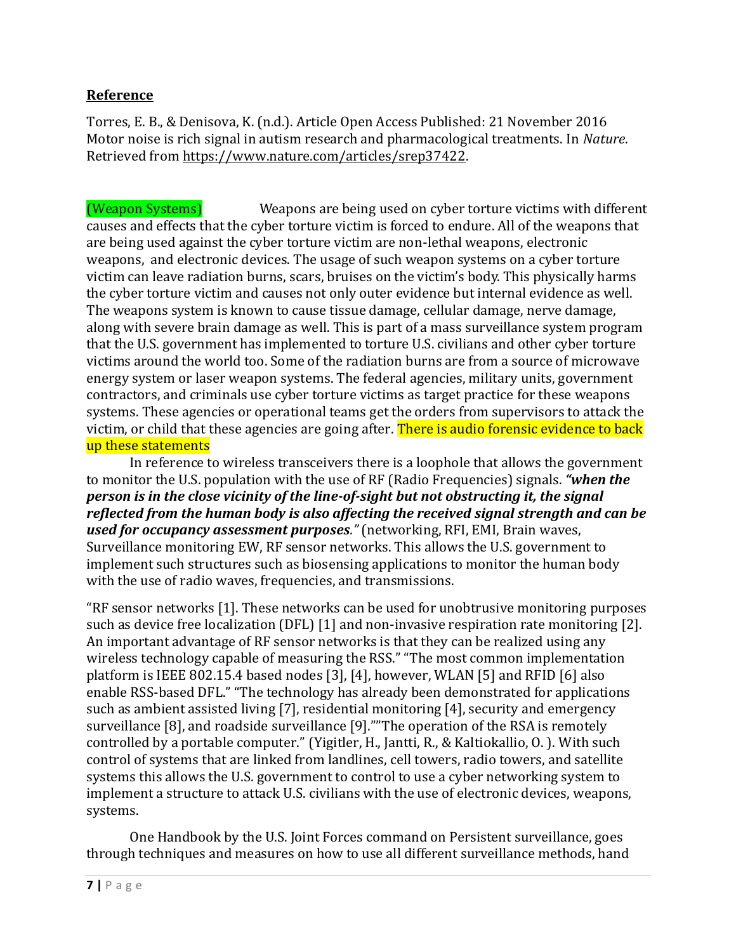## **Reference**

Torres, E. B., & Denisova, K. (n.d.). Article Open Access Published: 21 November 2016 Motor noise is rich signal in autism research and pharmacological treatments. In *Nature*. Retrieved from [https://www.nature.com/articles/srep37422.](https://www.nature.com/articles/srep37422)

(Weapon Systems) Weapons are being used on cyber torture victims with different causes and effects that the cyber torture victim is forced to endure. All of the weapons that are being used against the cyber torture victim are non-lethal weapons, electronic weapons, and electronic devices. The usage of such weapon systems on a cyber torture victim can leave radiation burns, scars, bruises on the victim's body. This physically harms the cyber torture victim and causes not only outer evidence but internal evidence as well. The weapons system is known to cause tissue damage, cellular damage, nerve damage, along with severe brain damage as well. This is part of a mass surveillance system program that the U.S. government has implemented to torture U.S. civilians and other cyber torture victims around the world too. Some of the radiation burns are from a source of microwave energy system or laser weapon systems. The federal agencies, military units, government contractors, and criminals use cyber torture victims as target practice for these weapons systems. These agencies or operational teams get the orders from supervisors to attack the victim, or child that these agencies are going after. There is audio forensic evidence to back up these statements

In reference to wireless transceivers there is a loophole that allows the government to monitor the U.S. population with the use of RF (Radio Frequencies) signals. *"when the person is in the close vicinity of the line-of-sight but not obstructing it, the signal reflected from the human body is also affecting the received signal strength and can be used for occupancy assessment purposes."* (networking, RFI, EMI, Brain waves, Surveillance monitoring EW, RF sensor networks. This allows the U.S. government to implement such structures such as biosensing applications to monitor the human body with the use of radio waves, frequencies, and transmissions.

"RF sensor networks [1]. These networks can be used for unobtrusive monitoring purposes such as device free localization (DFL) [1] and non-invasive respiration rate monitoring [2]. An important advantage of RF sensor networks is that they can be realized using any wireless technology capable of measuring the RSS." "The most common implementation platform is IEEE 802.15.4 based nodes [3], [4], however, WLAN [5] and RFID [6] also enable RSS-based DFL." "The technology has already been demonstrated for applications such as ambient assisted living [7], residential monitoring [4], security and emergency surveillance [8], and roadside surveillance [9].""The operation of the RSA is remotely controlled by a portable computer." (Yigitler, H., Jantti, R., & Kaltiokallio, O. ). With such control of systems that are linked from landlines, cell towers, radio towers, and satellite systems this allows the U.S. government to control to use a cyber networking system to implement a structure to attack U.S. civilians with the use of electronic devices, weapons, systems.

One Handbook by the U.S. Joint Forces command on Persistent surveillance, goes through techniques and measures on how to use all different surveillance methods, hand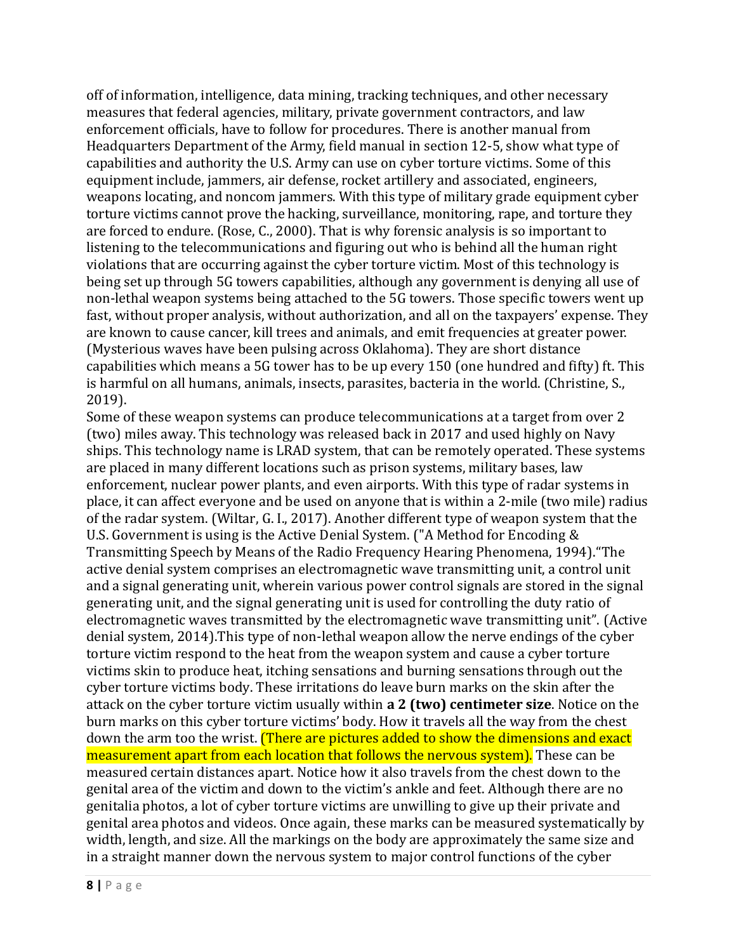off of information, intelligence, data mining, tracking techniques, and other necessary measures that federal agencies, military, private government contractors, and law enforcement officials, have to follow for procedures. There is another manual from Headquarters Department of the Army, field manual in section 12-5, show what type of capabilities and authority the U.S. Army can use on cyber torture victims. Some of this equipment include, jammers, air defense, rocket artillery and associated, engineers, weapons locating, and noncom jammers. With this type of military grade equipment cyber torture victims cannot prove the hacking, surveillance, monitoring, rape, and torture they are forced to endure. (Rose, C., 2000). That is why forensic analysis is so important to listening to the telecommunications and figuring out who is behind all the human right violations that are occurring against the cyber torture victim. Most of this technology is being set up through 5G towers capabilities, although any government is denying all use of non-lethal weapon systems being attached to the 5G towers. Those specific towers went up fast, without proper analysis, without authorization, and all on the taxpayers' expense. They are known to cause cancer, kill trees and animals, and emit frequencies at greater power. (Mysterious waves have been pulsing across Oklahoma). They are short distance capabilities which means a 5G tower has to be up every 150 (one hundred and fifty) ft. This is harmful on all humans, animals, insects, parasites, bacteria in the world. (Christine, S., 2019).

Some of these weapon systems can produce telecommunications at a target from over 2 (two) miles away. This technology was released back in 2017 and used highly on Navy ships. This technology name is LRAD system, that can be remotely operated. These systems are placed in many different locations such as prison systems, military bases, law enforcement, nuclear power plants, and even airports. With this type of radar systems in place, it can affect everyone and be used on anyone that is within a 2-mile (two mile) radius of the radar system. (Wiltar, G. I., 2017). Another different type of weapon system that the U.S. Government is using is the Active Denial System. ("A Method for Encoding & Transmitting Speech by Means of the Radio Frequency Hearing Phenomena, 1994)."The active denial system comprises an electromagnetic wave transmitting unit, a control unit and a signal generating unit, wherein various power control signals are stored in the signal generating unit, and the signal generating unit is used for controlling the duty ratio of electromagnetic waves transmitted by the electromagnetic wave transmitting unit". (Active denial system, 2014).This type of non-lethal weapon allow the nerve endings of the cyber torture victim respond to the heat from the weapon system and cause a cyber torture victims skin to produce heat, itching sensations and burning sensations through out the cyber torture victims body. These irritations do leave burn marks on the skin after the attack on the cyber torture victim usually within **a 2 (two) centimeter size**. Notice on the burn marks on this cyber torture victims' body. How it travels all the way from the chest down the arm too the wrist. **(There are pictures added to show the dimensions and exact** measurement apart from each location that follows the nervous system). These can be measured certain distances apart. Notice how it also travels from the chest down to the genital area of the victim and down to the victim's ankle and feet. Although there are no genitalia photos, a lot of cyber torture victims are unwilling to give up their private and genital area photos and videos. Once again, these marks can be measured systematically by width, length, and size. All the markings on the body are approximately the same size and in a straight manner down the nervous system to major control functions of the cyber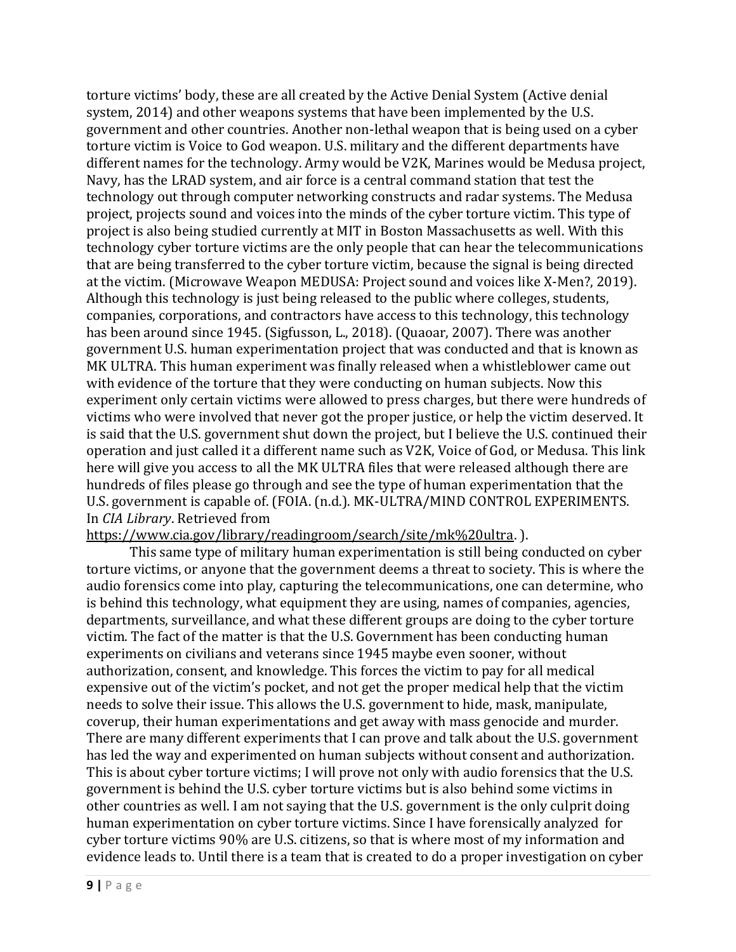torture victims' body, these are all created by the Active Denial System (Active denial system, 2014) and other weapons systems that have been implemented by the U.S. government and other countries. Another non-lethal weapon that is being used on a cyber torture victim is Voice to God weapon. U.S. military and the different departments have different names for the technology. Army would be V2K, Marines would be Medusa project, Navy, has the LRAD system, and air force is a central command station that test the technology out through computer networking constructs and radar systems. The Medusa project, projects sound and voices into the minds of the cyber torture victim. This type of project is also being studied currently at MIT in Boston Massachusetts as well. With this technology cyber torture victims are the only people that can hear the telecommunications that are being transferred to the cyber torture victim, because the signal is being directed at the victim. (Microwave Weapon MEDUSA: Project sound and voices like X-Men?, 2019). Although this technology is just being released to the public where colleges, students, companies, corporations, and contractors have access to this technology, this technology has been around since 1945. (Sigfusson, L., 2018). (Quaoar, 2007). There was another government U.S. human experimentation project that was conducted and that is known as MK ULTRA. This human experiment was finally released when a whistleblower came out with evidence of the torture that they were conducting on human subjects. Now this experiment only certain victims were allowed to press charges, but there were hundreds of victims who were involved that never got the proper justice, or help the victim deserved. It is said that the U.S. government shut down the project, but I believe the U.S. continued their operation and just called it a different name such as V2K, Voice of God, or Medusa. This link here will give you access to all the MK ULTRA files that were released although there are hundreds of files please go through and see the type of human experimentation that the U.S. government is capable of. (FOIA. (n.d.). MK-ULTRA/MIND CONTROL EXPERIMENTS. In *CIA Library*. Retrieved from

#### [https://www.cia.gov/library/readingroom/search/site/mk%20ultra.](https://www.cia.gov/library/readingroom/search/site/mk%20ultra) ).

This same type of military human experimentation is still being conducted on cyber torture victims, or anyone that the government deems a threat to society. This is where the audio forensics come into play, capturing the telecommunications, one can determine, who is behind this technology, what equipment they are using, names of companies, agencies, departments, surveillance, and what these different groups are doing to the cyber torture victim. The fact of the matter is that the U.S. Government has been conducting human experiments on civilians and veterans since 1945 maybe even sooner, without authorization, consent, and knowledge. This forces the victim to pay for all medical expensive out of the victim's pocket, and not get the proper medical help that the victim needs to solve their issue. This allows the U.S. government to hide, mask, manipulate, coverup, their human experimentations and get away with mass genocide and murder. There are many different experiments that I can prove and talk about the U.S. government has led the way and experimented on human subjects without consent and authorization. This is about cyber torture victims; I will prove not only with audio forensics that the U.S. government is behind the U.S. cyber torture victims but is also behind some victims in other countries as well. I am not saying that the U.S. government is the only culprit doing human experimentation on cyber torture victims. Since I have forensically analyzed for cyber torture victims 90% are U.S. citizens, so that is where most of my information and evidence leads to. Until there is a team that is created to do a proper investigation on cyber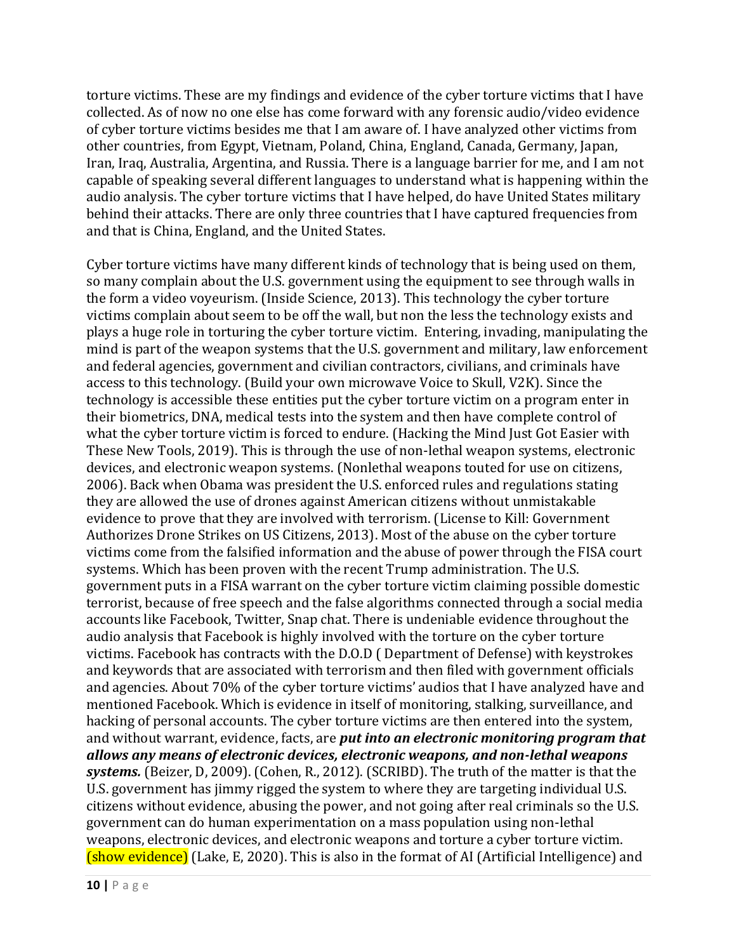torture victims. These are my findings and evidence of the cyber torture victims that I have collected. As of now no one else has come forward with any forensic audio/video evidence of cyber torture victims besides me that I am aware of. I have analyzed other victims from other countries, from Egypt, Vietnam, Poland, China, England, Canada, Germany, Japan, Iran, Iraq, Australia, Argentina, and Russia. There is a language barrier for me, and I am not capable of speaking several different languages to understand what is happening within the audio analysis. The cyber torture victims that I have helped, do have United States military behind their attacks. There are only three countries that I have captured frequencies from and that is China, England, and the United States.

Cyber torture victims have many different kinds of technology that is being used on them, so many complain about the U.S. government using the equipment to see through walls in the form a video voyeurism. (Inside Science, 2013). This technology the cyber torture victims complain about seem to be off the wall, but non the less the technology exists and plays a huge role in torturing the cyber torture victim. Entering, invading, manipulating the mind is part of the weapon systems that the U.S. government and military, law enforcement and federal agencies, government and civilian contractors, civilians, and criminals have access to this technology. (Build your own microwave Voice to Skull, V2K). Since the technology is accessible these entities put the cyber torture victim on a program enter in their biometrics, DNA, medical tests into the system and then have complete control of what the cyber torture victim is forced to endure. (Hacking the Mind Just Got Easier with These New Tools, 2019). This is through the use of non-lethal weapon systems, electronic devices, and electronic weapon systems. (Nonlethal weapons touted for use on citizens, 2006). Back when Obama was president the U.S. enforced rules and regulations stating they are allowed the use of drones against American citizens without unmistakable evidence to prove that they are involved with terrorism. (License to Kill: Government Authorizes Drone Strikes on US Citizens, 2013). Most of the abuse on the cyber torture victims come from the falsified information and the abuse of power through the FISA court systems. Which has been proven with the recent Trump administration. The U.S. government puts in a FISA warrant on the cyber torture victim claiming possible domestic terrorist, because of free speech and the false algorithms connected through a social media accounts like Facebook, Twitter, Snap chat. There is undeniable evidence throughout the audio analysis that Facebook is highly involved with the torture on the cyber torture victims. Facebook has contracts with the D.O.D ( Department of Defense) with keystrokes and keywords that are associated with terrorism and then filed with government officials and agencies. About 70% of the cyber torture victims' audios that I have analyzed have and mentioned Facebook. Which is evidence in itself of monitoring, stalking, surveillance, and hacking of personal accounts. The cyber torture victims are then entered into the system, and without warrant, evidence, facts, are *put into an electronic monitoring program that allows any means of electronic devices, electronic weapons, and non-lethal weapons systems.* (Beizer, D, 2009). (Cohen, R., 2012). (SCRIBD). The truth of the matter is that the U.S. government has jimmy rigged the system to where they are targeting individual U.S. citizens without evidence, abusing the power, and not going after real criminals so the U.S. government can do human experimentation on a mass population using non-lethal weapons, electronic devices, and electronic weapons and torture a cyber torture victim. (show evidence) (Lake, E, 2020). This is also in the format of AI (Artificial Intelligence) and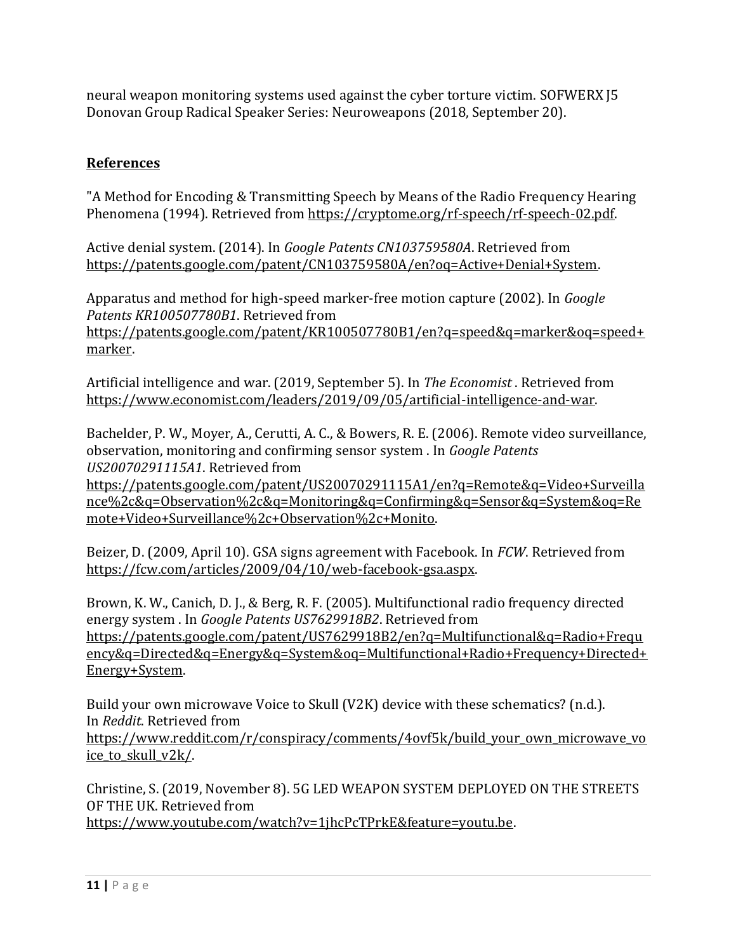neural weapon monitoring systems used against the cyber torture victim. SOFWERX J5 Donovan Group Radical Speaker Series: Neuroweapons (2018, September 20).

# **References**

"A Method for Encoding & Transmitting Speech by Means of the Radio Frequency Hearing Phenomena (1994). Retrieved from [https://cryptome.org/rf-speech/rf-speech-02.pdf.](https://cryptome.org/rf-speech/rf-speech-02.pdf) 

Active denial system. (2014). In *Google Patents CN103759580A*. Retrieved from [https://patents.google.com/patent/CN103759580A/en?oq=Active+Denial+System.](https://patents.google.com/patent/CN103759580A/en?oq=Active+Denial+System)

Apparatus and method for high-speed marker-free motion capture (2002). In *Google Patents KR100507780B1*. Retrieved from [https://patents.google.com/patent/KR100507780B1/en?q=speed&q=marker&oq=speed+](https://patents.google.com/patent/KR100507780B1/en?q=speed&q=marker&oq=speed+marker)

[marker.](https://patents.google.com/patent/KR100507780B1/en?q=speed&q=marker&oq=speed+marker)

Artificial intelligence and war. (2019, September 5). In *The Economist* . Retrieved from [https://www.economist.com/leaders/2019/09/05/artificial-intelligence-and-war.](https://www.economist.com/leaders/2019/09/05/artificial-intelligence-and-war)

Bachelder, P. W., Moyer, A., Cerutti, A. C., & Bowers, R. E. (2006). Remote video surveillance, observation, monitoring and confirming sensor system . In *Google Patents US20070291115A1*. Retrieved from

[https://patents.google.com/patent/US20070291115A1/en?q=Remote&q=Video+Surveilla](https://patents.google.com/patent/US20070291115A1/en?q=Remote&q=Video+Surveillance%2c&q=Observation%2c&q=Monitoring&q=Confirming&q=Sensor&q=System&oq=Remote+Video+Surveillance%2c+Observation%2c+Monito) [nce%2c&q=Observation%2c&q=Monitoring&q=Confirming&q=Sensor&q=System&oq=Re](https://patents.google.com/patent/US20070291115A1/en?q=Remote&q=Video+Surveillance%2c&q=Observation%2c&q=Monitoring&q=Confirming&q=Sensor&q=System&oq=Remote+Video+Surveillance%2c+Observation%2c+Monito) [mote+Video+Surveillance%2c+Observation%2c+Monito.](https://patents.google.com/patent/US20070291115A1/en?q=Remote&q=Video+Surveillance%2c&q=Observation%2c&q=Monitoring&q=Confirming&q=Sensor&q=System&oq=Remote+Video+Surveillance%2c+Observation%2c+Monito)

Beizer, D. (2009, April 10). GSA signs agreement with Facebook. In *FCW*. Retrieved from [https://fcw.com/articles/2009/04/10/web-facebook-gsa.aspx.](https://fcw.com/articles/2009/04/10/web-facebook-gsa.aspx)

Brown, K. W., Canich, D. J., & Berg, R. F. (2005). Multifunctional radio frequency directed energy system . In *Google Patents US7629918B2*. Retrieved from [https://patents.google.com/patent/US7629918B2/en?q=Multifunctional&q=Radio+Frequ](https://patents.google.com/patent/US7629918B2/en?q=Multifunctional&q=Radio+Frequency&q=Directed&q=Energy&q=System&oq=Multifunctional+Radio+Frequency+Directed+Energy+System) [ency&q=Directed&q=Energy&q=System&oq=Multifunctional+Radio+Frequency+Directed+](https://patents.google.com/patent/US7629918B2/en?q=Multifunctional&q=Radio+Frequency&q=Directed&q=Energy&q=System&oq=Multifunctional+Radio+Frequency+Directed+Energy+System) [Energy+System.](https://patents.google.com/patent/US7629918B2/en?q=Multifunctional&q=Radio+Frequency&q=Directed&q=Energy&q=System&oq=Multifunctional+Radio+Frequency+Directed+Energy+System)

Build your own microwave Voice to Skull (V2K) device with these schematics? (n.d.). In *Reddit*. Retrieved from [https://www.reddit.com/r/conspiracy/comments/4ovf5k/build\\_your\\_own\\_microwave\\_vo](https://www.reddit.com/r/conspiracy/comments/4ovf5k/build_your_own_microwave_voice_to_skull_v2k/) ice to skull v2k/.

Christine, S. (2019, November 8). 5G LED WEAPON SYSTEM DEPLOYED ON THE STREETS OF THE UK. Retrieved from [https://www.youtube.com/watch?v=1jhcPcTPrkE&feature=youtu.be.](https://www.youtube.com/watch?v=1jhcPcTPrkE&feature=youtu.be)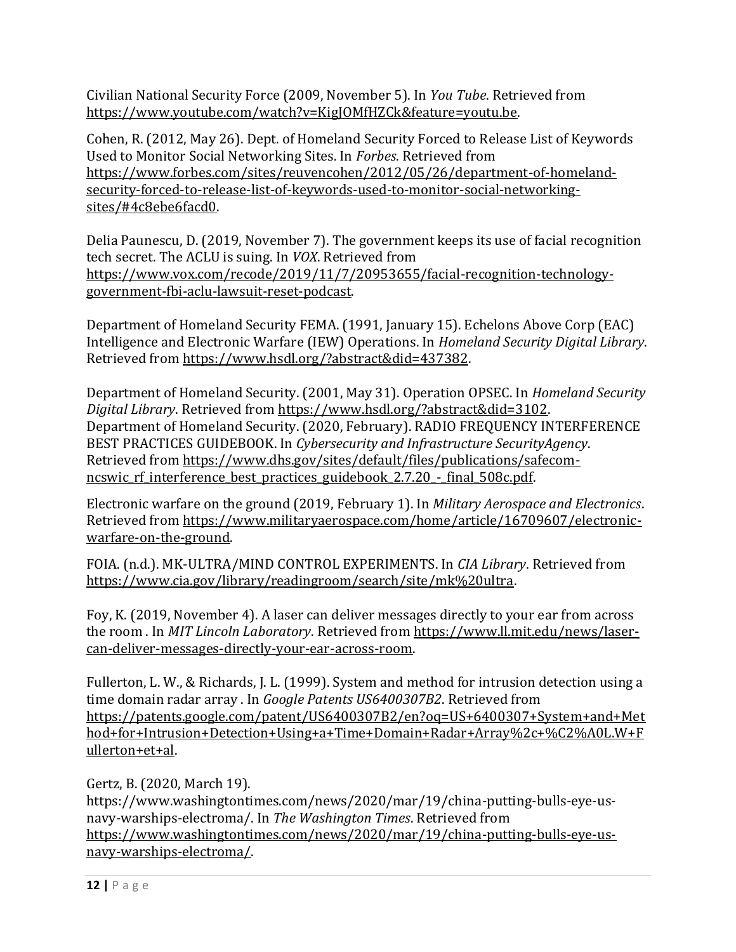Civilian National Security Force (2009, November 5). In *You Tube*. Retrieved from [https://www.youtube.com/watch?v=KigJOMfHZCk&feature=youtu.be.](https://www.youtube.com/watch?v=KigJOMfHZCk&feature=youtu.be)

Cohen, R. (2012, May 26). Dept. of Homeland Security Forced to Release List of Keywords Used to Monitor Social Networking Sites. In *Forbes*. Retrieved from [https://www.forbes.com/sites/reuvencohen/2012/05/26/department-of-homeland](https://www.forbes.com/sites/reuvencohen/2012/05/26/department-of-homeland-security-forced-to-release-list-of-keywords-used-to-monitor-social-networking-sites/#4c8ebe6facd0)[security-forced-to-release-list-of-keywords-used-to-monitor-social-networking](https://www.forbes.com/sites/reuvencohen/2012/05/26/department-of-homeland-security-forced-to-release-list-of-keywords-used-to-monitor-social-networking-sites/#4c8ebe6facd0)[sites/#4c8ebe6facd0.](https://www.forbes.com/sites/reuvencohen/2012/05/26/department-of-homeland-security-forced-to-release-list-of-keywords-used-to-monitor-social-networking-sites/#4c8ebe6facd0) 

Delia Paunescu, D. (2019, November 7). The government keeps its use of facial recognition tech secret. The ACLU is suing. In *VOX*. Retrieved from [https://www.vox.com/recode/2019/11/7/20953655/facial-recognition-technology](https://www.vox.com/recode/2019/11/7/20953655/facial-recognition-technology-government-fbi-aclu-lawsuit-reset-podcast)[government-fbi-aclu-lawsuit-reset-podcast.](https://www.vox.com/recode/2019/11/7/20953655/facial-recognition-technology-government-fbi-aclu-lawsuit-reset-podcast) 

Department of Homeland Security FEMA. (1991, January 15). Echelons Above Corp (EAC) Intelligence and Electronic Warfare (IEW) Operations. In *Homeland Security Digital Library*. Retrieved from [https://www.hsdl.org/?abstract&did=437382.](https://www.hsdl.org/?abstract&did=437382)

Department of Homeland Security. (2001, May 31). Operation OPSEC. In *Homeland Security Digital Library*. Retrieved from [https://www.hsdl.org/?abstract&did=3102.](https://www.hsdl.org/?abstract&did=3102) Department of Homeland Security. (2020, February). RADIO FREQUENCY INTERFERENCE BEST PRACTICES GUIDEBOOK. In *Cybersecurity and Infrastructure SecurityAgency*. Retrieved from [https://www.dhs.gov/sites/default/files/publications/safecom](https://www.dhs.gov/sites/default/files/publications/safecom-ncswic_rf_interference_best_practices_guidebook_2.7.20_-_final_508c.pdf)ncswic rf interference best practices guidebook 2.7.20 - final 508c.pdf.

Electronic warfare on the ground (2019, February 1). In *Military Aerospace and Electronics*. Retrieved from [https://www.militaryaerospace.com/home/article/16709607/electronic](https://www.militaryaerospace.com/home/article/16709607/electronic-warfare-on-the-ground)[warfare-on-the-ground.](https://www.militaryaerospace.com/home/article/16709607/electronic-warfare-on-the-ground)

FOIA. (n.d.). MK-ULTRA/MIND CONTROL EXPERIMENTS. In *CIA Library*. Retrieved from [https://www.cia.gov/library/readingroom/search/site/mk%20ultra.](https://www.cia.gov/library/readingroom/search/site/mk%20ultra)

Foy, K. (2019, November 4). A laser can deliver messages directly to your ear from across the room . In *MIT Lincoln Laboratory*. Retrieved from [https://www.ll.mit.edu/news/laser](https://www.ll.mit.edu/news/laser-can-deliver-messages-directly-your-ear-across-room)[can-deliver-messages-directly-your-ear-across-room.](https://www.ll.mit.edu/news/laser-can-deliver-messages-directly-your-ear-across-room) 

Fullerton, L. W., & Richards, J. L. (1999). System and method for intrusion detection using a time domain radar array . In *Google Patents US6400307B2*. Retrieved from [https://patents.google.com/patent/US6400307B2/en?oq=US+6400307+System+and+Met](https://patents.google.com/patent/US6400307B2/en?oq=US+6400307+System+and+Method+for+Intrusion+Detection+Using+a+Time+Domain+Radar+Array%2c+%C2%A0L.W+Fullerton+et+al) [hod+for+Intrusion+Detection+Using+a+Time+Domain+Radar+Array%2c+%C2%A0L.W+F](https://patents.google.com/patent/US6400307B2/en?oq=US+6400307+System+and+Method+for+Intrusion+Detection+Using+a+Time+Domain+Radar+Array%2c+%C2%A0L.W+Fullerton+et+al) [ullerton+et+al.](https://patents.google.com/patent/US6400307B2/en?oq=US+6400307+System+and+Method+for+Intrusion+Detection+Using+a+Time+Domain+Radar+Array%2c+%C2%A0L.W+Fullerton+et+al)

Gertz, B. (2020, March 19).

https://www.washingtontimes.com/news/2020/mar/19/china-putting-bulls-eye-usnavy-warships-electroma/. In *The Washington Times*. Retrieved from [https://www.washingtontimes.com/news/2020/mar/19/china-putting-bulls-eye-us](https://www.washingtontimes.com/news/2020/mar/19/china-putting-bulls-eye-us-navy-warships-electroma/)[navy-warships-electroma/.](https://www.washingtontimes.com/news/2020/mar/19/china-putting-bulls-eye-us-navy-warships-electroma/)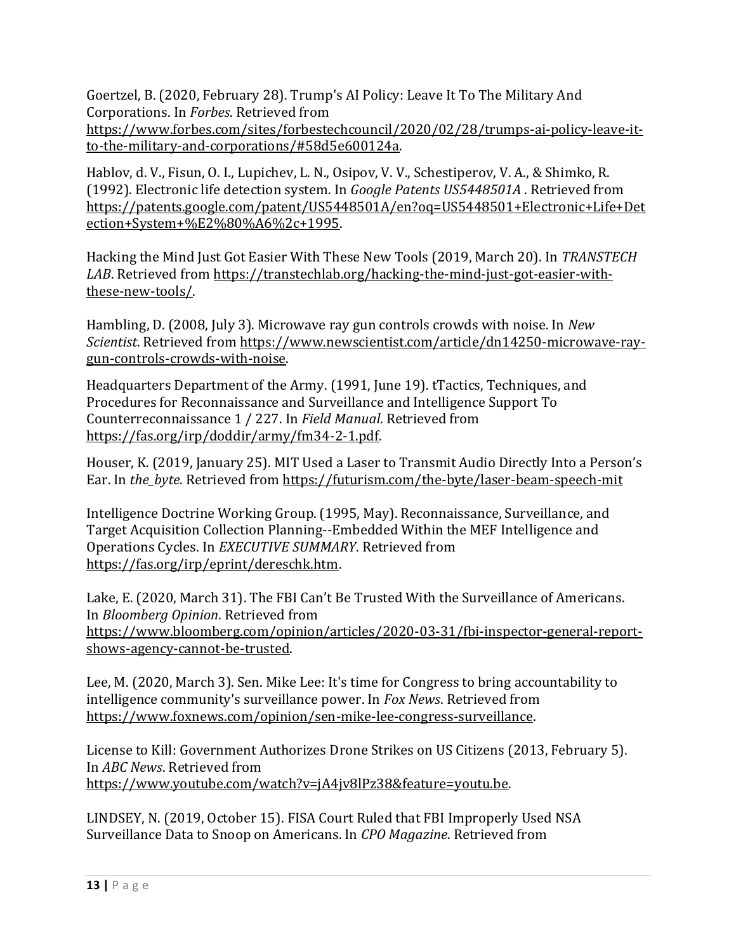Goertzel, B. (2020, February 28). Trump's AI Policy: Leave It To The Military And Corporations. In *Forbes*. Retrieved from [https://www.forbes.com/sites/forbestechcouncil/2020/02/28/trumps-ai-policy-leave-it-](https://www.forbes.com/sites/forbestechcouncil/2020/02/28/trumps-ai-policy-leave-it-to-the-military-and-corporations/#58d5e600124a)

[to-the-military-and-corporations/#58d5e600124a.](https://www.forbes.com/sites/forbestechcouncil/2020/02/28/trumps-ai-policy-leave-it-to-the-military-and-corporations/#58d5e600124a)

Hablov, d. V., Fisun, O. I., Lupichev, L. N., Osipov, V. V., Schestiperov, V. A., & Shimko, R. (1992). Electronic life detection system. In *Google Patents US5448501A* . Retrieved from [https://patents.google.com/patent/US5448501A/en?oq=US5448501+Electronic+Life+Det](https://patents.google.com/patent/US5448501A/en?oq=US5448501+Electronic+Life+Detection+System+%E2%80%A6%2c+1995) [ection+System+%E2%80%A6%2c+1995.](https://patents.google.com/patent/US5448501A/en?oq=US5448501+Electronic+Life+Detection+System+%E2%80%A6%2c+1995)

Hacking the Mind Just Got Easier With These New Tools (2019, March 20). In *TRANSTECH LAB*. Retrieved from [https://transtechlab.org/hacking-the-mind-just-got-easier-with](https://transtechlab.org/hacking-the-mind-just-got-easier-with-these-new-tools/)[these-new-tools/.](https://transtechlab.org/hacking-the-mind-just-got-easier-with-these-new-tools/) 

Hambling, D. (2008, July 3). Microwave ray gun controls crowds with noise. In *New Scientist*. Retrieved from [https://www.newscientist.com/article/dn14250-microwave-ray](https://www.newscientist.com/article/dn14250-microwave-ray-gun-controls-crowds-with-noise)[gun-controls-crowds-with-noise.](https://www.newscientist.com/article/dn14250-microwave-ray-gun-controls-crowds-with-noise)

Headquarters Department of the Army. (1991, June 19). tTactics, Techniques, and Procedures for Reconnaissance and Surveillance and Intelligence Support To Counterreconnaissance 1 / 227. In *Field Manual*. Retrieved from [https://fas.org/irp/doddir/army/fm34-2-1.pdf.](https://fas.org/irp/doddir/army/fm34-2-1.pdf) 

Houser, K. (2019, January 25). MIT Used a Laser to Transmit Audio Directly Into a Person's Ear. In *the\_byte*. Retrieved from<https://futurism.com/the-byte/laser-beam-speech-mit>

Intelligence Doctrine Working Group. (1995, May). Reconnaissance, Surveillance, and Target Acquisition Collection Planning--Embedded Within the MEF Intelligence and Operations Cycles. In *EXECUTIVE SUMMARY*. Retrieved from [https://fas.org/irp/eprint/dereschk.htm.](https://fas.org/irp/eprint/dereschk.htm)

Lake, E. (2020, March 31). The FBI Can't Be Trusted With the Surveillance of Americans. In *Bloomberg Opinion*. Retrieved from [https://www.bloomberg.com/opinion/articles/2020-03-31/fbi-inspector-general-report](https://www.bloomberg.com/opinion/articles/2020-03-31/fbi-inspector-general-report-shows-agency-cannot-be-trusted)[shows-agency-cannot-be-trusted.](https://www.bloomberg.com/opinion/articles/2020-03-31/fbi-inspector-general-report-shows-agency-cannot-be-trusted)

Lee, M. (2020, March 3). Sen. Mike Lee: It's time for Congress to bring accountability to intelligence community's surveillance power. In *Fox News*. Retrieved from [https://www.foxnews.com/opinion/sen-mike-lee-congress-surveillance.](https://www.foxnews.com/opinion/sen-mike-lee-congress-surveillance)

License to Kill: Government Authorizes Drone Strikes on US Citizens (2013, February 5). In *ABC News*. Retrieved from [https://www.youtube.com/watch?v=jA4jv8lPz38&feature=youtu.be.](https://www.youtube.com/watch?v=jA4jv8lPz38&feature=youtu.be)

LINDSEY, N. (2019, October 15). FISA Court Ruled that FBI Improperly Used NSA Surveillance Data to Snoop on Americans. In *CPO Magazine*. Retrieved from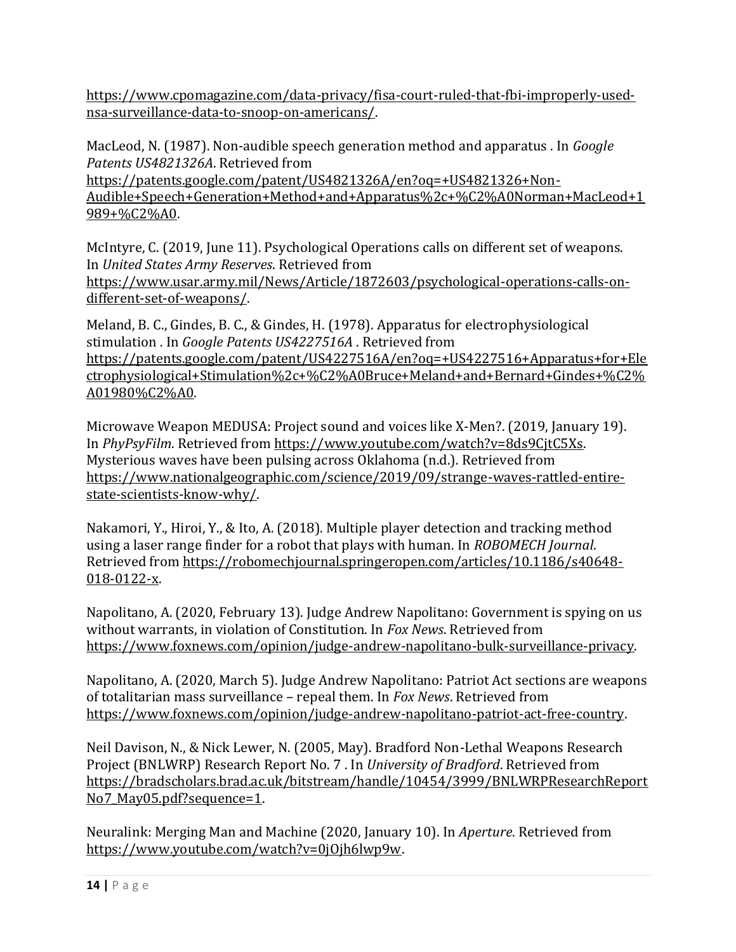[https://www.cpomagazine.com/data-privacy/fisa-court-ruled-that-fbi-improperly-used](https://www.cpomagazine.com/data-privacy/fisa-court-ruled-that-fbi-improperly-used-nsa-surveillance-data-to-snoop-on-americans/)[nsa-surveillance-data-to-snoop-on-americans/.](https://www.cpomagazine.com/data-privacy/fisa-court-ruled-that-fbi-improperly-used-nsa-surveillance-data-to-snoop-on-americans/)

MacLeod, N. (1987). Non-audible speech generation method and apparatus . In *Google Patents US4821326A*. Retrieved from [https://patents.google.com/patent/US4821326A/en?oq=+US4821326+Non-](https://patents.google.com/patent/US4821326A/en?oq=+US4821326+Non-Audible+Speech+Generation+Method+and+Apparatus%2c+%C2%A0Norman+MacLeod+1989+%C2%A0)

[Audible+Speech+Generation+Method+and+Apparatus%2c+%C2%A0Norman+MacLeod+1](https://patents.google.com/patent/US4821326A/en?oq=+US4821326+Non-Audible+Speech+Generation+Method+and+Apparatus%2c+%C2%A0Norman+MacLeod+1989+%C2%A0) [989+%C2%A0.](https://patents.google.com/patent/US4821326A/en?oq=+US4821326+Non-Audible+Speech+Generation+Method+and+Apparatus%2c+%C2%A0Norman+MacLeod+1989+%C2%A0) 

McIntyre, C. (2019, June 11). Psychological Operations calls on different set of weapons. In *United States Army Reserves*. Retrieved from [https://www.usar.army.mil/News/Article/1872603/psychological-operations-calls-on](https://www.usar.army.mil/News/Article/1872603/psychological-operations-calls-on-different-set-of-weapons/)[different-set-of-weapons/.](https://www.usar.army.mil/News/Article/1872603/psychological-operations-calls-on-different-set-of-weapons/) 

Meland, B. C., Gindes, B. C., & Gindes, H. (1978). Apparatus for electrophysiological stimulation . In *Google Patents US4227516A* . Retrieved from [https://patents.google.com/patent/US4227516A/en?oq=+US4227516+Apparatus+for+Ele](https://patents.google.com/patent/US4227516A/en?oq=+US4227516+Apparatus+for+Electrophysiological+Stimulation%2c+%C2%A0Bruce+Meland+and+Bernard+Gindes+%C2%A01980%C2%A0) [ctrophysiological+Stimulation%2c+%C2%A0Bruce+Meland+and+Bernard+Gindes+%C2%](https://patents.google.com/patent/US4227516A/en?oq=+US4227516+Apparatus+for+Electrophysiological+Stimulation%2c+%C2%A0Bruce+Meland+and+Bernard+Gindes+%C2%A01980%C2%A0) [A01980%C2%A0.](https://patents.google.com/patent/US4227516A/en?oq=+US4227516+Apparatus+for+Electrophysiological+Stimulation%2c+%C2%A0Bruce+Meland+and+Bernard+Gindes+%C2%A01980%C2%A0) 

Microwave Weapon MEDUSA: Project sound and voices like X-Men?. (2019, January 19). In *PhyPsyFilm*. Retrieved from [https://www.youtube.com/watch?v=8ds9CjtC5Xs.](https://www.youtube.com/watch?v=8ds9CjtC5Xs) Mysterious waves have been pulsing across Oklahoma (n.d.). Retrieved from [https://www.nationalgeographic.com/science/2019/09/strange-waves-rattled-entire](https://www.nationalgeographic.com/science/2019/09/strange-waves-rattled-entire-state-scientists-know-why/)[state-scientists-know-why/.](https://www.nationalgeographic.com/science/2019/09/strange-waves-rattled-entire-state-scientists-know-why/)

Nakamori, Y., Hiroi, Y., & Ito, A. (2018). Multiple player detection and tracking method using a laser range finder for a robot that plays with human. In *ROBOMECH Journal*. Retrieved from [https://robomechjournal.springeropen.com/articles/10.1186/s40648-](https://robomechjournal.springeropen.com/articles/10.1186/s40648-018-0122-x) [018-0122-x.](https://robomechjournal.springeropen.com/articles/10.1186/s40648-018-0122-x) 

Napolitano, A. (2020, February 13). Judge Andrew Napolitano: Government is spying on us without warrants, in violation of Constitution. In *Fox News*. Retrieved from [https://www.foxnews.com/opinion/judge-andrew-napolitano-bulk-surveillance-privacy.](https://www.foxnews.com/opinion/judge-andrew-napolitano-bulk-surveillance-privacy)

Napolitano, A. (2020, March 5). Judge Andrew Napolitano: Patriot Act sections are weapons of totalitarian mass surveillance – repeal them. In *Fox News*. Retrieved from [https://www.foxnews.com/opinion/judge-andrew-napolitano-patriot-act-free-country.](https://www.foxnews.com/opinion/judge-andrew-napolitano-patriot-act-free-country) 

Neil Davison, N., & Nick Lewer, N. (2005, May). Bradford Non-Lethal Weapons Research Project (BNLWRP) Research Report No. 7 . In *University of Bradford*. Retrieved from [https://bradscholars.brad.ac.uk/bitstream/handle/10454/3999/BNLWRPResearchReport](https://bradscholars.brad.ac.uk/bitstream/handle/10454/3999/BNLWRPResearchReportNo7_May05.pdf?sequence=1) No7 May05.pdf?sequence=1.

Neuralink: Merging Man and Machine (2020, January 10). In *Aperture*. Retrieved from [https://www.youtube.com/watch?v=0jOjh6lwp9w.](https://www.youtube.com/watch?v=0jOjh6lwp9w)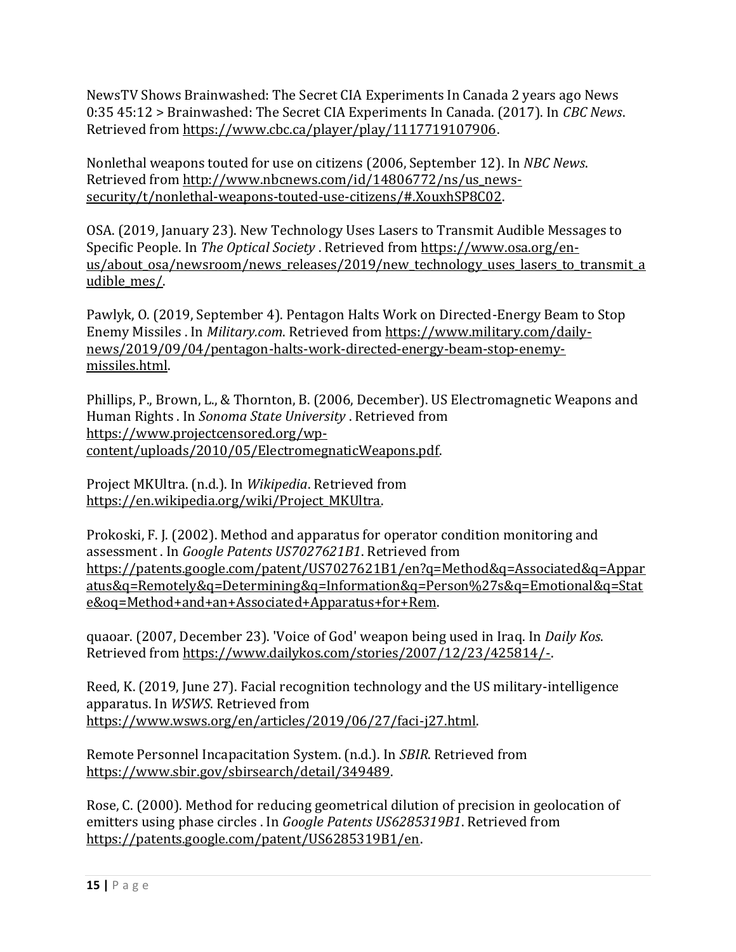NewsTV Shows Brainwashed: The Secret CIA Experiments In Canada 2 years ago News 0:35 45:12 > Brainwashed: The Secret CIA Experiments In Canada. (2017). In *CBC News*. Retrieved from [https://www.cbc.ca/player/play/1117719107906.](https://www.cbc.ca/player/play/1117719107906) 

Nonlethal weapons touted for use on citizens (2006, September 12). In *NBC News*. Retrieved from [http://www.nbcnews.com/id/14806772/ns/us\\_news](http://www.nbcnews.com/id/14806772/ns/us_news-security/t/nonlethal-weapons-touted-use-citizens/#.XouxhSP8C02)[security/t/nonlethal-weapons-touted-use-citizens/#.XouxhSP8C02.](http://www.nbcnews.com/id/14806772/ns/us_news-security/t/nonlethal-weapons-touted-use-citizens/#.XouxhSP8C02)

OSA. (2019, January 23). New Technology Uses Lasers to Transmit Audible Messages to Specific People. In *The Optical Society* . Retrieved from [https://www.osa.org/en](https://www.osa.org/en-us/about_osa/newsroom/news_releases/2019/new_technology_uses_lasers_to_transmit_audible_mes/)us/about osa/newsroom/news releases/2019/new technology uses lasers to transmit a udible mes/.

Pawlyk, O. (2019, September 4). Pentagon Halts Work on Directed-Energy Beam to Stop Enemy Missiles . In *Military.com*. Retrieved from [https://www.military.com/daily](https://www.military.com/daily-news/2019/09/04/pentagon-halts-work-directed-energy-beam-stop-enemy-missiles.html)[news/2019/09/04/pentagon-halts-work-directed-energy-beam-stop-enemy](https://www.military.com/daily-news/2019/09/04/pentagon-halts-work-directed-energy-beam-stop-enemy-missiles.html)[missiles.html.](https://www.military.com/daily-news/2019/09/04/pentagon-halts-work-directed-energy-beam-stop-enemy-missiles.html)

Phillips, P., Brown, L., & Thornton, B. (2006, December). US Electromagnetic Weapons and Human Rights . In *Sonoma State University* . Retrieved from [https://www.projectcensored.org/wp](https://www.projectcensored.org/wp-content/uploads/2010/05/ElectromegnaticWeapons.pdf)[content/uploads/2010/05/ElectromegnaticWeapons.pdf.](https://www.projectcensored.org/wp-content/uploads/2010/05/ElectromegnaticWeapons.pdf)

Project MKUltra. (n.d.). In *Wikipedia*. Retrieved from [https://en.wikipedia.org/wiki/Project\\_MKUltra.](https://en.wikipedia.org/wiki/Project_MKUltra)

Prokoski, F. J. (2002). Method and apparatus for operator condition monitoring and assessment . In *Google Patents US7027621B1*. Retrieved from [https://patents.google.com/patent/US7027621B1/en?q=Method&q=Associated&q=Appar](https://patents.google.com/patent/US7027621B1/en?q=Method&q=Associated&q=Apparatus&q=Remotely&q=Determining&q=Information&q=Person%27s&q=Emotional&q=State&oq=Method+and+an+Associated+Apparatus+for+Rem) [atus&q=Remotely&q=Determining&q=Information&q=Person%27s&q=Emotional&q=Stat](https://patents.google.com/patent/US7027621B1/en?q=Method&q=Associated&q=Apparatus&q=Remotely&q=Determining&q=Information&q=Person%27s&q=Emotional&q=State&oq=Method+and+an+Associated+Apparatus+for+Rem) [e&oq=Method+and+an+Associated+Apparatus+for+Rem.](https://patents.google.com/patent/US7027621B1/en?q=Method&q=Associated&q=Apparatus&q=Remotely&q=Determining&q=Information&q=Person%27s&q=Emotional&q=State&oq=Method+and+an+Associated+Apparatus+for+Rem) 

quaoar. (2007, December 23). 'Voice of God' weapon being used in Iraq. In *Daily Kos*. Retrieved from [https://www.dailykos.com/stories/2007/12/23/425814/-.](https://www.dailykos.com/stories/2007/12/23/425814/-) 

Reed, K. (2019, June 27). Facial recognition technology and the US military-intelligence apparatus. In *WSWS*. Retrieved from [https://www.wsws.org/en/articles/2019/06/27/faci-j27.html.](https://www.wsws.org/en/articles/2019/06/27/faci-j27.html)

Remote Personnel Incapacitation System. (n.d.). In *SBIR*. Retrieved from [https://www.sbir.gov/sbirsearch/detail/349489.](https://www.sbir.gov/sbirsearch/detail/349489)

Rose, C. (2000). Method for reducing geometrical dilution of precision in geolocation of emitters using phase circles . In *Google Patents US6285319B1*. Retrieved from [https://patents.google.com/patent/US6285319B1/en.](https://patents.google.com/patent/US6285319B1/en)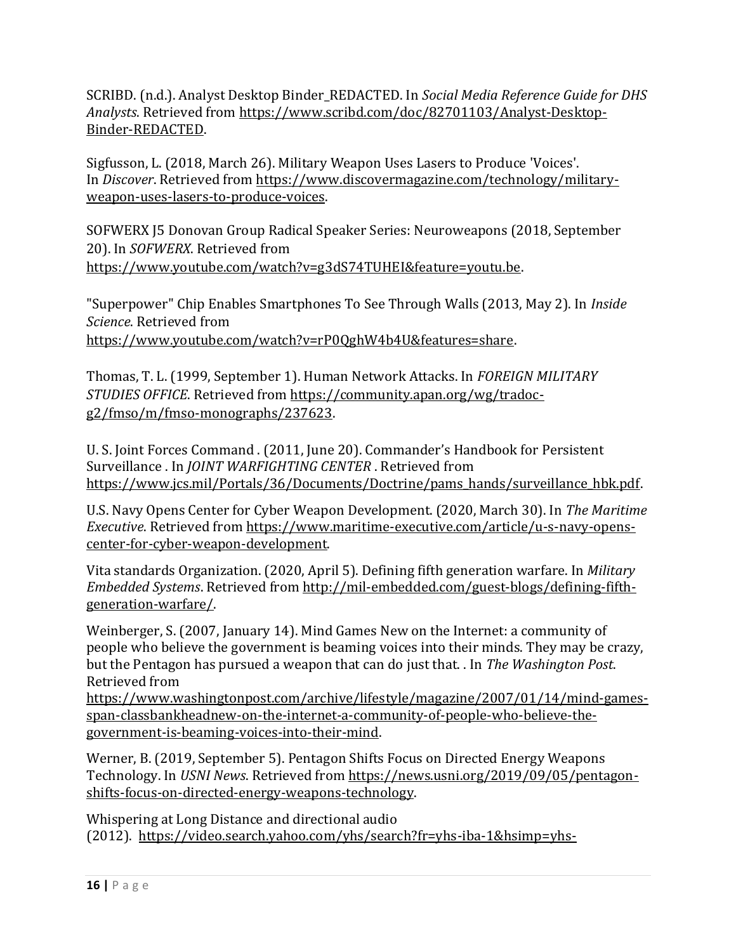SCRIBD. (n.d.). Analyst Desktop Binder\_REDACTED. In *Social Media Reference Guide for DHS Analysts*. Retrieved from [https://www.scribd.com/doc/82701103/Analyst-Desktop-](https://www.scribd.com/doc/82701103/Analyst-Desktop-Binder-REDACTED)[Binder-REDACTED.](https://www.scribd.com/doc/82701103/Analyst-Desktop-Binder-REDACTED)

Sigfusson, L. (2018, March 26). Military Weapon Uses Lasers to Produce 'Voices'. In *Discover*. Retrieved from [https://www.discovermagazine.com/technology/military](https://www.discovermagazine.com/technology/military-weapon-uses-lasers-to-produce-voices)[weapon-uses-lasers-to-produce-voices.](https://www.discovermagazine.com/technology/military-weapon-uses-lasers-to-produce-voices)

SOFWERX J5 Donovan Group Radical Speaker Series: Neuroweapons (2018, September 20). In *SOFWERX*. Retrieved from [https://www.youtube.com/watch?v=g3dS74TUHEI&feature=youtu.be.](https://www.youtube.com/watch?v=g3dS74TUHEI&feature=youtu.be)

"Superpower" Chip Enables Smartphones To See Through Walls (2013, May 2). In *Inside Science*. Retrieved from

[https://www.youtube.com/watch?v=rP0QghW4b4U&features=share.](https://www.youtube.com/watch?v=rP0QghW4b4U&features=share)

Thomas, T. L. (1999, September 1). Human Network Attacks. In *FOREIGN MILITARY STUDIES OFFICE*. Retrieved from [https://community.apan.org/wg/tradoc](https://community.apan.org/wg/tradoc-g2/fmso/m/fmso-monographs/237623)[g2/fmso/m/fmso-monographs/237623.](https://community.apan.org/wg/tradoc-g2/fmso/m/fmso-monographs/237623)

U. S. Joint Forces Command . (2011, June 20). Commander's Handbook for Persistent Surveillance . In *JOINT WARFIGHTING CENTER* . Retrieved from [https://www.jcs.mil/Portals/36/Documents/Doctrine/pams\\_hands/surveillance\\_hbk.pdf.](https://www.jcs.mil/Portals/36/Documents/Doctrine/pams_hands/surveillance_hbk.pdf)

U.S. Navy Opens Center for Cyber Weapon Development. (2020, March 30). In *The Maritime Executive*. Retrieved from [https://www.maritime-executive.com/article/u-s-navy-opens](https://www.maritime-executive.com/article/u-s-navy-opens-center-for-cyber-weapon-development)[center-for-cyber-weapon-development.](https://www.maritime-executive.com/article/u-s-navy-opens-center-for-cyber-weapon-development) 

Vita standards Organization. (2020, April 5). Defining fifth generation warfare. In *Military Embedded Systems*. Retrieved from [http://mil-embedded.com/guest-blogs/defining-fifth](http://mil-embedded.com/guest-blogs/defining-fifth-generation-warfare/)[generation-warfare/.](http://mil-embedded.com/guest-blogs/defining-fifth-generation-warfare/)

Weinberger, S. (2007, January 14). Mind Games New on the Internet: a community of people who believe the government is beaming voices into their minds. They may be crazy, but the Pentagon has pursued a weapon that can do just that. . In *The Washington Post*. Retrieved from

[https://www.washingtonpost.com/archive/lifestyle/magazine/2007/01/14/mind-games](https://www.washingtonpost.com/archive/lifestyle/magazine/2007/01/14/mind-games-span-classbankheadnew-on-the-internet-a-community-of-people-who-believe-the-government-is-beaming-voices-into-their-mind)[span-classbankheadnew-on-the-internet-a-community-of-people-who-believe-the](https://www.washingtonpost.com/archive/lifestyle/magazine/2007/01/14/mind-games-span-classbankheadnew-on-the-internet-a-community-of-people-who-believe-the-government-is-beaming-voices-into-their-mind)[government-is-beaming-voices-into-their-mind.](https://www.washingtonpost.com/archive/lifestyle/magazine/2007/01/14/mind-games-span-classbankheadnew-on-the-internet-a-community-of-people-who-believe-the-government-is-beaming-voices-into-their-mind)

Werner, B. (2019, September 5). Pentagon Shifts Focus on Directed Energy Weapons Technology. In *USNI News*. Retrieved from [https://news.usni.org/2019/09/05/pentagon](https://news.usni.org/2019/09/05/pentagon-shifts-focus-on-directed-energy-weapons-technology)[shifts-focus-on-directed-energy-weapons-technology.](https://news.usni.org/2019/09/05/pentagon-shifts-focus-on-directed-energy-weapons-technology) 

Whispering at Long Distance and directional audio (2012). [https://video.search.yahoo.com/yhs/search?fr=yhs-iba-1&hsimp=yhs-](https://video.search.yahoo.com/yhs/search?fr=yhs-iba-1&hsimp=yhs-1&hspart=iba&p=whispering+at+long+distance+and+directional+audio+you+tube#id=1&vid=2d7f11fd7854b4c704453b27a58a7e09&action=click)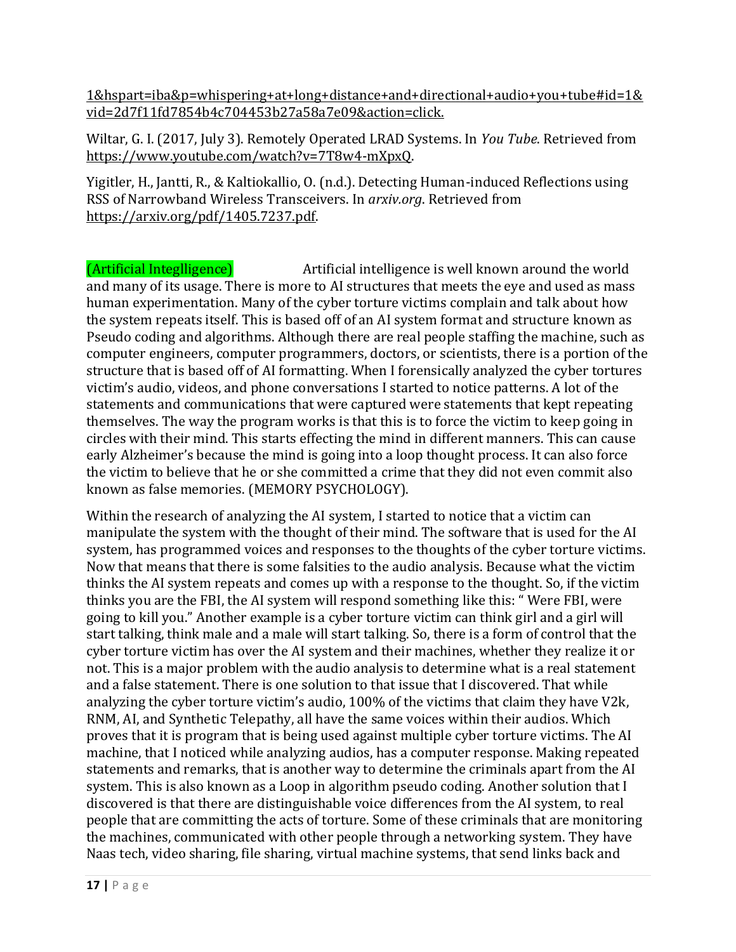[1&hspart=iba&p=whispering+at+long+distance+and+directional+audio+you+tube#id=1&](https://video.search.yahoo.com/yhs/search?fr=yhs-iba-1&hsimp=yhs-1&hspart=iba&p=whispering+at+long+distance+and+directional+audio+you+tube#id=1&vid=2d7f11fd7854b4c704453b27a58a7e09&action=click) [vid=2d7f11fd7854b4c704453b27a58a7e09&action=click.](https://video.search.yahoo.com/yhs/search?fr=yhs-iba-1&hsimp=yhs-1&hspart=iba&p=whispering+at+long+distance+and+directional+audio+you+tube#id=1&vid=2d7f11fd7854b4c704453b27a58a7e09&action=click) 

Wiltar, G. I. (2017, July 3). Remotely Operated LRAD Systems. In *You Tube*. Retrieved from [https://www.youtube.com/watch?v=7T8w4-mXpxQ.](https://www.youtube.com/watch?v=7T8w4-mXpxQ) 

Yigitler, H., Jantti, R., & Kaltiokallio, O. (n.d.). Detecting Human-induced Reflections using RSS of Narrowband Wireless Transceivers. In *arxiv.org*. Retrieved from [https://arxiv.org/pdf/1405.7237.pdf.](https://arxiv.org/pdf/1405.7237.pdf)

(Artificial Integlligence) Artificial intelligence is well known around the world and many of its usage. There is more to AI structures that meets the eye and used as mass human experimentation. Many of the cyber torture victims complain and talk about how the system repeats itself. This is based off of an AI system format and structure known as Pseudo coding and algorithms. Although there are real people staffing the machine, such as computer engineers, computer programmers, doctors, or scientists, there is a portion of the structure that is based off of AI formatting. When I forensically analyzed the cyber tortures victim's audio, videos, and phone conversations I started to notice patterns. A lot of the statements and communications that were captured were statements that kept repeating themselves. The way the program works is that this is to force the victim to keep going in circles with their mind. This starts effecting the mind in different manners. This can cause early Alzheimer's because the mind is going into a loop thought process. It can also force the victim to believe that he or she committed a crime that they did not even commit also known as false memories. (MEMORY PSYCHOLOGY).

Within the research of analyzing the AI system, I started to notice that a victim can manipulate the system with the thought of their mind. The software that is used for the AI system, has programmed voices and responses to the thoughts of the cyber torture victims. Now that means that there is some falsities to the audio analysis. Because what the victim thinks the AI system repeats and comes up with a response to the thought. So, if the victim thinks you are the FBI, the AI system will respond something like this: " Were FBI, were going to kill you." Another example is a cyber torture victim can think girl and a girl will start talking, think male and a male will start talking. So, there is a form of control that the cyber torture victim has over the AI system and their machines, whether they realize it or not. This is a major problem with the audio analysis to determine what is a real statement and a false statement. There is one solution to that issue that I discovered. That while analyzing the cyber torture victim's audio, 100% of the victims that claim they have V2k, RNM, AI, and Synthetic Telepathy, all have the same voices within their audios. Which proves that it is program that is being used against multiple cyber torture victims. The AI machine, that I noticed while analyzing audios, has a computer response. Making repeated statements and remarks, that is another way to determine the criminals apart from the AI system. This is also known as a Loop in algorithm pseudo coding. Another solution that I discovered is that there are distinguishable voice differences from the AI system, to real people that are committing the acts of torture. Some of these criminals that are monitoring the machines, communicated with other people through a networking system. They have Naas tech, video sharing, file sharing, virtual machine systems, that send links back and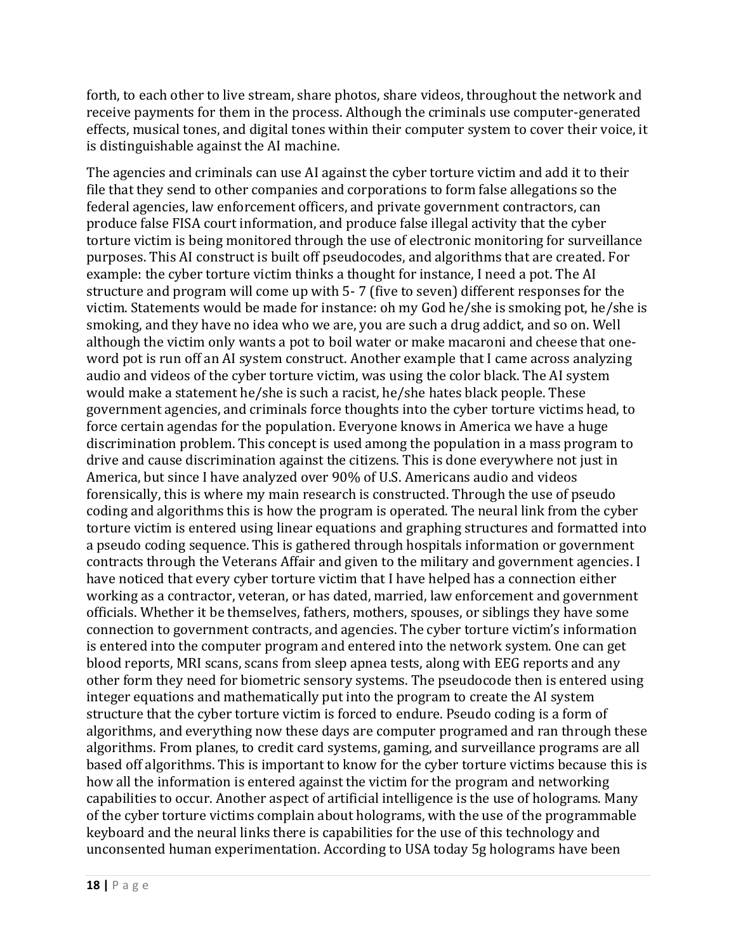forth, to each other to live stream, share photos, share videos, throughout the network and receive payments for them in the process. Although the criminals use computer-generated effects, musical tones, and digital tones within their computer system to cover their voice, it is distinguishable against the AI machine.

The agencies and criminals can use AI against the cyber torture victim and add it to their file that they send to other companies and corporations to form false allegations so the federal agencies, law enforcement officers, and private government contractors, can produce false FISA court information, and produce false illegal activity that the cyber torture victim is being monitored through the use of electronic monitoring for surveillance purposes. This AI construct is built off pseudocodes, and algorithms that are created. For example: the cyber torture victim thinks a thought for instance, I need a pot. The AI structure and program will come up with 5- 7 (five to seven) different responses for the victim. Statements would be made for instance: oh my God he/she is smoking pot, he/she is smoking, and they have no idea who we are, you are such a drug addict, and so on. Well although the victim only wants a pot to boil water or make macaroni and cheese that oneword pot is run off an AI system construct. Another example that I came across analyzing audio and videos of the cyber torture victim, was using the color black. The AI system would make a statement he/she is such a racist, he/she hates black people. These government agencies, and criminals force thoughts into the cyber torture victims head, to force certain agendas for the population. Everyone knows in America we have a huge discrimination problem. This concept is used among the population in a mass program to drive and cause discrimination against the citizens. This is done everywhere not just in America, but since I have analyzed over 90% of U.S. Americans audio and videos forensically, this is where my main research is constructed. Through the use of pseudo coding and algorithms this is how the program is operated. The neural link from the cyber torture victim is entered using linear equations and graphing structures and formatted into a pseudo coding sequence. This is gathered through hospitals information or government contracts through the Veterans Affair and given to the military and government agencies. I have noticed that every cyber torture victim that I have helped has a connection either working as a contractor, veteran, or has dated, married, law enforcement and government officials. Whether it be themselves, fathers, mothers, spouses, or siblings they have some connection to government contracts, and agencies. The cyber torture victim's information is entered into the computer program and entered into the network system. One can get blood reports, MRI scans, scans from sleep apnea tests, along with EEG reports and any other form they need for biometric sensory systems. The pseudocode then is entered using integer equations and mathematically put into the program to create the AI system structure that the cyber torture victim is forced to endure. Pseudo coding is a form of algorithms, and everything now these days are computer programed and ran through these algorithms. From planes, to credit card systems, gaming, and surveillance programs are all based off algorithms. This is important to know for the cyber torture victims because this is how all the information is entered against the victim for the program and networking capabilities to occur. Another aspect of artificial intelligence is the use of holograms. Many of the cyber torture victims complain about holograms, with the use of the programmable keyboard and the neural links there is capabilities for the use of this technology and unconsented human experimentation. According to USA today 5g holograms have been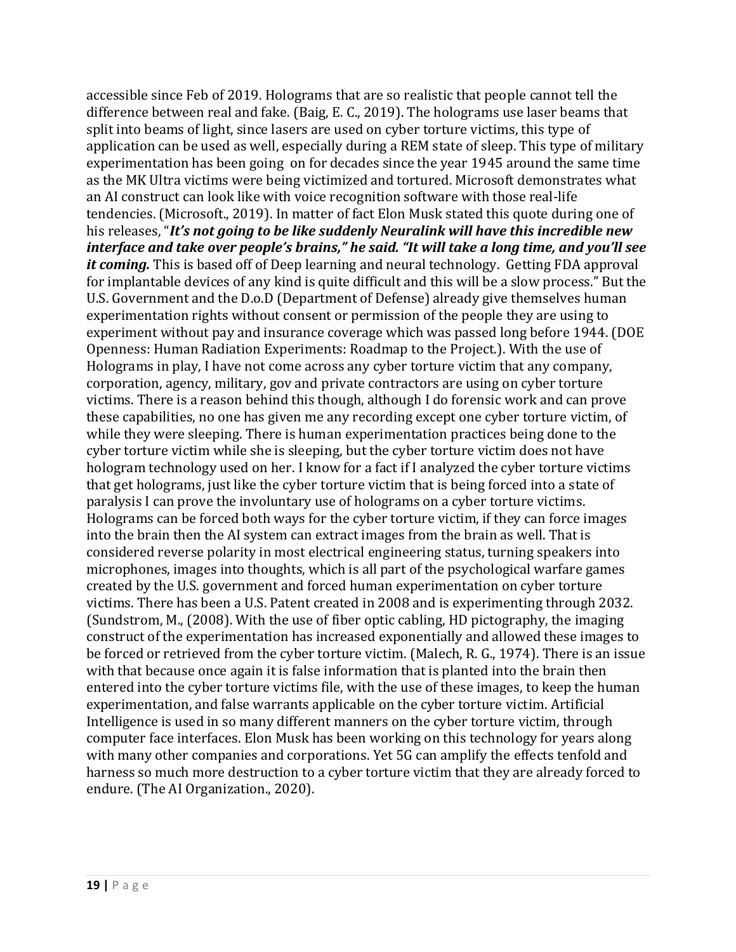accessible since Feb of 2019. Holograms that are so realistic that people cannot tell the difference between real and fake. (Baig, E. C., 2019). The holograms use laser beams that split into beams of light, since lasers are used on cyber torture victims, this type of application can be used as well, especially during a REM state of sleep. This type of military experimentation has been going on for decades since the year 1945 around the same time as the MK Ultra victims were being victimized and tortured. Microsoft demonstrates what an AI construct can look like with voice recognition software with those real-life tendencies. (Microsoft., 2019). In matter of fact Elon Musk stated this quote during one of his releases, "*It's not going to be like suddenly Neuralink will have this incredible new interface and take over people's brains," he said. "It will take a long time, and you'll see it coming.* This is based off of Deep learning and neural technology. Getting FDA approval for implantable devices of any kind is quite difficult and this will be a slow process." But the U.S. Government and the D.o.D (Department of Defense) already give themselves human experimentation rights without consent or permission of the people they are using to experiment without pay and insurance coverage which was passed long before 1944. (DOE Openness: Human Radiation Experiments: Roadmap to the Project.). With the use of Holograms in play, I have not come across any cyber torture victim that any company, corporation, agency, military, gov and private contractors are using on cyber torture victims. There is a reason behind this though, although I do forensic work and can prove these capabilities, no one has given me any recording except one cyber torture victim, of while they were sleeping. There is human experimentation practices being done to the cyber torture victim while she is sleeping, but the cyber torture victim does not have hologram technology used on her. I know for a fact if I analyzed the cyber torture victims that get holograms, just like the cyber torture victim that is being forced into a state of paralysis I can prove the involuntary use of holograms on a cyber torture victims. Holograms can be forced both ways for the cyber torture victim, if they can force images into the brain then the AI system can extract images from the brain as well. That is considered reverse polarity in most electrical engineering status, turning speakers into microphones, images into thoughts, which is all part of the psychological warfare games created by the U.S. government and forced human experimentation on cyber torture victims. There has been a U.S. Patent created in 2008 and is experimenting through 2032. (Sundstrom, M., (2008). With the use of fiber optic cabling, HD pictography, the imaging construct of the experimentation has increased exponentially and allowed these images to be forced or retrieved from the cyber torture victim. (Malech, R. G., 1974). There is an issue with that because once again it is false information that is planted into the brain then entered into the cyber torture victims file, with the use of these images, to keep the human experimentation, and false warrants applicable on the cyber torture victim. Artificial Intelligence is used in so many different manners on the cyber torture victim, through computer face interfaces. Elon Musk has been working on this technology for years along with many other companies and corporations. Yet 5G can amplify the effects tenfold and harness so much more destruction to a cyber torture victim that they are already forced to endure. (The AI Organization., 2020).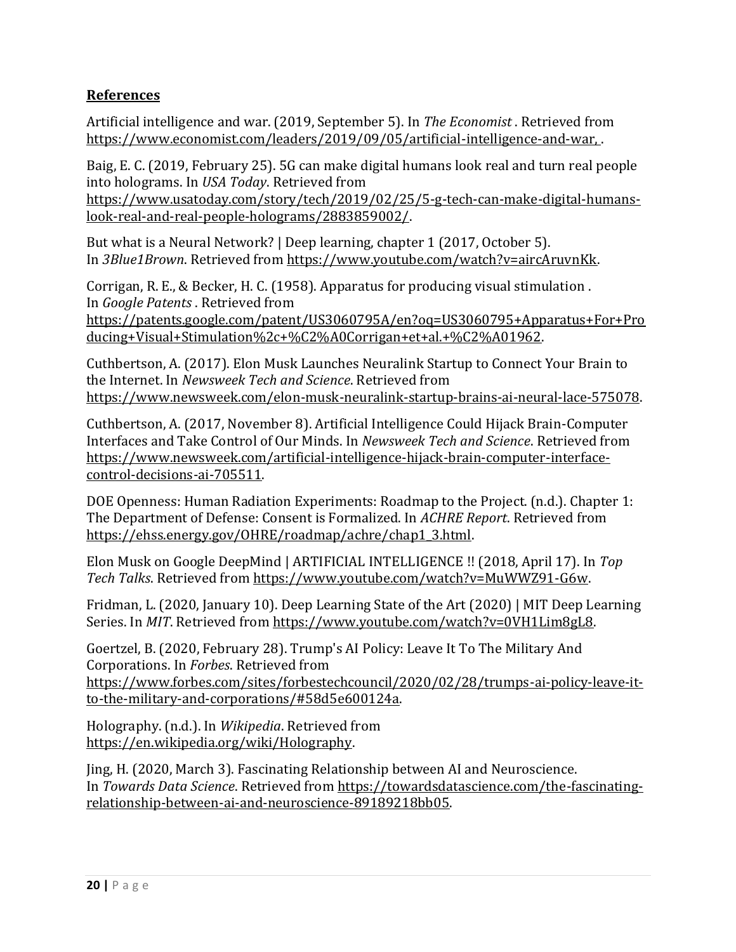## **References**

Artificial intelligence and war. (2019, September 5). In *The Economist* . Retrieved from [https://www.economist.com/leaders/2019/09/05/artificial-intelligence-and-war,](https://www.economist.com/leaders/2019/09/05/artificial-intelligence-and-war) .

Baig, E. C. (2019, February 25). 5G can make digital humans look real and turn real people into holograms. In *USA Today*. Retrieved from [https://www.usatoday.com/story/tech/2019/02/25/5-g-tech-can-make-digital-humans](https://www.usatoday.com/story/tech/2019/02/25/5-g-tech-can-make-digital-humans-look-real-and-real-people-holograms/2883859002/)[look-real-and-real-people-holograms/2883859002/.](https://www.usatoday.com/story/tech/2019/02/25/5-g-tech-can-make-digital-humans-look-real-and-real-people-holograms/2883859002/)

But what is a Neural Network? | Deep learning, chapter 1 (2017, October 5). In *3Blue1Brown*. Retrieved from [https://www.youtube.com/watch?v=aircAruvnKk.](https://www.youtube.com/watch?v=aircAruvnKk)

Corrigan, R. E., & Becker, H. C. (1958). Apparatus for producing visual stimulation . In *Google Patents* . Retrieved from [https://patents.google.com/patent/US3060795A/en?oq=US3060795+Apparatus+For+Pro](https://patents.google.com/patent/US3060795A/en?oq=US3060795+Apparatus+For+Producing+Visual+Stimulation%2c+%C2%A0Corrigan+et+al.+%C2%A01962) [ducing+Visual+Stimulation%2c+%C2%A0Corrigan+et+al.+%C2%A01962.](https://patents.google.com/patent/US3060795A/en?oq=US3060795+Apparatus+For+Producing+Visual+Stimulation%2c+%C2%A0Corrigan+et+al.+%C2%A01962)

Cuthbertson, A. (2017). Elon Musk Launches Neuralink Startup to Connect Your Brain to the Internet. In *Newsweek Tech and Science*. Retrieved from [https://www.newsweek.com/elon-musk-neuralink-startup-brains-ai-neural-lace-575078.](https://www.newsweek.com/elon-musk-neuralink-startup-brains-ai-neural-lace-575078) 

Cuthbertson, A. (2017, November 8). Artificial Intelligence Could Hijack Brain-Computer Interfaces and Take Control of Our Minds. In *Newsweek Tech and Science*. Retrieved from [https://www.newsweek.com/artificial-intelligence-hijack-brain-computer-interface](https://www.newsweek.com/artificial-intelligence-hijack-brain-computer-interface-control-decisions-ai-705511)[control-decisions-ai-705511.](https://www.newsweek.com/artificial-intelligence-hijack-brain-computer-interface-control-decisions-ai-705511)

DOE Openness: Human Radiation Experiments: Roadmap to the Project. (n.d.). Chapter 1: The Department of Defense: Consent is Formalized. In *ACHRE Report*. Retrieved from [https://ehss.energy.gov/OHRE/roadmap/achre/chap1\\_3.html.](https://ehss.energy.gov/OHRE/roadmap/achre/chap1_3.html) 

Elon Musk on Google DeepMind | ARTIFICIAL INTELLIGENCE !! (2018, April 17). In *Top Tech Talks*. Retrieved from [https://www.youtube.com/watch?v=MuWWZ91-G6w.](https://www.youtube.com/watch?v=MuWWZ91-G6w) 

Fridman, L. (2020, January 10). Deep Learning State of the Art (2020) | MIT Deep Learning Series. In *MIT*. Retrieved from [https://www.youtube.com/watch?v=0VH1Lim8gL8.](https://www.youtube.com/watch?v=0VH1Lim8gL8)

Goertzel, B. (2020, February 28). Trump's AI Policy: Leave It To The Military And Corporations. In *Forbes*. Retrieved from [https://www.forbes.com/sites/forbestechcouncil/2020/02/28/trumps-ai-policy-leave-it](https://www.forbes.com/sites/forbestechcouncil/2020/02/28/trumps-ai-policy-leave-it-to-the-military-and-corporations/#58d5e600124a)[to-the-military-and-corporations/#58d5e600124a.](https://www.forbes.com/sites/forbestechcouncil/2020/02/28/trumps-ai-policy-leave-it-to-the-military-and-corporations/#58d5e600124a)

Holography. (n.d.). In *Wikipedia*. Retrieved from [https://en.wikipedia.org/wiki/Holography.](https://en.wikipedia.org/wiki/Holography)

Jing, H. (2020, March 3). Fascinating Relationship between AI and Neuroscience. In *Towards Data Science*. Retrieved from [https://towardsdatascience.com/the-fascinating](https://towardsdatascience.com/the-fascinating-relationship-between-ai-and-neuroscience-89189218bb05)[relationship-between-ai-and-neuroscience-89189218bb05.](https://towardsdatascience.com/the-fascinating-relationship-between-ai-and-neuroscience-89189218bb05)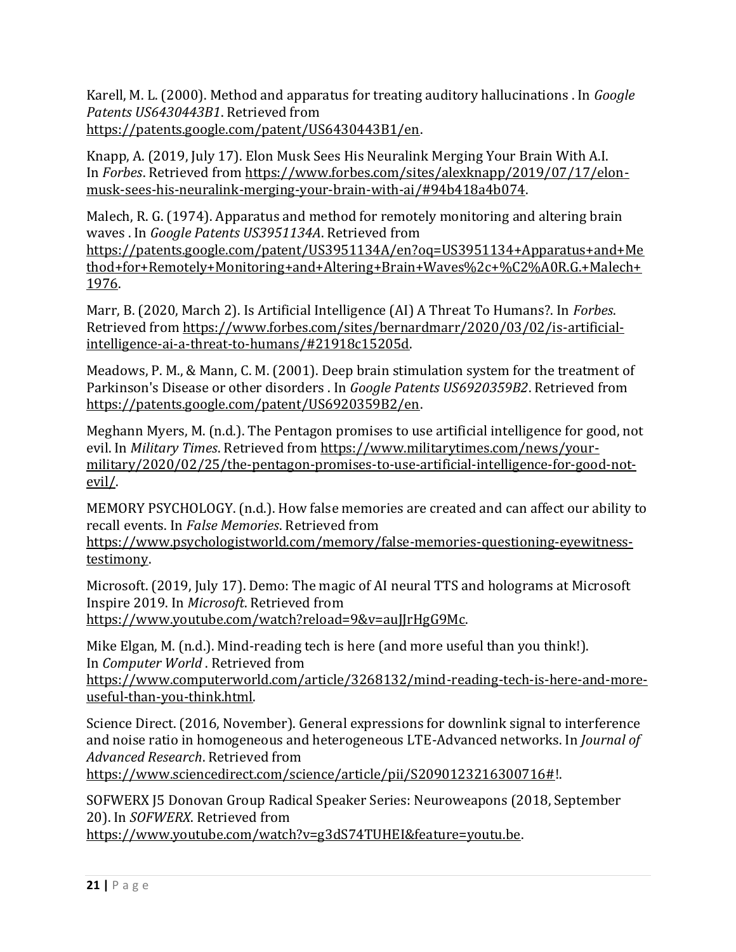Karell, M. L. (2000). Method and apparatus for treating auditory hallucinations . In *Google Patents US6430443B1*. Retrieved from [https://patents.google.com/patent/US6430443B1/en.](https://patents.google.com/patent/US6430443B1/en)

Knapp, A. (2019, July 17). Elon Musk Sees His Neuralink Merging Your Brain With A.I. In *Forbes*. Retrieved from [https://www.forbes.com/sites/alexknapp/2019/07/17/elon](https://www.forbes.com/sites/alexknapp/2019/07/17/elon-musk-sees-his-neuralink-merging-your-brain-with-ai/#94b418a4b074)[musk-sees-his-neuralink-merging-your-brain-with-ai/#94b418a4b074.](https://www.forbes.com/sites/alexknapp/2019/07/17/elon-musk-sees-his-neuralink-merging-your-brain-with-ai/#94b418a4b074) 

Malech, R. G. (1974). Apparatus and method for remotely monitoring and altering brain waves . In *Google Patents US3951134A*. Retrieved from

[https://patents.google.com/patent/US3951134A/en?oq=US3951134+Apparatus+and+Me](https://patents.google.com/patent/US3951134A/en?oq=US3951134+Apparatus+and+Method+for+Remotely+Monitoring+and+Altering+Brain+Waves%2c+%C2%A0R.G.+Malech+1976) [thod+for+Remotely+Monitoring+and+Altering+Brain+Waves%2c+%C2%A0R.G.+Malech+](https://patents.google.com/patent/US3951134A/en?oq=US3951134+Apparatus+and+Method+for+Remotely+Monitoring+and+Altering+Brain+Waves%2c+%C2%A0R.G.+Malech+1976) [1976.](https://patents.google.com/patent/US3951134A/en?oq=US3951134+Apparatus+and+Method+for+Remotely+Monitoring+and+Altering+Brain+Waves%2c+%C2%A0R.G.+Malech+1976) 

Marr, B. (2020, March 2). Is Artificial Intelligence (AI) A Threat To Humans?. In *Forbes*. Retrieved from [https://www.forbes.com/sites/bernardmarr/2020/03/02/is-artificial](https://www.forbes.com/sites/bernardmarr/2020/03/02/is-artificial-intelligence-ai-a-threat-to-humans/#21918c15205d)[intelligence-ai-a-threat-to-humans/#21918c15205d.](https://www.forbes.com/sites/bernardmarr/2020/03/02/is-artificial-intelligence-ai-a-threat-to-humans/#21918c15205d)

Meadows, P. M., & Mann, C. M. (2001). Deep brain stimulation system for the treatment of Parkinson's Disease or other disorders . In *Google Patents US6920359B2*. Retrieved from [https://patents.google.com/patent/US6920359B2/en.](https://patents.google.com/patent/US6920359B2/en)

Meghann Myers, M. (n.d.). The Pentagon promises to use artificial intelligence for good, not evil. In *Military Times*. Retrieved from [https://www.militarytimes.com/news/your](https://www.militarytimes.com/news/your-military/2020/02/25/the-pentagon-promises-to-use-artificial-intelligence-for-good-not-evil/)[military/2020/02/25/the-pentagon-promises-to-use-artificial-intelligence-for-good-not](https://www.militarytimes.com/news/your-military/2020/02/25/the-pentagon-promises-to-use-artificial-intelligence-for-good-not-evil/)[evil/.](https://www.militarytimes.com/news/your-military/2020/02/25/the-pentagon-promises-to-use-artificial-intelligence-for-good-not-evil/) 

MEMORY PSYCHOLOGY. (n.d.). How false memories are created and can affect our ability to recall events. In *False Memories*. Retrieved from

[https://www.psychologistworld.com/memory/false-memories-questioning-eyewitness](https://www.psychologistworld.com/memory/false-memories-questioning-eyewitness-testimony)[testimony.](https://www.psychologistworld.com/memory/false-memories-questioning-eyewitness-testimony)

Microsoft. (2019, July 17). Demo: The magic of AI neural TTS and holograms at Microsoft Inspire 2019. In *Microsoft*. Retrieved from [https://www.youtube.com/watch?reload=9&v=auJJrHgG9Mc.](https://www.youtube.com/watch?reload=9&v=auJJrHgG9Mc) 

Mike Elgan, M. (n.d.). Mind-reading tech is here (and more useful than you think!). In *Computer World* . Retrieved from

[https://www.computerworld.com/article/3268132/mind-reading-tech-is-here-and-more](https://www.computerworld.com/article/3268132/mind-reading-tech-is-here-and-more-useful-than-you-think.html)[useful-than-you-think.html.](https://www.computerworld.com/article/3268132/mind-reading-tech-is-here-and-more-useful-than-you-think.html)

Science Direct. (2016, November). General expressions for downlink signal to interference and noise ratio in homogeneous and heterogeneous LTE-Advanced networks. In *Journal of Advanced Research*. Retrieved from

[https://www.sciencedirect.com/science/article/pii/S2090123216300716#!](https://www.sciencedirect.com/science/article/pii/S2090123216300716).

SOFWERX J5 Donovan Group Radical Speaker Series: Neuroweapons (2018, September 20). In *SOFWERX*. Retrieved from [https://www.youtube.com/watch?v=g3dS74TUHEI&feature=youtu.be.](https://www.youtube.com/watch?v=g3dS74TUHEI&feature=youtu.be)

**21 |** P a g e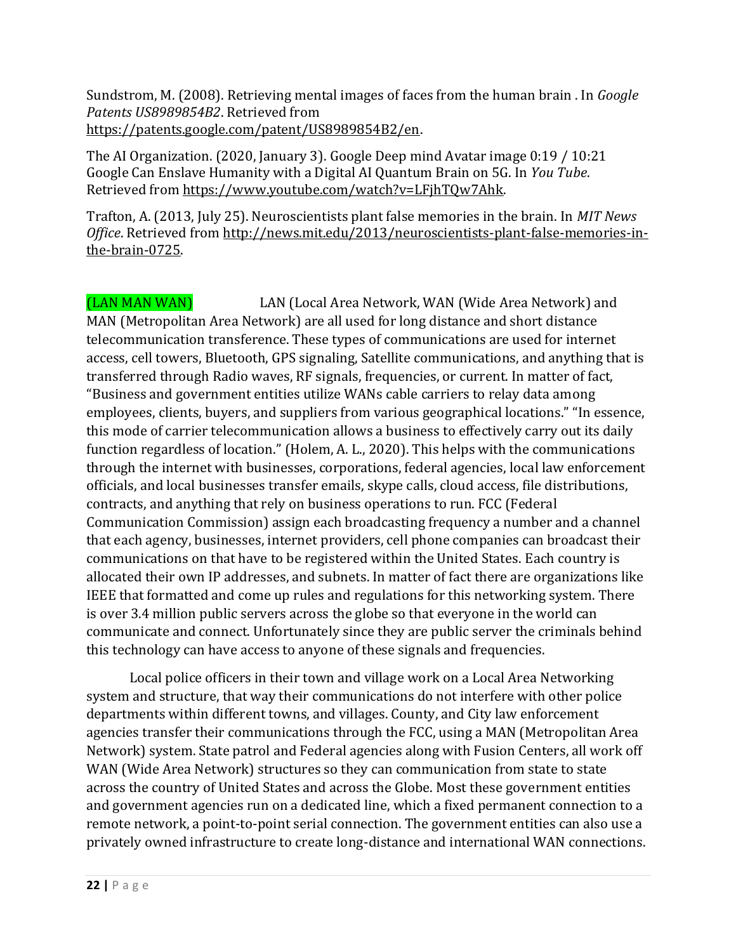Sundstrom, M. (2008). Retrieving mental images of faces from the human brain . In *Google Patents US8989854B2*. Retrieved from [https://patents.google.com/patent/US8989854B2/en.](https://patents.google.com/patent/US8989854B2/en)

The AI Organization. (2020, January 3). Google Deep mind Avatar image 0:19 / 10:21 Google Can Enslave Humanity with a Digital AI Quantum Brain on 5G. In *You Tube*. Retrieved from [https://www.youtube.com/watch?v=LFjhTQw7Ahk.](https://www.youtube.com/watch?v=LFjhTQw7Ahk)

Trafton, A. (2013, July 25). Neuroscientists plant false memories in the brain. In *MIT News Office*. Retrieved from [http://news.mit.edu/2013/neuroscientists-plant-false-memories-in](http://news.mit.edu/2013/neuroscientists-plant-false-memories-in-the-brain-0725)[the-brain-0725.](http://news.mit.edu/2013/neuroscientists-plant-false-memories-in-the-brain-0725) 

(LAN MAN WAN) LAN (Local Area Network, WAN (Wide Area Network) and MAN (Metropolitan Area Network) are all used for long distance and short distance telecommunication transference. These types of communications are used for internet access, cell towers, Bluetooth, GPS signaling, Satellite communications, and anything that is transferred through Radio waves, RF signals, frequencies, or current. In matter of fact, "Business and government entities utilize WANs cable carriers to relay data among employees, clients, buyers, and suppliers from various geographical locations." "In essence, this mode of carrier telecommunication allows a business to effectively carry out its daily function regardless of location." (Holem, A. L., 2020). This helps with the communications through the internet with businesses, corporations, federal agencies, local law enforcement officials, and local businesses transfer emails, skype calls, cloud access, file distributions, contracts, and anything that rely on business operations to run. FCC (Federal Communication Commission) assign each broadcasting frequency a number and a channel that each agency, businesses, internet providers, cell phone companies can broadcast their communications on that have to be registered within the United States. Each country is allocated their own IP addresses, and subnets. In matter of fact there are organizations like IEEE that formatted and come up rules and regulations for this networking system. There is over 3.4 million public servers across the globe so that everyone in the world can communicate and connect. Unfortunately since they are public server the criminals behind this technology can have access to anyone of these signals and frequencies.

Local police officers in their town and village work on a Local Area Networking system and structure, that way their communications do not interfere with other police departments within different towns, and villages. County, and City law enforcement agencies transfer their communications through the FCC, using a MAN (Metropolitan Area Network) system. State patrol and Federal agencies along with Fusion Centers, all work off WAN (Wide Area Network) structures so they can communication from state to state across the country of United States and across the Globe. Most these government entities and government agencies run on a dedicated line, which a fixed permanent connection to a remote network, a point-to-point serial connection. The government entities can also use a privately owned infrastructure to create long-distance and international WAN connections.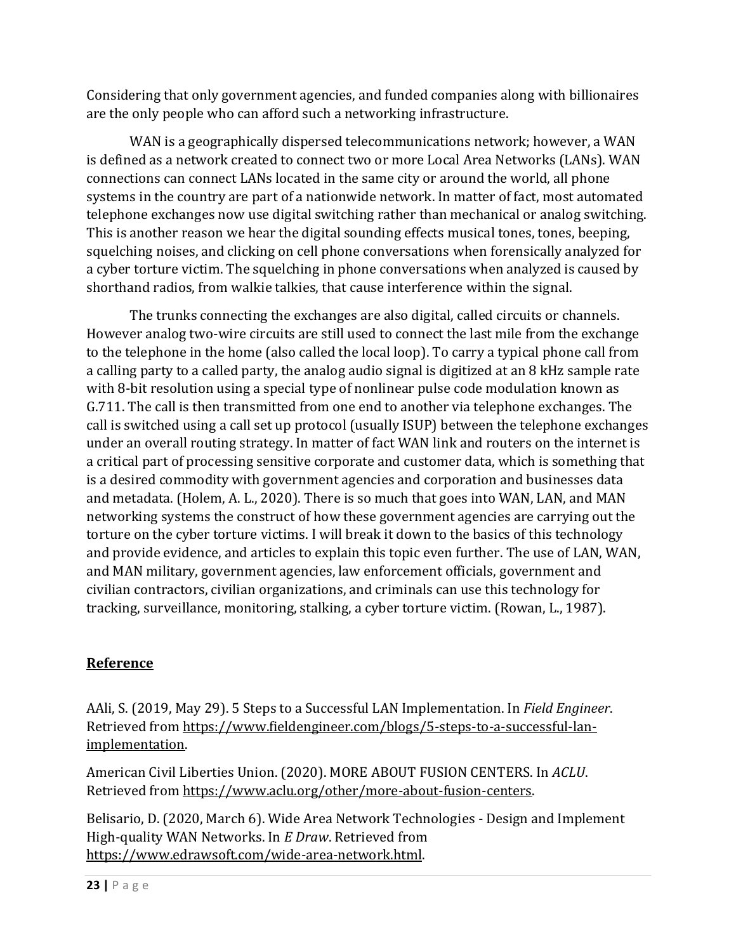Considering that only government agencies, and funded companies along with billionaires are the only people who can afford such a networking infrastructure.

WAN is a geographically dispersed telecommunications network; however, a WAN is defined as a network created to connect two or more Local Area Networks (LANs). WAN connections can connect LANs located in the same city or around the world, all phone systems in the country are part of a nationwide network. In matter of fact, most automated telephone exchanges now use digital switching rather than mechanical or analog switching. This is another reason we hear the digital sounding effects musical tones, tones, beeping, squelching noises, and clicking on cell phone conversations when forensically analyzed for a cyber torture victim. The squelching in phone conversations when analyzed is caused by shorthand radios, from walkie talkies, that cause interference within the signal.

The trunks connecting the exchanges are also digital, called circuits or channels. However analog two-wire circuits are still used to connect the last mile from the exchange to the telephone in the home (also called the local loop). To carry a typical phone call from a calling party to a called party, the analog audio signal is digitized at an 8 kHz sample rate with 8-bit resolution using a special type of nonlinear pulse code modulation known as G.711. The call is then transmitted from one end to another via telephone exchanges. The call is switched using a call set up protocol (usually ISUP) between the telephone exchanges under an overall routing strategy. In matter of fact WAN link and routers on the internet is a critical part of processing sensitive corporate and customer data, which is something that is a desired commodity with government agencies and corporation and businesses data and metadata. (Holem, A. L., 2020). There is so much that goes into WAN, LAN, and MAN networking systems the construct of how these government agencies are carrying out the torture on the cyber torture victims. I will break it down to the basics of this technology and provide evidence, and articles to explain this topic even further. The use of LAN, WAN, and MAN military, government agencies, law enforcement officials, government and civilian contractors, civilian organizations, and criminals can use this technology for tracking, surveillance, monitoring, stalking, a cyber torture victim. (Rowan, L., 1987).

# **Reference**

AAli, S. (2019, May 29). 5 Steps to a Successful LAN Implementation. In *Field Engineer*. Retrieved from [https://www.fieldengineer.com/blogs/5-steps-to-a-successful-lan](https://www.fieldengineer.com/blogs/5-steps-to-a-successful-lan-implementation)[implementation.](https://www.fieldengineer.com/blogs/5-steps-to-a-successful-lan-implementation)

American Civil Liberties Union. (2020). MORE ABOUT FUSION CENTERS. In *ACLU*. Retrieved from [https://www.aclu.org/other/more-about-fusion-centers.](https://www.aclu.org/other/more-about-fusion-centers)

Belisario, D. (2020, March 6). Wide Area Network Technologies - Design and Implement High-quality WAN Networks. In *E Draw*. Retrieved from [https://www.edrawsoft.com/wide-area-network.html.](https://www.edrawsoft.com/wide-area-network.html)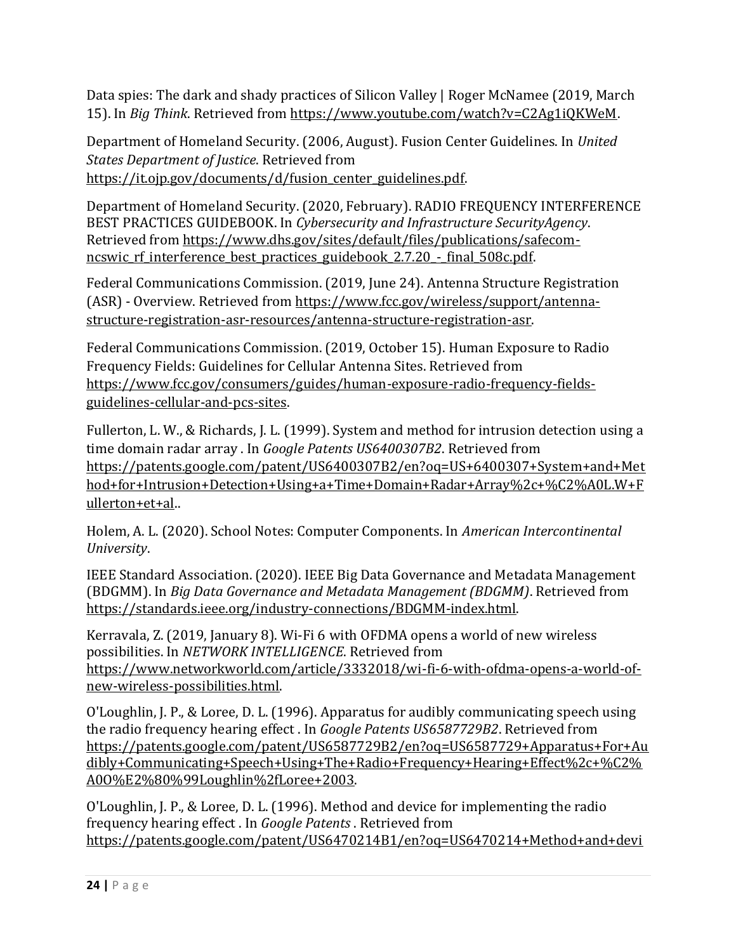Data spies: The dark and shady practices of Silicon Valley | Roger McNamee (2019, March 15). In *Big Think*. Retrieved from [https://www.youtube.com/watch?v=C2Ag1iQKWeM.](https://www.youtube.com/watch?v=C2Ag1iQKWeM)

Department of Homeland Security. (2006, August). Fusion Center Guidelines. In *United States Department of Justice*. Retrieved from [https://it.ojp.gov/documents/d/fusion\\_center\\_guidelines.pdf.](https://it.ojp.gov/documents/d/fusion_center_guidelines.pdf)

Department of Homeland Security. (2020, February). RADIO FREQUENCY INTERFERENCE BEST PRACTICES GUIDEBOOK. In *Cybersecurity and Infrastructure SecurityAgency*. Retrieved from [https://www.dhs.gov/sites/default/files/publications/safecom](https://www.dhs.gov/sites/default/files/publications/safecom-ncswic_rf_interference_best_practices_guidebook_2.7.20_-_final_508c.pdf)ncswic rf interference best practices guidebook 2.7.20 - final 508c.pdf.

Federal Communications Commission. (2019, June 24). Antenna Structure Registration (ASR) - Overview. Retrieved from [https://www.fcc.gov/wireless/support/antenna](https://www.fcc.gov/wireless/support/antenna-structure-registration-asr-resources/antenna-structure-registration-asr)[structure-registration-asr-resources/antenna-structure-registration-asr.](https://www.fcc.gov/wireless/support/antenna-structure-registration-asr-resources/antenna-structure-registration-asr)

Federal Communications Commission. (2019, October 15). Human Exposure to Radio Frequency Fields: Guidelines for Cellular Antenna Sites. Retrieved from [https://www.fcc.gov/consumers/guides/human-exposure-radio-frequency-fields](https://www.fcc.gov/consumers/guides/human-exposure-radio-frequency-fields-guidelines-cellular-and-pcs-sites)[guidelines-cellular-and-pcs-sites.](https://www.fcc.gov/consumers/guides/human-exposure-radio-frequency-fields-guidelines-cellular-and-pcs-sites)

Fullerton, L. W., & Richards, J. L. (1999). System and method for intrusion detection using a time domain radar array . In *Google Patents US6400307B2*. Retrieved from [https://patents.google.com/patent/US6400307B2/en?oq=US+6400307+System+and+Met](https://patents.google.com/patent/US6400307B2/en?oq=US+6400307+System+and+Method+for+Intrusion+Detection+Using+a+Time+Domain+Radar+Array%2c+%C2%A0L.W+Fullerton+et+al) [hod+for+Intrusion+Detection+Using+a+Time+Domain+Radar+Array%2c+%C2%A0L.W+F](https://patents.google.com/patent/US6400307B2/en?oq=US+6400307+System+and+Method+for+Intrusion+Detection+Using+a+Time+Domain+Radar+Array%2c+%C2%A0L.W+Fullerton+et+al) [ullerton+et+al..](https://patents.google.com/patent/US6400307B2/en?oq=US+6400307+System+and+Method+for+Intrusion+Detection+Using+a+Time+Domain+Radar+Array%2c+%C2%A0L.W+Fullerton+et+al)

Holem, A. L. (2020). School Notes: Computer Components. In *American Intercontinental University*.

IEEE Standard Association. (2020). IEEE Big Data Governance and Metadata Management (BDGMM). In *Big Data Governance and Metadata Management (BDGMM)*. Retrieved from [https://standards.ieee.org/industry-connections/BDGMM-index.html.](https://standards.ieee.org/industry-connections/BDGMM-index.html)

Kerravala, Z. (2019, January 8). Wi-Fi 6 with OFDMA opens a world of new wireless possibilities. In *NETWORK INTELLIGENCE*. Retrieved from [https://www.networkworld.com/article/3332018/wi-fi-6-with-ofdma-opens-a-world-of](https://www.networkworld.com/article/3332018/wi-fi-6-with-ofdma-opens-a-world-of-new-wireless-possibilities.html)[new-wireless-possibilities.html.](https://www.networkworld.com/article/3332018/wi-fi-6-with-ofdma-opens-a-world-of-new-wireless-possibilities.html)

O'Loughlin, J. P., & Loree, D. L. (1996). Apparatus for audibly communicating speech using the radio frequency hearing effect . In *Google Patents US6587729B2*. Retrieved from [https://patents.google.com/patent/US6587729B2/en?oq=US6587729+Apparatus+For+Au](https://patents.google.com/patent/US6587729B2/en?oq=US6587729+Apparatus+For+Audibly+Communicating+Speech+Using+The+Radio+Frequency+Hearing+Effect%2c+%C2%A0O%E2%80%99Loughlin%2fLoree+2003) [dibly+Communicating+Speech+Using+The+Radio+Frequency+Hearing+Effect%2c+%C2%](https://patents.google.com/patent/US6587729B2/en?oq=US6587729+Apparatus+For+Audibly+Communicating+Speech+Using+The+Radio+Frequency+Hearing+Effect%2c+%C2%A0O%E2%80%99Loughlin%2fLoree+2003) [A0O%E2%80%99Loughlin%2fLoree+2003.](https://patents.google.com/patent/US6587729B2/en?oq=US6587729+Apparatus+For+Audibly+Communicating+Speech+Using+The+Radio+Frequency+Hearing+Effect%2c+%C2%A0O%E2%80%99Loughlin%2fLoree+2003)

O'Loughlin, J. P., & Loree, D. L. (1996). Method and device for implementing the radio frequency hearing effect . In *Google Patents* . Retrieved from [https://patents.google.com/patent/US6470214B1/en?oq=US6470214+Method+and+devi](https://patents.google.com/patent/US6470214B1/en?oq=US6470214+Method+and+device+For+Implementing+The+Radio+Frequency+Hearing+Effect%2c+%C2%A0O%E2%80%99Loughlin%2fLoree+200)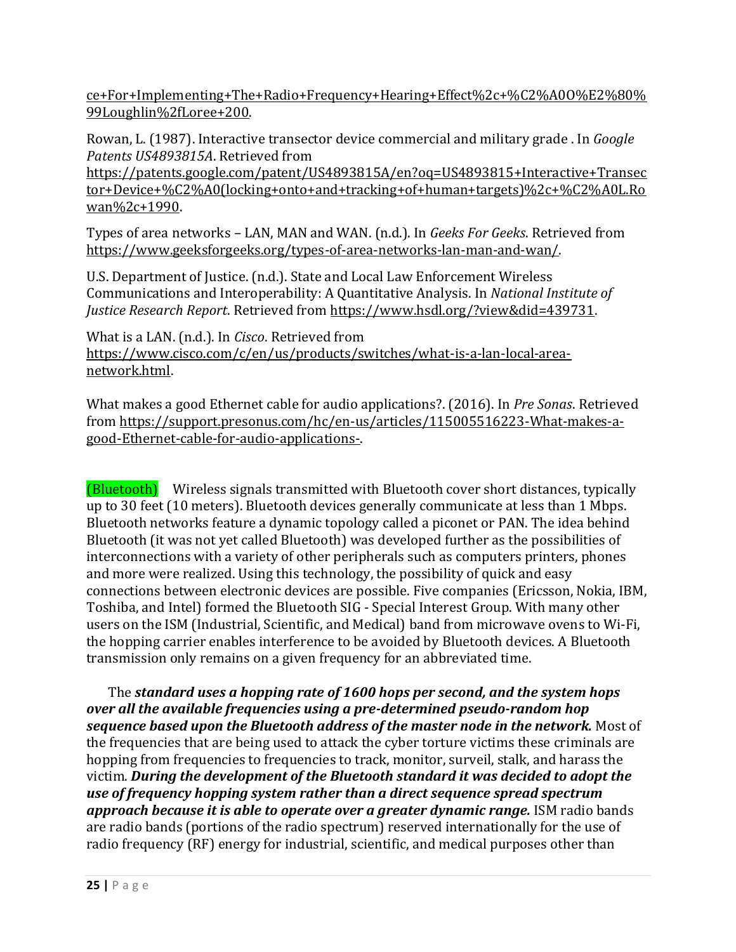[ce+For+Implementing+The+Radio+Frequency+Hearing+Effect%2c+%C2%A0O%E2%80%](https://patents.google.com/patent/US6470214B1/en?oq=US6470214+Method+and+device+For+Implementing+The+Radio+Frequency+Hearing+Effect%2c+%C2%A0O%E2%80%99Loughlin%2fLoree+200) [99Loughlin%2fLoree+200.](https://patents.google.com/patent/US6470214B1/en?oq=US6470214+Method+and+device+For+Implementing+The+Radio+Frequency+Hearing+Effect%2c+%C2%A0O%E2%80%99Loughlin%2fLoree+200) 

Rowan, L. (1987). Interactive transector device commercial and military grade . In *Google Patents US4893815A*. Retrieved from

[https://patents.google.com/patent/US4893815A/en?oq=US4893815+Interactive+Transec](https://patents.google.com/patent/US4893815A/en?oq=US4893815+Interactive+Transector+Device+%C2%A0(locking+onto+and+tracking+of+human+targets)%2c+%C2%A0L.Rowan%2c+1990) [tor+Device+%C2%A0\(locking+onto+and+tracking+of+human+targets\)%2c+%C2%A0L.Ro](https://patents.google.com/patent/US4893815A/en?oq=US4893815+Interactive+Transector+Device+%C2%A0(locking+onto+and+tracking+of+human+targets)%2c+%C2%A0L.Rowan%2c+1990) [wan%2c+1990.](https://patents.google.com/patent/US4893815A/en?oq=US4893815+Interactive+Transector+Device+%C2%A0(locking+onto+and+tracking+of+human+targets)%2c+%C2%A0L.Rowan%2c+1990)

Types of area networks – LAN, MAN and WAN. (n.d.). In *Geeks For Geeks*. Retrieved from [https://www.geeksforgeeks.org/types-of-area-networks-lan-man-and-wan/.](https://www.geeksforgeeks.org/types-of-area-networks-lan-man-and-wan/)

U.S. Department of Justice. (n.d.). State and Local Law Enforcement Wireless Communications and Interoperability: A Quantitative Analysis. In *National Institute of Justice Research Report*. Retrieved from [https://www.hsdl.org/?view&did=439731.](https://www.hsdl.org/?view&did=439731)

What is a LAN. (n.d.). In *Cisco*. Retrieved from [https://www.cisco.com/c/en/us/products/switches/what-is-a-lan-local-area](https://www.cisco.com/c/en/us/products/switches/what-is-a-lan-local-area-network.html)[network.html.](https://www.cisco.com/c/en/us/products/switches/what-is-a-lan-local-area-network.html)

What makes a good Ethernet cable for audio applications?. (2016). In *Pre Sonas*. Retrieved from [https://support.presonus.com/hc/en-us/articles/115005516223-What-makes-a](https://support.presonus.com/hc/en-us/articles/115005516223-What-makes-a-good-Ethernet-cable-for-audio-applications-)[good-Ethernet-cable-for-audio-applications-.](https://support.presonus.com/hc/en-us/articles/115005516223-What-makes-a-good-Ethernet-cable-for-audio-applications-)

(Bluetooth) Wireless signals transmitted with Bluetooth cover short distances, typically up to 30 feet (10 meters). Bluetooth devices generally communicate at less than 1 Mbps. Bluetooth networks feature a dynamic topology called a piconet or PAN. The idea behind Bluetooth (it was not yet called Bluetooth) was developed further as the possibilities of interconnections with a variety of other peripherals such as computers printers, phones and more were realized. Using this technology, the possibility of quick and easy connections between electronic devices are possible. Five companies (Ericsson, Nokia, IBM, Toshiba, and Intel) formed the Bluetooth SIG - Special Interest Group. With many other users on the ISM (Industrial, Scientific, and Medical) band from microwave ovens to Wi-Fi, the hopping carrier enables interference to be avoided by Bluetooth devices. A Bluetooth transmission only remains on a given frequency for an abbreviated time.

The *standard uses a hopping rate of 1600 hops per second, and the system hops over all the available frequencies using a pre-determined pseudo-random hop sequence based upon the Bluetooth address of the master node in the network.* Most of the frequencies that are being used to attack the cyber torture victims these criminals are hopping from frequencies to frequencies to track, monitor, surveil, stalk, and harass the victim. *During the development of the Bluetooth standard it was decided to adopt the use of frequency hopping system rather than a direct sequence spread spectrum approach because it is able to operate over a greater dynamic range.* ISM radio bands are radio bands (portions of the radio spectrum) reserved internationally for the use of radio frequency (RF) energy for industrial, scientific, and medical purposes other than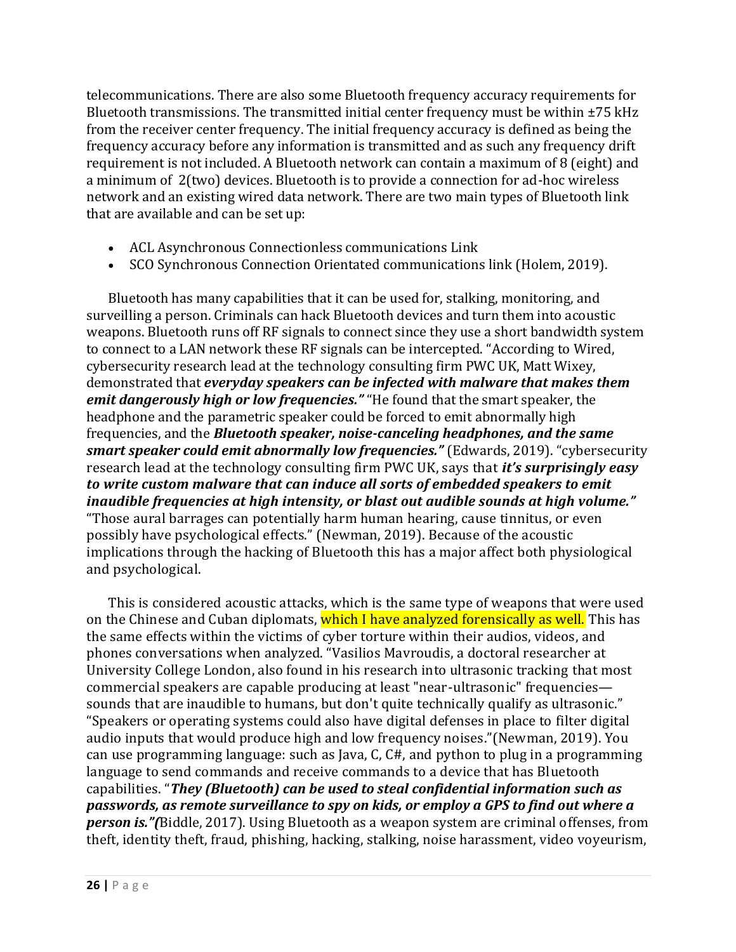telecommunications. There are also some Bluetooth frequency accuracy requirements for Bluetooth transmissions. The transmitted initial center frequency must be within  $\pm 75$  kHz from the receiver center frequency. The initial frequency accuracy is defined as being the frequency accuracy before any information is transmitted and as such any frequency drift requirement is not included. A Bluetooth network can contain a maximum of 8 (eight) and a minimum of 2(two) devices. Bluetooth is to provide a connection for ad-hoc wireless network and an existing wired data network. There are two main types of Bluetooth link that are available and can be set up:

- ACL Asynchronous Connectionless communications Link
- SCO Synchronous Connection Orientated communications link (Holem, 2019).

Bluetooth has many capabilities that it can be used for, stalking, monitoring, and surveilling a person. Criminals can hack Bluetooth devices and turn them into acoustic weapons. Bluetooth runs off RF signals to connect since they use a short bandwidth system to connect to a LAN network these RF signals can be intercepted. "[According to Wired,](https://www.wired.com/story/acoustic-cyberweapons-defcon/)  cybersecurity research lead at the technology consulting firm PWC UK, Matt Wixey, demonstrated that *everyday speakers can be infected with malware that makes them emit dangerously high or low frequencies."* "He found that the smart speaker, the headphone and the parametric speaker could be forced to emit abnormally high frequencies, and the *Bluetooth speaker, noise-canceling headphones, and the same smart speaker could emit abnormally low frequencies."* (Edwards, 2019). "cybersecurity research lead at the technology consulting firm PWC UK, says that *it's surprisingly easy to write custom malware that can induce all sorts of embedded speakers to emit inaudible frequencies at high intensity, or blast out audible sounds at high volume."* "Those aural barrages can potentially harm human hearing, cause tinnitus, or even possibly have psychological effects." (Newman, 2019). Because of the acoustic implications through the hacking of Bluetooth this has a major affect both physiological and psychological.

This is considered acoustic attacks, which is the same type of weapons that were used on the Chinese and Cuban diplomats, which I have analyzed forensically as well. This has the same effects within the victims of cyber torture within their audios, videos, and phones conversations when analyzed. "Vasilios Mavroudis, a doctoral researcher at University College London, also found in his research into ultrasonic tracking that most commercial speakers are capable producing at least "near-ultrasonic" frequencies sounds that are inaudible to humans, but don't quite technically qualify as ultrasonic." "Speakers or operating systems could also have digital defenses in place to filter digital audio inputs that would produce high and low frequency noises."(Newman, 2019). You can use programming language: such as Java, C, C#, and python to plug in a programming language to send commands and receive commands to a device that has Bluetooth capabilities. "*They (Bluetooth) can be used to steal confidential information such as passwords, as remote surveillance to spy on kids, or employ a GPS to find out where a person is."(*Biddle, 2017). Using Bluetooth as a weapon system are criminal offenses, from theft, identity theft, fraud, phishing, hacking, stalking, noise harassment, video voyeurism,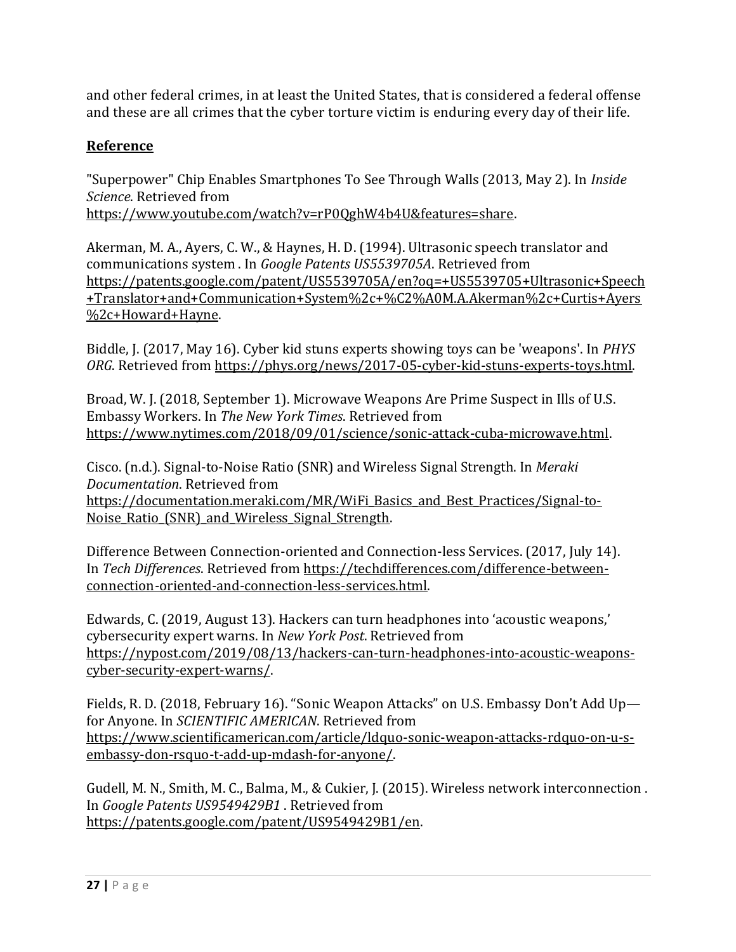and other federal crimes, in at least the United States, that is considered a federal offense and these are all crimes that the cyber torture victim is enduring every day of their life.

## **Reference**

"Superpower" Chip Enables Smartphones To See Through Walls (2013, May 2). In *Inside Science*. Retrieved from

[https://www.youtube.com/watch?v=rP0QghW4b4U&features=share.](https://www.youtube.com/watch?v=rP0QghW4b4U&features=share)

Akerman, M. A., Ayers, C. W., & Haynes, H. D. (1994). Ultrasonic speech translator and communications system . In *Google Patents US5539705A*. Retrieved from [https://patents.google.com/patent/US5539705A/en?oq=+US5539705+Ultrasonic+Speech](https://patents.google.com/patent/US5539705A/en?oq=+US5539705+Ultrasonic+Speech+Translator+and+Communication+System%2c+%C2%A0M.A.Akerman%2c+Curtis+Ayers%2c+Howard+Hayne) [+Translator+and+Communication+System%2c+%C2%A0M.A.Akerman%2c+Curtis+Ayers](https://patents.google.com/patent/US5539705A/en?oq=+US5539705+Ultrasonic+Speech+Translator+and+Communication+System%2c+%C2%A0M.A.Akerman%2c+Curtis+Ayers%2c+Howard+Hayne) [%2c+Howard+Hayne.](https://patents.google.com/patent/US5539705A/en?oq=+US5539705+Ultrasonic+Speech+Translator+and+Communication+System%2c+%C2%A0M.A.Akerman%2c+Curtis+Ayers%2c+Howard+Hayne)

Biddle, J. (2017, May 16). Cyber kid stuns experts showing toys can be 'weapons'. In *PHYS ORG*. Retrieved from [https://phys.org/news/2017-05-cyber-kid-stuns-experts-toys.html.](https://phys.org/news/2017-05-cyber-kid-stuns-experts-toys.html) 

Broad, W. J. (2018, September 1). Microwave Weapons Are Prime Suspect in Ills of U.S. Embassy Workers. In *The New York Times*. Retrieved from [https://www.nytimes.com/2018/09/01/science/sonic-attack-cuba-microwave.html.](https://www.nytimes.com/2018/09/01/science/sonic-attack-cuba-microwave.html)

Cisco. (n.d.). Signal-to-Noise Ratio (SNR) and Wireless Signal Strength. In *Meraki Documentation*. Retrieved from [https://documentation.meraki.com/MR/WiFi\\_Basics\\_and\\_Best\\_Practices/Signal-to-](https://documentation.meraki.com/MR/WiFi_Basics_and_Best_Practices/Signal-to-Noise_Ratio_(SNR)_and_Wireless_Signal_Strength)Noise Ratio (SNR) and Wireless Signal Strength.

Difference Between Connection-oriented and Connection-less Services. (2017, July 14). In *Tech Differences*. Retrieved from [https://techdifferences.com/difference-between](https://techdifferences.com/difference-between-connection-oriented-and-connection-less-services.html)[connection-oriented-and-connection-less-services.html.](https://techdifferences.com/difference-between-connection-oriented-and-connection-less-services.html)

Edwards, C. (2019, August 13). Hackers can turn headphones into 'acoustic weapons,' cybersecurity expert warns. In *New York Post*. Retrieved from [https://nypost.com/2019/08/13/hackers-can-turn-headphones-into-acoustic-weapons](https://nypost.com/2019/08/13/hackers-can-turn-headphones-into-acoustic-weapons-cyber-security-expert-warns/)[cyber-security-expert-warns/.](https://nypost.com/2019/08/13/hackers-can-turn-headphones-into-acoustic-weapons-cyber-security-expert-warns/)

Fields, R. D. (2018, February 16). "Sonic Weapon Attacks" on U.S. Embassy Don't Add Up for Anyone. In *SCIENTIFIC AMERICAN*. Retrieved from [https://www.scientificamerican.com/article/ldquo-sonic-weapon-attacks-rdquo-on-u-s](https://www.scientificamerican.com/article/ldquo-sonic-weapon-attacks-rdquo-on-u-s-embassy-don-rsquo-t-add-up-mdash-for-anyone/)[embassy-don-rsquo-t-add-up-mdash-for-anyone/.](https://www.scientificamerican.com/article/ldquo-sonic-weapon-attacks-rdquo-on-u-s-embassy-don-rsquo-t-add-up-mdash-for-anyone/)

Gudell, M. N., Smith, M. C., Balma, M., & Cukier, J. (2015). Wireless network interconnection . In *Google Patents US9549429B1* . Retrieved from [https://patents.google.com/patent/US9549429B1/en.](https://patents.google.com/patent/US9549429B1/en)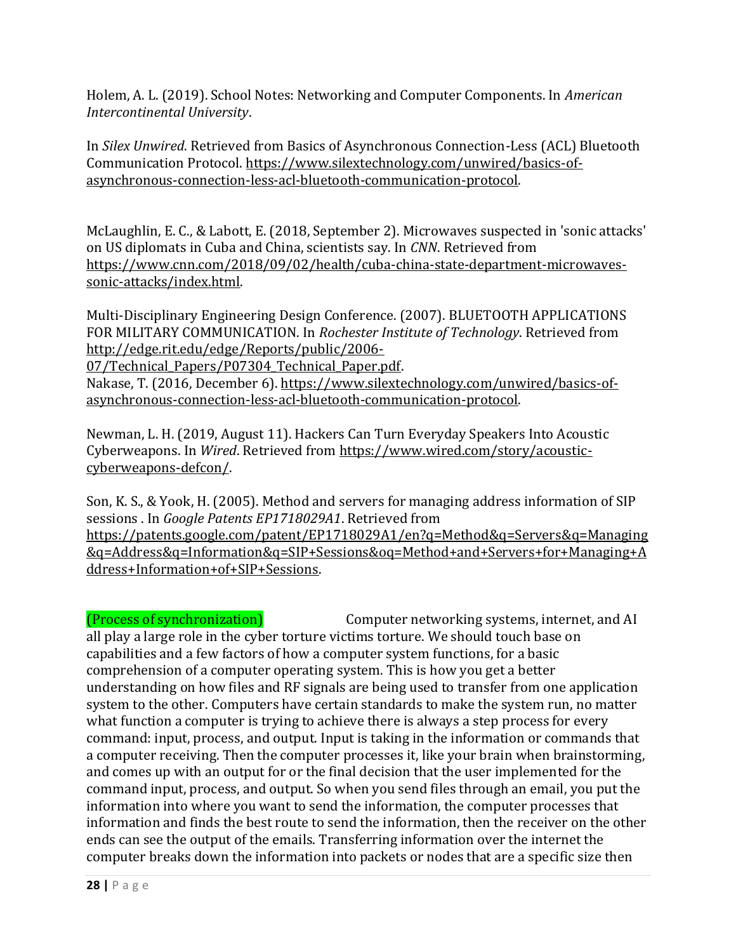Holem, A. L. (2019). School Notes: Networking and Computer Components. In *American Intercontinental University*.

In *Silex Unwired*. Retrieved from Basics of Asynchronous Connection-Less (ACL) Bluetooth Communication Protocol[. https://www.silextechnology.com/unwired/basics-of](https://www.silextechnology.com/unwired/basics-of-asynchronous-connection-less-acl-bluetooth-communication-protocol)[asynchronous-connection-less-acl-bluetooth-communication-protocol.](https://www.silextechnology.com/unwired/basics-of-asynchronous-connection-less-acl-bluetooth-communication-protocol) 

McLaughlin, E. C., & Labott, E. (2018, September 2). Microwaves suspected in 'sonic attacks' on US diplomats in Cuba and China, scientists say. In *CNN*. Retrieved from [https://www.cnn.com/2018/09/02/health/cuba-china-state-department-microwaves](https://www.cnn.com/2018/09/02/health/cuba-china-state-department-microwaves-sonic-attacks/index.html)[sonic-attacks/index.html.](https://www.cnn.com/2018/09/02/health/cuba-china-state-department-microwaves-sonic-attacks/index.html)

Multi-Disciplinary Engineering Design Conference. (2007). BLUETOOTH APPLICATIONS FOR MILITARY COMMUNICATION. In *Rochester Institute of Technology*. Retrieved from [http://edge.rit.edu/edge/Reports/public/2006-](http://edge.rit.edu/edge/Reports/public/2006-07/Technical_Papers/P07304_Technical_Paper.pdf)

07/Technical Papers/P07304 Technical Paper.pdf.

Nakase, T. (2016, December 6). [https://www.silextechnology.com/unwired/basics-of](https://www.silextechnology.com/unwired/basics-of-asynchronous-connection-less-acl-bluetooth-communication-protocol)[asynchronous-connection-less-acl-bluetooth-communication-protocol.](https://www.silextechnology.com/unwired/basics-of-asynchronous-connection-less-acl-bluetooth-communication-protocol) 

Newman, L. H. (2019, August 11). Hackers Can Turn Everyday Speakers Into Acoustic Cyberweapons. In *Wired*. Retrieved from [https://www.wired.com/story/acoustic](https://www.wired.com/story/acoustic-cyberweapons-defcon/)[cyberweapons-defcon/.](https://www.wired.com/story/acoustic-cyberweapons-defcon/)

Son, K. S., & Yook, H. (2005). Method and servers for managing address information of SIP sessions . In *Google Patents EP1718029A1*. Retrieved from [https://patents.google.com/patent/EP1718029A1/en?q=Method&q=Servers&q=Managing](https://patents.google.com/patent/EP1718029A1/en?q=Method&q=Servers&q=Managing&q=Address&q=Information&q=SIP+Sessions&oq=Method+and+Servers+for+Managing+Address+Information+of+SIP+Sessions) [&q=Address&q=Information&q=SIP+Sessions&oq=Method+and+Servers+for+Managing+A](https://patents.google.com/patent/EP1718029A1/en?q=Method&q=Servers&q=Managing&q=Address&q=Information&q=SIP+Sessions&oq=Method+and+Servers+for+Managing+Address+Information+of+SIP+Sessions) [ddress+Information+of+SIP+Sessions.](https://patents.google.com/patent/EP1718029A1/en?q=Method&q=Servers&q=Managing&q=Address&q=Information&q=SIP+Sessions&oq=Method+and+Servers+for+Managing+Address+Information+of+SIP+Sessions)

(Process of synchronization) Computer networking systems, internet, and AI all play a large role in the cyber torture victims torture. We should touch base on capabilities and a few factors of how a computer system functions, for a basic comprehension of a computer operating system. This is how you get a better understanding on how files and RF signals are being used to transfer from one application system to the other. Computers have certain standards to make the system run, no matter what function a computer is trying to achieve there is always a step process for every command: input, process, and output. Input is taking in the information or commands that a computer receiving. Then the computer processes it, like your brain when brainstorming, and comes up with an output for or the final decision that the user implemented for the command input, process, and output. So when you send files through an email, you put the information into where you want to send the information, the computer processes that information and finds the best route to send the information, then the receiver on the other ends can see the output of the emails. Transferring information over the internet the computer breaks down the information into packets or nodes that are a specific size then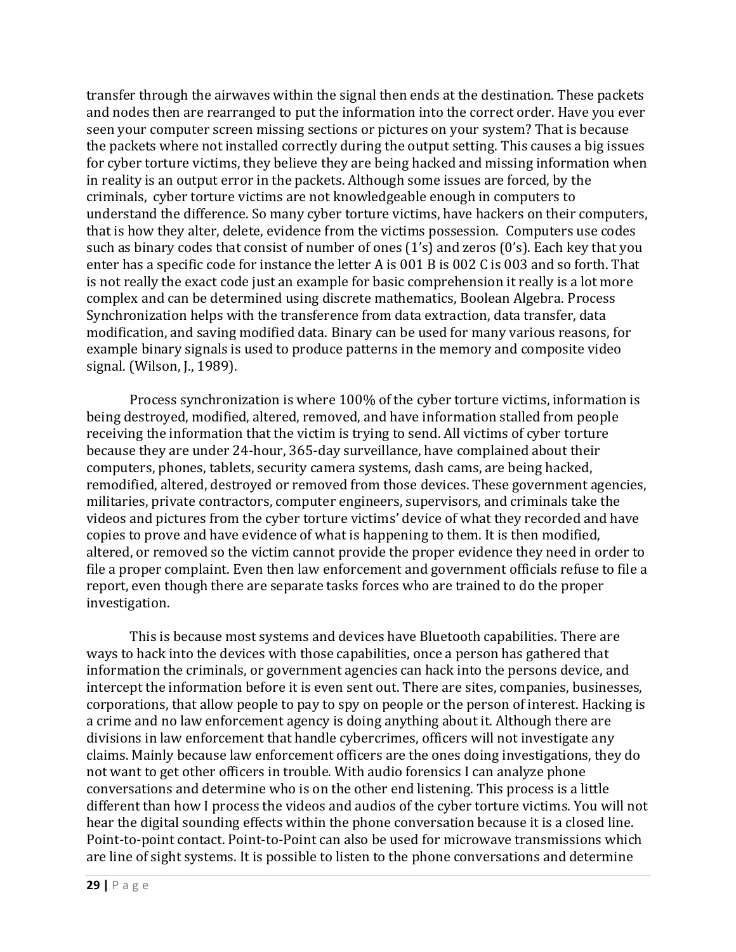transfer through the airwaves within the signal then ends at the destination. These packets and nodes then are rearranged to put the information into the correct order. Have you ever seen your computer screen missing sections or pictures on your system? That is because the packets where not installed correctly during the output setting. This causes a big issues for cyber torture victims, they believe they are being hacked and missing information when in reality is an output error in the packets. Although some issues are forced, by the criminals, cyber torture victims are not knowledgeable enough in computers to understand the difference. So many cyber torture victims, have hackers on their computers, that is how they alter, delete, evidence from the victims possession. Computers use codes such as binary codes that consist of number of ones (1's) and zeros (0's). Each key that you enter has a specific code for instance the letter A is 001 B is 002 C is 003 and so forth. That is not really the exact code just an example for basic comprehension it really is a lot more complex and can be determined using discrete mathematics, Boolean Algebra. Process Synchronization helps with the transference from data extraction, data transfer, data modification, and saving modified data. Binary can be used for many various reasons, for example binary signals is used to produce patterns in the memory and composite video signal. (Wilson, J., 1989).

Process synchronization is where 100% of the cyber torture victims, information is being destroyed, modified, altered, removed, and have information stalled from people receiving the information that the victim is trying to send. All victims of cyber torture because they are under 24-hour, 365-day surveillance, have complained about their computers, phones, tablets, security camera systems, dash cams, are being hacked, remodified, altered, destroyed or removed from those devices. These government agencies, militaries, private contractors, computer engineers, supervisors, and criminals take the videos and pictures from the cyber torture victims' device of what they recorded and have copies to prove and have evidence of what is happening to them. It is then modified, altered, or removed so the victim cannot provide the proper evidence they need in order to file a proper complaint. Even then law enforcement and government officials refuse to file a report, even though there are separate tasks forces who are trained to do the proper investigation.

This is because most systems and devices have Bluetooth capabilities. There are ways to hack into the devices with those capabilities, once a person has gathered that information the criminals, or government agencies can hack into the persons device, and intercept the information before it is even sent out. There are sites, companies, businesses, corporations, that allow people to pay to spy on people or the person of interest. Hacking is a crime and no law enforcement agency is doing anything about it. Although there are divisions in law enforcement that handle cybercrimes, officers will not investigate any claims. Mainly because law enforcement officers are the ones doing investigations, they do not want to get other officers in trouble. With audio forensics I can analyze phone conversations and determine who is on the other end listening. This process is a little different than how I process the videos and audios of the cyber torture victims. You will not hear the digital sounding effects within the phone conversation because it is a closed line. Point-to-point contact. Point-to-Point can also be used for microwave transmissions which are line of sight systems. It is possible to listen to the phone conversations and determine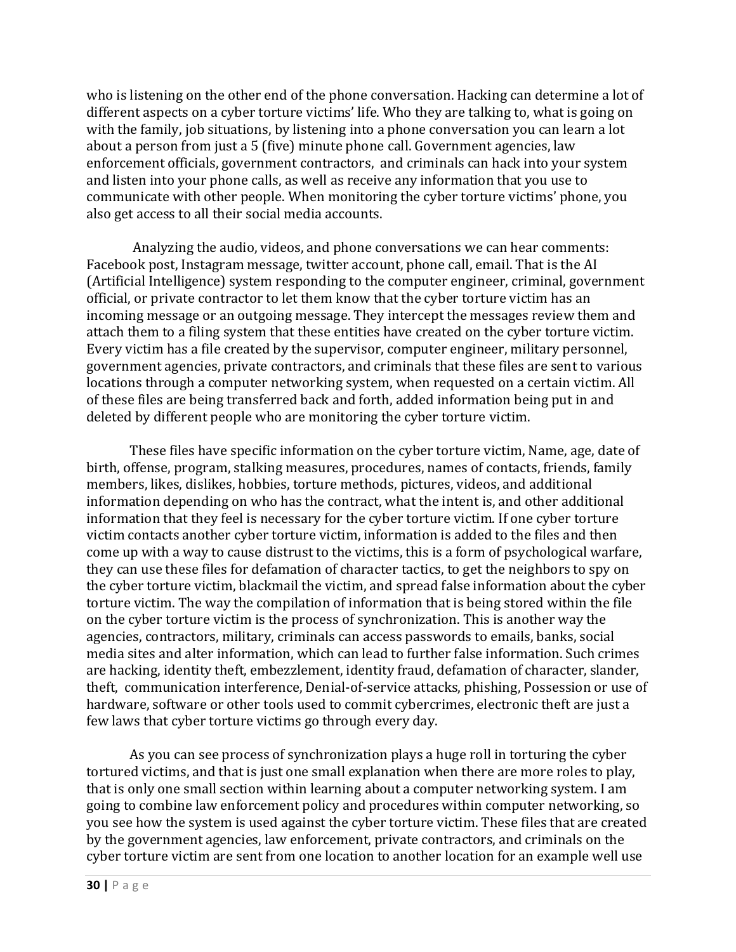who is listening on the other end of the phone conversation. Hacking can determine a lot of different aspects on a cyber torture victims' life. Who they are talking to, what is going on with the family, job situations, by listening into a phone conversation you can learn a lot about a person from just a 5 (five) minute phone call. Government agencies, law enforcement officials, government contractors, and criminals can hack into your system and listen into your phone calls, as well as receive any information that you use to communicate with other people. When monitoring the cyber torture victims' phone, you also get access to all their social media accounts.

Analyzing the audio, videos, and phone conversations we can hear comments: Facebook post, Instagram message, twitter account, phone call, email. That is the AI (Artificial Intelligence) system responding to the computer engineer, criminal, government official, or private contractor to let them know that the cyber torture victim has an incoming message or an outgoing message. They intercept the messages review them and attach them to a filing system that these entities have created on the cyber torture victim. Every victim has a file created by the supervisor, computer engineer, military personnel, government agencies, private contractors, and criminals that these files are sent to various locations through a computer networking system, when requested on a certain victim. All of these files are being transferred back and forth, added information being put in and deleted by different people who are monitoring the cyber torture victim.

These files have specific information on the cyber torture victim, Name, age, date of birth, offense, program, stalking measures, procedures, names of contacts, friends, family members, likes, dislikes, hobbies, torture methods, pictures, videos, and additional information depending on who has the contract, what the intent is, and other additional information that they feel is necessary for the cyber torture victim. If one cyber torture victim contacts another cyber torture victim, information is added to the files and then come up with a way to cause distrust to the victims, this is a form of psychological warfare, they can use these files for defamation of character tactics, to get the neighbors to spy on the cyber torture victim, blackmail the victim, and spread false information about the cyber torture victim. The way the compilation of information that is being stored within the file on the cyber torture victim is the process of synchronization. This is another way the agencies, contractors, military, criminals can access passwords to emails, banks, social media sites and alter information, which can lead to further false information. Such crimes are hacking, identity theft, embezzlement, identity fraud, defamation of character, slander, theft, communication interference, Denial-of-service attacks, phishing, Possession or use of hardware, software or other tools used to commit cybercrimes, electronic theft are just a few laws that cyber torture victims go through every day.

As you can see process of synchronization plays a huge roll in torturing the cyber tortured victims, and that is just one small explanation when there are more roles to play, that is only one small section within learning about a computer networking system. I am going to combine law enforcement policy and procedures within computer networking, so you see how the system is used against the cyber torture victim. These files that are created by the government agencies, law enforcement, private contractors, and criminals on the cyber torture victim are sent from one location to another location for an example well use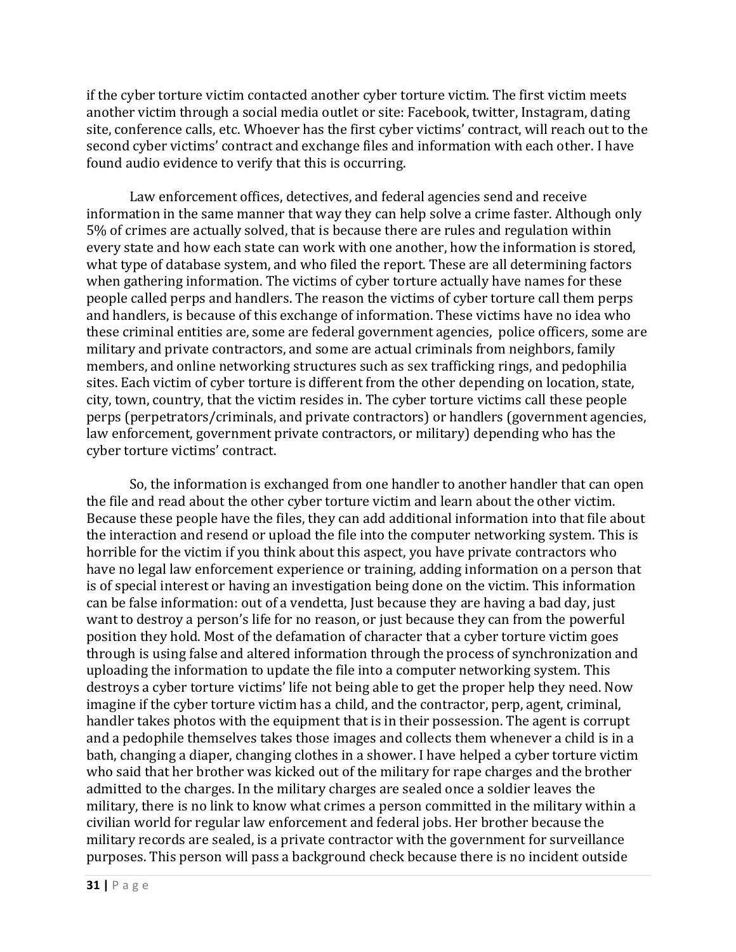if the cyber torture victim contacted another cyber torture victim. The first victim meets another victim through a social media outlet or site: Facebook, twitter, Instagram, dating site, conference calls, etc. Whoever has the first cyber victims' contract, will reach out to the second cyber victims' contract and exchange files and information with each other. I have found audio evidence to verify that this is occurring.

Law enforcement offices, detectives, and federal agencies send and receive information in the same manner that way they can help solve a crime faster. Although only 5% of crimes are actually solved, that is because there are rules and regulation within every state and how each state can work with one another, how the information is stored, what type of database system, and who filed the report. These are all determining factors when gathering information. The victims of cyber torture actually have names for these people called perps and handlers. The reason the victims of cyber torture call them perps and handlers, is because of this exchange of information. These victims have no idea who these criminal entities are, some are federal government agencies, police officers, some are military and private contractors, and some are actual criminals from neighbors, family members, and online networking structures such as sex trafficking rings, and pedophilia sites. Each victim of cyber torture is different from the other depending on location, state, city, town, country, that the victim resides in. The cyber torture victims call these people perps (perpetrators/criminals, and private contractors) or handlers (government agencies, law enforcement, government private contractors, or military) depending who has the cyber torture victims' contract.

So, the information is exchanged from one handler to another handler that can open the file and read about the other cyber torture victim and learn about the other victim. Because these people have the files, they can add additional information into that file about the interaction and resend or upload the file into the computer networking system. This is horrible for the victim if you think about this aspect, you have private contractors who have no legal law enforcement experience or training, adding information on a person that is of special interest or having an investigation being done on the victim. This information can be false information: out of a vendetta, Just because they are having a bad day, just want to destroy a person's life for no reason, or just because they can from the powerful position they hold. Most of the defamation of character that a cyber torture victim goes through is using false and altered information through the process of synchronization and uploading the information to update the file into a computer networking system. This destroys a cyber torture victims' life not being able to get the proper help they need. Now imagine if the cyber torture victim has a child, and the contractor, perp, agent, criminal, handler takes photos with the equipment that is in their possession. The agent is corrupt and a pedophile themselves takes those images and collects them whenever a child is in a bath, changing a diaper, changing clothes in a shower. I have helped a cyber torture victim who said that her brother was kicked out of the military for rape charges and the brother admitted to the charges. In the military charges are sealed once a soldier leaves the military, there is no link to know what crimes a person committed in the military within a civilian world for regular law enforcement and federal jobs. Her brother because the military records are sealed, is a private contractor with the government for surveillance purposes. This person will pass a background check because there is no incident outside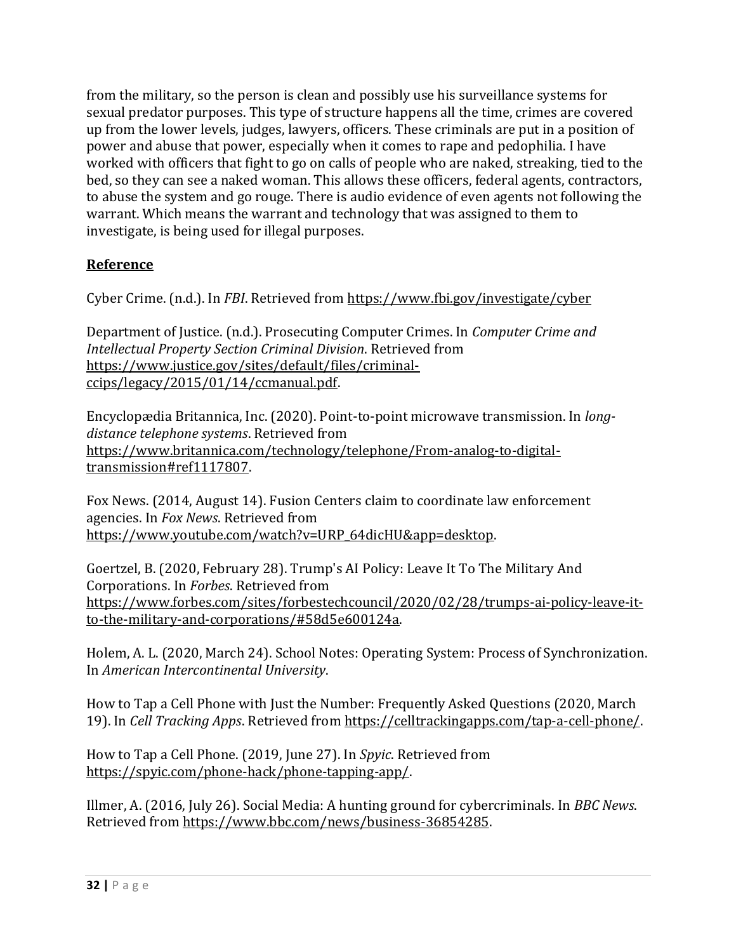from the military, so the person is clean and possibly use his surveillance systems for sexual predator purposes. This type of structure happens all the time, crimes are covered up from the lower levels, judges, lawyers, officers. These criminals are put in a position of power and abuse that power, especially when it comes to rape and pedophilia. I have worked with officers that fight to go on calls of people who are naked, streaking, tied to the bed, so they can see a naked woman. This allows these officers, federal agents, contractors, to abuse the system and go rouge. There is audio evidence of even agents not following the warrant. Which means the warrant and technology that was assigned to them to investigate, is being used for illegal purposes.

# **Reference**

Cyber Crime. (n.d.). In *FBI*. Retrieved from<https://www.fbi.gov/investigate/cyber>

Department of Justice. (n.d.). Prosecuting Computer Crimes. In *Computer Crime and Intellectual Property Section Criminal Division*. Retrieved from [https://www.justice.gov/sites/default/files/criminal](https://www.justice.gov/sites/default/files/criminal-ccips/legacy/2015/01/14/ccmanual.pdf)[ccips/legacy/2015/01/14/ccmanual.pdf.](https://www.justice.gov/sites/default/files/criminal-ccips/legacy/2015/01/14/ccmanual.pdf)

Encyclopædia Britannica, Inc. (2020). Point-to-point microwave transmission. In *longdistance telephone systems*. Retrieved from [https://www.britannica.com/technology/telephone/From-analog-to-digital](https://www.britannica.com/technology/telephone/From-analog-to-digital-transmission#ref1117807)[transmission#ref1117807.](https://www.britannica.com/technology/telephone/From-analog-to-digital-transmission#ref1117807)

Fox News. (2014, August 14). Fusion Centers claim to coordinate law enforcement agencies. In *Fox News*. Retrieved from [https://www.youtube.com/watch?v=URP\\_64dicHU&app=desktop.](https://www.youtube.com/watch?v=URP_64dicHU&app=desktop)

Goertzel, B. (2020, February 28). Trump's AI Policy: Leave It To The Military And Corporations. In *Forbes*. Retrieved from [https://www.forbes.com/sites/forbestechcouncil/2020/02/28/trumps-ai-policy-leave-it](https://www.forbes.com/sites/forbestechcouncil/2020/02/28/trumps-ai-policy-leave-it-to-the-military-and-corporations/#58d5e600124a)[to-the-military-and-corporations/#58d5e600124a.](https://www.forbes.com/sites/forbestechcouncil/2020/02/28/trumps-ai-policy-leave-it-to-the-military-and-corporations/#58d5e600124a)

Holem, A. L. (2020, March 24). School Notes: Operating System: Process of Synchronization. In *American Intercontinental University*.

How to Tap a Cell Phone with Just the Number: Frequently Asked Questions (2020, March 19). In *Cell Tracking Apps*. Retrieved fro[m https://celltrackingapps.com/tap-a-cell-phone/.](https://celltrackingapps.com/tap-a-cell-phone/)

How to Tap a Cell Phone. (2019, June 27). In *Spyic*. Retrieved from [https://spyic.com/phone-hack/phone-tapping-app/.](https://spyic.com/phone-hack/phone-tapping-app/)

Illmer, A. (2016, July 26). Social Media: A hunting ground for cybercriminals. In *BBC News*. Retrieved from [https://www.bbc.com/news/business-36854285.](https://www.bbc.com/news/business-36854285)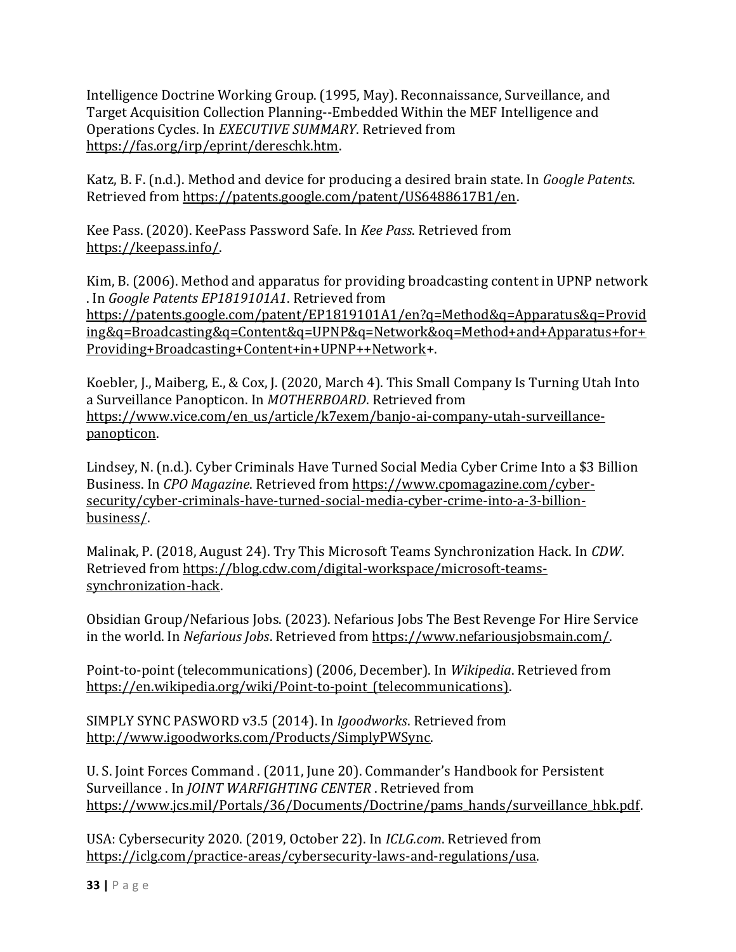Intelligence Doctrine Working Group. (1995, May). Reconnaissance, Surveillance, and Target Acquisition Collection Planning--Embedded Within the MEF Intelligence and Operations Cycles. In *EXECUTIVE SUMMARY*. Retrieved from [https://fas.org/irp/eprint/dereschk.htm.](https://fas.org/irp/eprint/dereschk.htm)

Katz, B. F. (n.d.). Method and device for producing a desired brain state. In *Google Patents*. Retrieved from [https://patents.google.com/patent/US6488617B1/en.](https://patents.google.com/patent/US6488617B1/en)

Kee Pass. (2020). KeePass Password Safe. In *Kee Pass*. Retrieved from [https://keepass.info/.](https://keepass.info/)

Kim, B. (2006). Method and apparatus for providing broadcasting content in UPNP network . In *Google Patents EP1819101A1*. Retrieved from [https://patents.google.com/patent/EP1819101A1/en?q=Method&q=Apparatus&q=Provid](https://patents.google.com/patent/EP1819101A1/en?q=Method&q=Apparatus&q=Providing&q=Broadcasting&q=Content&q=UPNP&q=Network&oq=Method+and+Apparatus+for+Providing+Broadcasting+Content+in+UPNP++Network) [ing&q=Broadcasting&q=Content&q=UPNP&q=Network&oq=Method+and+Apparatus+for+](https://patents.google.com/patent/EP1819101A1/en?q=Method&q=Apparatus&q=Providing&q=Broadcasting&q=Content&q=UPNP&q=Network&oq=Method+and+Apparatus+for+Providing+Broadcasting+Content+in+UPNP++Network) [Providing+Broadcasting+Content+in+UPNP++Network+](https://patents.google.com/patent/EP1819101A1/en?q=Method&q=Apparatus&q=Providing&q=Broadcasting&q=Content&q=UPNP&q=Network&oq=Method+and+Apparatus+for+Providing+Broadcasting+Content+in+UPNP++Network).

Koebler, J., Maiberg, E., & Cox, J. (2020, March 4). This Small Company Is Turning Utah Into a Surveillance Panopticon. In *MOTHERBOARD*. Retrieved from [https://www.vice.com/en\\_us/article/k7exem/banjo-ai-company-utah-surveillance](https://www.vice.com/en_us/article/k7exem/banjo-ai-company-utah-surveillance-panopticon)[panopticon.](https://www.vice.com/en_us/article/k7exem/banjo-ai-company-utah-surveillance-panopticon)

Lindsey, N. (n.d.). Cyber Criminals Have Turned Social Media Cyber Crime Into a \$3 Billion Business. In *CPO Magazine*. Retrieved from [https://www.cpomagazine.com/cyber](https://www.cpomagazine.com/cyber-security/cyber-criminals-have-turned-social-media-cyber-crime-into-a-3-billion-business/)[security/cyber-criminals-have-turned-social-media-cyber-crime-into-a-3-billion](https://www.cpomagazine.com/cyber-security/cyber-criminals-have-turned-social-media-cyber-crime-into-a-3-billion-business/)[business/.](https://www.cpomagazine.com/cyber-security/cyber-criminals-have-turned-social-media-cyber-crime-into-a-3-billion-business/)

Malinak, P. (2018, August 24). Try This Microsoft Teams Synchronization Hack. In *CDW*. Retrieved from [https://blog.cdw.com/digital-workspace/microsoft-teams](https://blog.cdw.com/digital-workspace/microsoft-teams-synchronization-hack)[synchronization-hack.](https://blog.cdw.com/digital-workspace/microsoft-teams-synchronization-hack)

Obsidian Group/Nefarious Jobs. (2023). Nefarious Jobs The Best Revenge For Hire Service in the world. In *Nefarious Jobs*. Retrieved from [https://www.nefariousjobsmain.com/.](https://www.nefariousjobsmain.com/) 

Point-to-point (telecommunications) (2006, December). In *Wikipedia*. Retrieved from https://en.wikipedia.org/wiki/Point-to-point (telecommunications).

SIMPLY SYNC PASWORD v3.5 (2014). In *Igoodworks*. Retrieved from [http://www.igoodworks.com/Products/SimplyPWSync.](http://www.igoodworks.com/Products/SimplyPWSync) 

U. S. Joint Forces Command . (2011, June 20). Commander's Handbook for Persistent Surveillance . In *JOINT WARFIGHTING CENTER* . Retrieved from [https://www.jcs.mil/Portals/36/Documents/Doctrine/pams\\_hands/surveillance\\_hbk.pdf.](https://www.jcs.mil/Portals/36/Documents/Doctrine/pams_hands/surveillance_hbk.pdf)

USA: Cybersecurity 2020. (2019, October 22). In *ICLG.com*. Retrieved from [https://iclg.com/practice-areas/cybersecurity-laws-and-regulations/usa.](https://iclg.com/practice-areas/cybersecurity-laws-and-regulations/usa)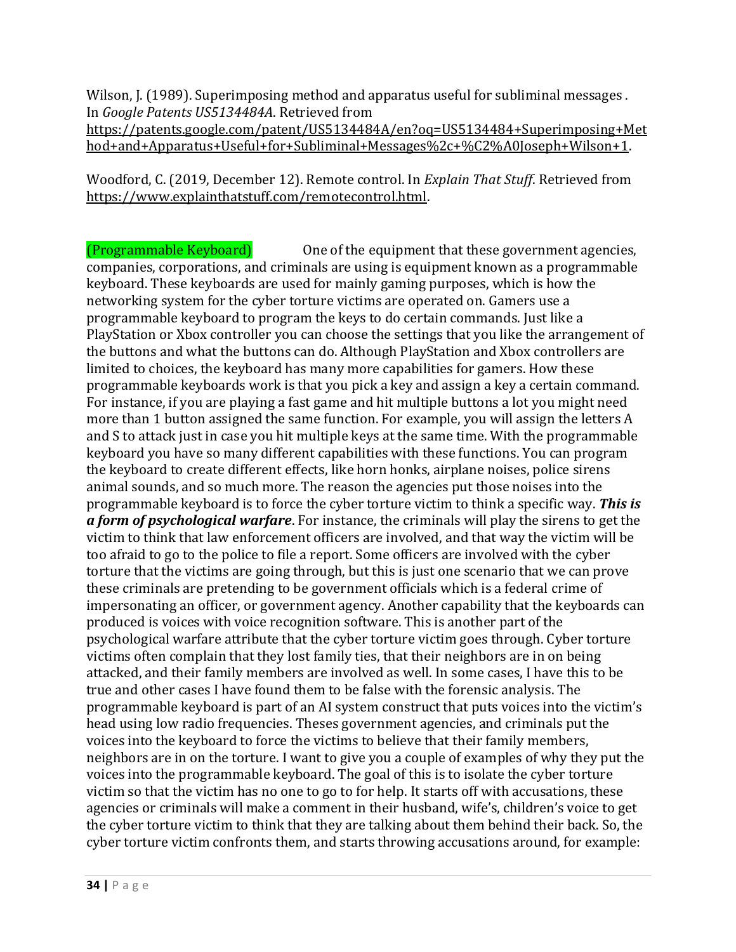Wilson, J. (1989). Superimposing method and apparatus useful for subliminal messages . In *Google Patents US5134484A*. Retrieved from [https://patents.google.com/patent/US5134484A/en?oq=US5134484+Superimposing+Met](https://patents.google.com/patent/US5134484A/en?oq=US5134484+Superimposing+Method+and+Apparatus+Useful+for+Subliminal+Messages%2c+%C2%A0Joseph+Wilson+1) [hod+and+Apparatus+Useful+for+Subliminal+Messages%2c+%C2%A0Joseph+Wilson+1.](https://patents.google.com/patent/US5134484A/en?oq=US5134484+Superimposing+Method+and+Apparatus+Useful+for+Subliminal+Messages%2c+%C2%A0Joseph+Wilson+1) 

Woodford, C. (2019, December 12). Remote control. In *Explain That Stuff*. Retrieved from [https://www.explainthatstuff.com/remotecontrol.html.](https://www.explainthatstuff.com/remotecontrol.html) 

(Programmable Keyboard) One of the equipment that these government agencies, companies, corporations, and criminals are using is equipment known as a programmable keyboard. These keyboards are used for mainly gaming purposes, which is how the networking system for the cyber torture victims are operated on. Gamers use a programmable keyboard to program the keys to do certain commands. Just like a PlayStation or Xbox controller you can choose the settings that you like the arrangement of the buttons and what the buttons can do. Although PlayStation and Xbox controllers are limited to choices, the keyboard has many more capabilities for gamers. How these programmable keyboards work is that you pick a key and assign a key a certain command. For instance, if you are playing a fast game and hit multiple buttons a lot you might need more than 1 button assigned the same function. For example, you will assign the letters A and S to attack just in case you hit multiple keys at the same time. With the programmable keyboard you have so many different capabilities with these functions. You can program the keyboard to create different effects, like horn honks, airplane noises, police sirens animal sounds, and so much more. The reason the agencies put those noises into the programmable keyboard is to force the cyber torture victim to think a specific way. *This is a form of psychological warfare*. For instance, the criminals will play the sirens to get the victim to think that law enforcement officers are involved, and that way the victim will be too afraid to go to the police to file a report. Some officers are involved with the cyber torture that the victims are going through, but this is just one scenario that we can prove these criminals are pretending to be government officials which is a federal crime of impersonating an officer, or government agency. Another capability that the keyboards can produced is voices with voice recognition software. This is another part of the psychological warfare attribute that the cyber torture victim goes through. Cyber torture victims often complain that they lost family ties, that their neighbors are in on being attacked, and their family members are involved as well. In some cases, I have this to be true and other cases I have found them to be false with the forensic analysis. The programmable keyboard is part of an AI system construct that puts voices into the victim's head using low radio frequencies. Theses government agencies, and criminals put the voices into the keyboard to force the victims to believe that their family members, neighbors are in on the torture. I want to give you a couple of examples of why they put the voices into the programmable keyboard. The goal of this is to isolate the cyber torture victim so that the victim has no one to go to for help. It starts off with accusations, these agencies or criminals will make a comment in their husband, wife's, children's voice to get the cyber torture victim to think that they are talking about them behind their back. So, the cyber torture victim confronts them, and starts throwing accusations around, for example: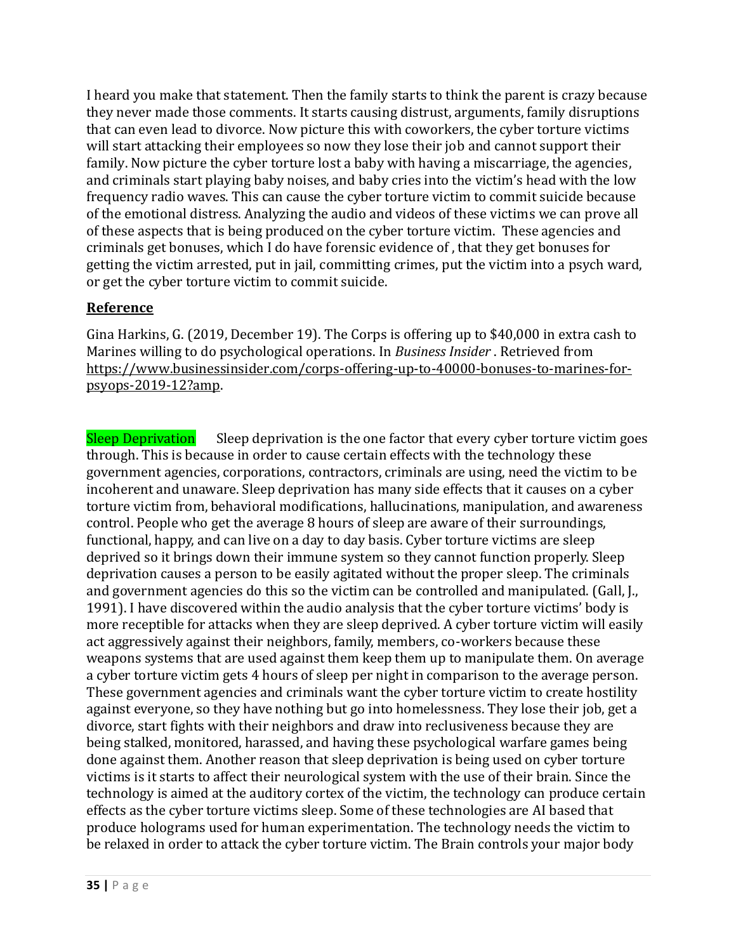I heard you make that statement. Then the family starts to think the parent is crazy because they never made those comments. It starts causing distrust, arguments, family disruptions that can even lead to divorce. Now picture this with coworkers, the cyber torture victims will start attacking their employees so now they lose their job and cannot support their family. Now picture the cyber torture lost a baby with having a miscarriage, the agencies, and criminals start playing baby noises, and baby cries into the victim's head with the low frequency radio waves. This can cause the cyber torture victim to commit suicide because of the emotional distress. Analyzing the audio and videos of these victims we can prove all of these aspects that is being produced on the cyber torture victim. These agencies and criminals get bonuses, which I do have forensic evidence of , that they get bonuses for getting the victim arrested, put in jail, committing crimes, put the victim into a psych ward, or get the cyber torture victim to commit suicide.

## **Reference**

Gina Harkins, G. (2019, December 19). The Corps is offering up to \$40,000 in extra cash to Marines willing to do psychological operations. In *Business Insider* . Retrieved from [https://www.businessinsider.com/corps-offering-up-to-40000-bonuses-to-marines-for](https://www.businessinsider.com/corps-offering-up-to-40000-bonuses-to-marines-for-psyops-2019-12?amp)[psyops-2019-12?amp.](https://www.businessinsider.com/corps-offering-up-to-40000-bonuses-to-marines-for-psyops-2019-12?amp) 

Sleep Deprivation Sleep deprivation is the one factor that every cyber torture victim goes through. This is because in order to cause certain effects with the technology these government agencies, corporations, contractors, criminals are using, need the victim to be incoherent and unaware. Sleep deprivation has many side effects that it causes on a cyber torture victim from, behavioral modifications, hallucinations, manipulation, and awareness control. People who get the average 8 hours of sleep are aware of their surroundings, functional, happy, and can live on a day to day basis. Cyber torture victims are sleep deprived so it brings down their immune system so they cannot function properly. Sleep deprivation causes a person to be easily agitated without the proper sleep. The criminals and government agencies do this so the victim can be controlled and manipulated. (Gall, J., 1991). I have discovered within the audio analysis that the cyber torture victims' body is more receptible for attacks when they are sleep deprived. A cyber torture victim will easily act aggressively against their neighbors, family, members, co-workers because these weapons systems that are used against them keep them up to manipulate them. On average a cyber torture victim gets 4 hours of sleep per night in comparison to the average person. These government agencies and criminals want the cyber torture victim to create hostility against everyone, so they have nothing but go into homelessness. They lose their job, get a divorce, start fights with their neighbors and draw into reclusiveness because they are being stalked, monitored, harassed, and having these psychological warfare games being done against them. Another reason that sleep deprivation is being used on cyber torture victims is it starts to affect their neurological system with the use of their brain. Since the technology is aimed at the auditory cortex of the victim, the technology can produce certain effects as the cyber torture victims sleep. Some of these technologies are AI based that produce holograms used for human experimentation. The technology needs the victim to be relaxed in order to attack the cyber torture victim. The Brain controls your major body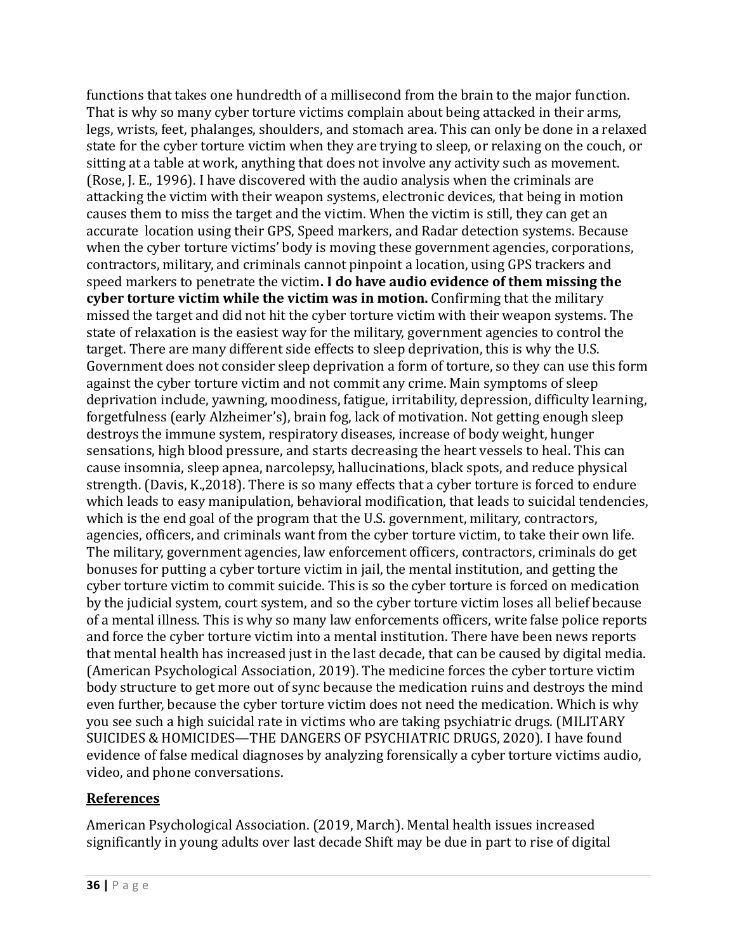functions that takes one hundredth of a millisecond from the brain to the major function. That is why so many cyber torture victims complain about being attacked in their arms, legs, wrists, feet, phalanges, shoulders, and stomach area. This can only be done in a relaxed state for the cyber torture victim when they are trying to sleep, or relaxing on the couch, or sitting at a table at work, anything that does not involve any activity such as movement. (Rose, J. E., 1996). I have discovered with the audio analysis when the criminals are attacking the victim with their weapon systems, electronic devices, that being in motion causes them to miss the target and the victim. When the victim is still, they can get an accurate location using their GPS, Speed markers, and Radar detection systems. Because when the cyber torture victims' body is moving these government agencies, corporations, contractors, military, and criminals cannot pinpoint a location, using GPS trackers and speed markers to penetrate the victim**. I do have audio evidence of them missing the cyber torture victim while the victim was in motion.** Confirming that the military missed the target and did not hit the cyber torture victim with their weapon systems. The state of relaxation is the easiest way for the military, government agencies to control the target. There are many different side effects to sleep deprivation, this is why the U.S. Government does not consider sleep deprivation a form of torture, so they can use this form against the cyber torture victim and not commit any crime. Main symptoms of sleep deprivation include, yawning, moodiness, fatigue, irritability, depression, difficulty learning, forgetfulness (early Alzheimer's), brain fog, lack of motivation. Not getting enough sleep destroys the immune system, respiratory diseases, increase of body weight, hunger sensations, high blood pressure, and starts decreasing the heart vessels to heal. This can cause insomnia, sleep apnea, narcolepsy, hallucinations, black spots, and reduce physical strength. (Davis, K.,2018). There is so many effects that a cyber torture is forced to endure which leads to easy manipulation, behavioral modification, that leads to suicidal tendencies, which is the end goal of the program that the U.S. government, military, contractors, agencies, officers, and criminals want from the cyber torture victim, to take their own life. The military, government agencies, law enforcement officers, contractors, criminals do get bonuses for putting a cyber torture victim in jail, the mental institution, and getting the cyber torture victim to commit suicide. This is so the cyber torture is forced on medication by the judicial system, court system, and so the cyber torture victim loses all belief because of a mental illness. This is why so many law enforcements officers, write false police reports and force the cyber torture victim into a mental institution. There have been news reports that mental health has increased just in the last decade, that can be caused by digital media. (American Psychological Association, 2019). The medicine forces the cyber torture victim body structure to get more out of sync because the medication ruins and destroys the mind even further, because the cyber torture victim does not need the medication. Which is why you see such a high suicidal rate in victims who are taking psychiatric drugs. (MILITARY SUICIDES & HOMICIDES—THE DANGERS OF PSYCHIATRIC DRUGS, 2020). I have found evidence of false medical diagnoses by analyzing forensically a cyber torture victims audio, video, and phone conversations.

#### **References**

American Psychological Association. (2019, March). Mental health issues increased significantly in young adults over last decade Shift may be due in part to rise of digital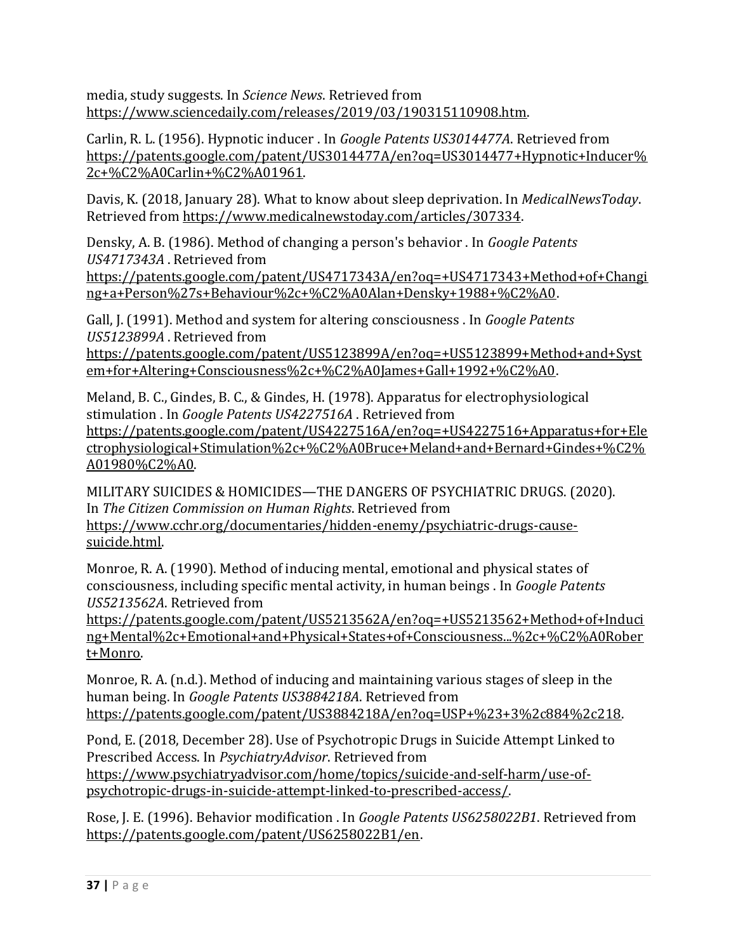media, study suggests. In *Science News*. Retrieved from [https://www.sciencedaily.com/releases/2019/03/190315110908.htm.](https://www.sciencedaily.com/releases/2019/03/190315110908.htm)

Carlin, R. L. (1956). Hypnotic inducer . In *Google Patents US3014477A*. Retrieved from [https://patents.google.com/patent/US3014477A/en?oq=US3014477+Hypnotic+Inducer%](https://patents.google.com/patent/US3014477A/en?oq=US3014477+Hypnotic+Inducer%2c+%C2%A0Carlin+%C2%A01961) [2c+%C2%A0Carlin+%C2%A01961.](https://patents.google.com/patent/US3014477A/en?oq=US3014477+Hypnotic+Inducer%2c+%C2%A0Carlin+%C2%A01961) 

Davis, K. (2018, January 28). What to know about sleep deprivation. In *MedicalNewsToday*. Retrieved from [https://www.medicalnewstoday.com/articles/307334.](https://www.medicalnewstoday.com/articles/307334)

Densky, A. B. (1986). Method of changing a person's behavior . In *Google Patents US4717343A* . Retrieved from

[https://patents.google.com/patent/US4717343A/en?oq=+US4717343+Method+of+Changi](https://patents.google.com/patent/US4717343A/en?oq=+US4717343+Method+of+Changing+a+Person%27s+Behaviour%2c+%C2%A0Alan+Densky+1988+%C2%A0) [ng+a+Person%27s+Behaviour%2c+%C2%A0Alan+Densky+1988+%C2%A0.](https://patents.google.com/patent/US4717343A/en?oq=+US4717343+Method+of+Changing+a+Person%27s+Behaviour%2c+%C2%A0Alan+Densky+1988+%C2%A0)

Gall, J. (1991). Method and system for altering consciousness . In *Google Patents US5123899A* . Retrieved from

[https://patents.google.com/patent/US5123899A/en?oq=+US5123899+Method+and+Syst](https://patents.google.com/patent/US5123899A/en?oq=+US5123899+Method+and+System+for+Altering+Consciousness%2c+%C2%A0James+Gall+1992+%C2%A0) [em+for+Altering+Consciousness%2c+%C2%A0James+Gall+1992+%C2%A0.](https://patents.google.com/patent/US5123899A/en?oq=+US5123899+Method+and+System+for+Altering+Consciousness%2c+%C2%A0James+Gall+1992+%C2%A0)

Meland, B. C., Gindes, B. C., & Gindes, H. (1978). Apparatus for electrophysiological stimulation . In *Google Patents US4227516A* . Retrieved from

[https://patents.google.com/patent/US4227516A/en?oq=+US4227516+Apparatus+for+Ele](https://patents.google.com/patent/US4227516A/en?oq=+US4227516+Apparatus+for+Electrophysiological+Stimulation%2c+%C2%A0Bruce+Meland+and+Bernard+Gindes+%C2%A01980%C2%A0) [ctrophysiological+Stimulation%2c+%C2%A0Bruce+Meland+and+Bernard+Gindes+%C2%](https://patents.google.com/patent/US4227516A/en?oq=+US4227516+Apparatus+for+Electrophysiological+Stimulation%2c+%C2%A0Bruce+Meland+and+Bernard+Gindes+%C2%A01980%C2%A0) [A01980%C2%A0.](https://patents.google.com/patent/US4227516A/en?oq=+US4227516+Apparatus+for+Electrophysiological+Stimulation%2c+%C2%A0Bruce+Meland+and+Bernard+Gindes+%C2%A01980%C2%A0) 

MILITARY SUICIDES & HOMICIDES—THE DANGERS OF PSYCHIATRIC DRUGS. (2020). In *The Citizen Commission on Human Rights*. Retrieved from [https://www.cchr.org/documentaries/hidden-enemy/psychiatric-drugs-cause](https://www.cchr.org/documentaries/hidden-enemy/psychiatric-drugs-cause-suicide.html)[suicide.html.](https://www.cchr.org/documentaries/hidden-enemy/psychiatric-drugs-cause-suicide.html)

Monroe, R. A. (1990). Method of inducing mental, emotional and physical states of consciousness, including specific mental activity, in human beings . In *Google Patents US5213562A*. Retrieved from

[https://patents.google.com/patent/US5213562A/en?oq=+US5213562+Method+of+Induci](https://patents.google.com/patent/US5213562A/en?oq=+US5213562+Method+of+Inducing+Mental%2c+Emotional+and+Physical+States+of+Consciousness...%2c+%C2%A0Robert+Monro) [ng+Mental%2c+Emotional+and+Physical+States+of+Consciousness...%2c+%C2%A0Rober](https://patents.google.com/patent/US5213562A/en?oq=+US5213562+Method+of+Inducing+Mental%2c+Emotional+and+Physical+States+of+Consciousness...%2c+%C2%A0Robert+Monro) [t+Monro.](https://patents.google.com/patent/US5213562A/en?oq=+US5213562+Method+of+Inducing+Mental%2c+Emotional+and+Physical+States+of+Consciousness...%2c+%C2%A0Robert+Monro)

Monroe, R. A. (n.d.). Method of inducing and maintaining various stages of sleep in the human being. In *Google Patents US3884218A*. Retrieved from [https://patents.google.com/patent/US3884218A/en?oq=USP+%23+3%2c884%2c218.](https://patents.google.com/patent/US3884218A/en?oq=USP+%23+3%2c884%2c218) 

Pond, E. (2018, December 28). Use of Psychotropic Drugs in Suicide Attempt Linked to Prescribed Access. In *PsychiatryAdvisor*. Retrieved from [https://www.psychiatryadvisor.com/home/topics/suicide-and-self-harm/use-of](https://www.psychiatryadvisor.com/home/topics/suicide-and-self-harm/use-of-psychotropic-drugs-in-suicide-attempt-linked-to-prescribed-access/)[psychotropic-drugs-in-suicide-attempt-linked-to-prescribed-access/.](https://www.psychiatryadvisor.com/home/topics/suicide-and-self-harm/use-of-psychotropic-drugs-in-suicide-attempt-linked-to-prescribed-access/)

Rose, J. E. (1996). Behavior modification . In *Google Patents US6258022B1*. Retrieved from [https://patents.google.com/patent/US6258022B1/en.](https://patents.google.com/patent/US6258022B1/en)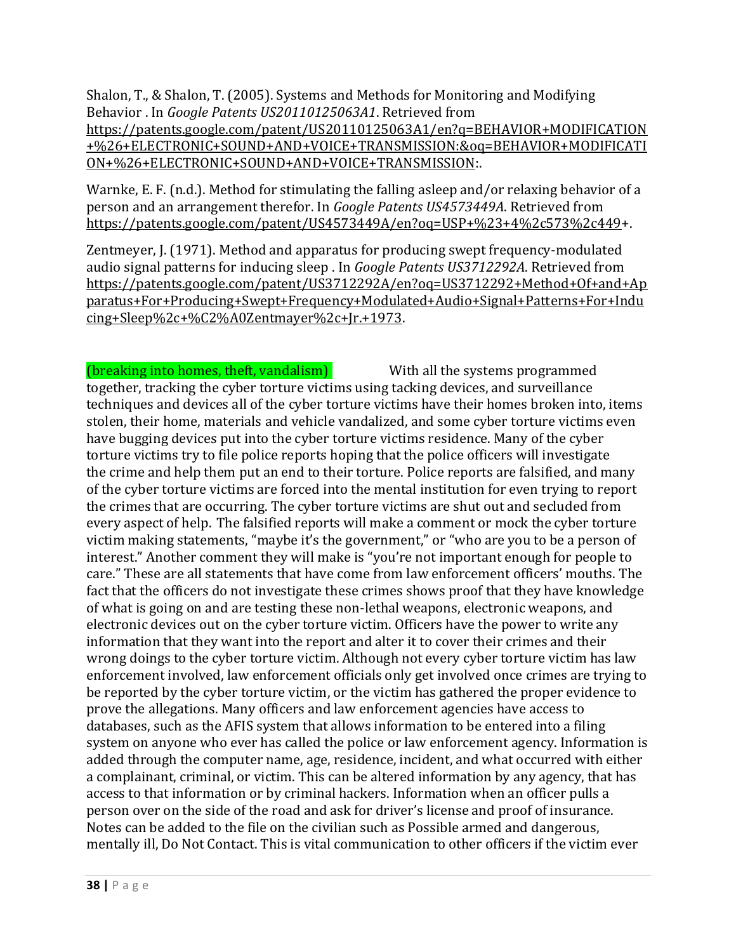Shalon, T., & Shalon, T. (2005). Systems and Methods for Monitoring and Modifying Behavior . In *Google Patents US20110125063A1*. Retrieved from [https://patents.google.com/patent/US20110125063A1/en?q=BEHAVIOR+MODIFICATION](https://patents.google.com/patent/US20110125063A1/en?q=BEHAVIOR+MODIFICATION+%26+ELECTRONIC+SOUND+AND+VOICE+TRANSMISSION:&oq=BEHAVIOR+MODIFICATION+%26+ELECTRONIC+SOUND+AND+VOICE+TRANSMISSION) [+%26+ELECTRONIC+SOUND+AND+VOICE+TRANSMISSION:&oq=BEHAVIOR+MODIFICATI](https://patents.google.com/patent/US20110125063A1/en?q=BEHAVIOR+MODIFICATION+%26+ELECTRONIC+SOUND+AND+VOICE+TRANSMISSION:&oq=BEHAVIOR+MODIFICATION+%26+ELECTRONIC+SOUND+AND+VOICE+TRANSMISSION) [ON+%26+ELECTRONIC+SOUND+AND+VOICE+TRANSMISSION:](https://patents.google.com/patent/US20110125063A1/en?q=BEHAVIOR+MODIFICATION+%26+ELECTRONIC+SOUND+AND+VOICE+TRANSMISSION:&oq=BEHAVIOR+MODIFICATION+%26+ELECTRONIC+SOUND+AND+VOICE+TRANSMISSION).

Warnke, E. F. (n.d.). Method for stimulating the falling asleep and/or relaxing behavior of a person and an arrangement therefor. In *Google Patents US4573449A*. Retrieved from [https://patents.google.com/patent/US4573449A/en?oq=USP+%23+4%2c573%2c449+](https://patents.google.com/patent/US4573449A/en?oq=USP+%23+4%2c573%2c449).

Zentmeyer, J. (1971). Method and apparatus for producing swept frequency-modulated audio signal patterns for inducing sleep . In *Google Patents US3712292A*. Retrieved from [https://patents.google.com/patent/US3712292A/en?oq=US3712292+Method+Of+and+Ap](https://patents.google.com/patent/US3712292A/en?oq=US3712292+Method+Of+and+Apparatus+For+Producing+Swept+Frequency+Modulated+Audio+Signal+Patterns+For+Inducing+Sleep%2c+%C2%A0Zentmayer%2c+Jr.+1973) [paratus+For+Producing+Swept+Frequency+Modulated+Audio+Signal+Patterns+For+Indu](https://patents.google.com/patent/US3712292A/en?oq=US3712292+Method+Of+and+Apparatus+For+Producing+Swept+Frequency+Modulated+Audio+Signal+Patterns+For+Inducing+Sleep%2c+%C2%A0Zentmayer%2c+Jr.+1973) [cing+Sleep%2c+%C2%A0Zentmayer%2c+Jr.+1973.](https://patents.google.com/patent/US3712292A/en?oq=US3712292+Method+Of+and+Apparatus+For+Producing+Swept+Frequency+Modulated+Audio+Signal+Patterns+For+Inducing+Sleep%2c+%C2%A0Zentmayer%2c+Jr.+1973)

(breaking into homes, theft, vandalism) With all the systems programmed together, tracking the cyber torture victims using tacking devices, and surveillance techniques and devices all of the cyber torture victims have their homes broken into, items stolen, their home, materials and vehicle vandalized, and some cyber torture victims even have bugging devices put into the cyber torture victims residence. Many of the cyber torture victims try to file police reports hoping that the police officers will investigate the crime and help them put an end to their torture. Police reports are falsified, and many of the cyber torture victims are forced into the mental institution for even trying to report the crimes that are occurring. The cyber torture victims are shut out and secluded from every aspect of help. The falsified reports will make a comment or mock the cyber torture victim making statements, "maybe it's the government," or "who are you to be a person of interest." Another comment they will make is "you're not important enough for people to care." These are all statements that have come from law enforcement officers' mouths. The fact that the officers do not investigate these crimes shows proof that they have knowledge of what is going on and are testing these non-lethal weapons, electronic weapons, and electronic devices out on the cyber torture victim. Officers have the power to write any information that they want into the report and alter it to cover their crimes and their wrong doings to the cyber torture victim. Although not every cyber torture victim has law enforcement involved, law enforcement officials only get involved once crimes are trying to be reported by the cyber torture victim, or the victim has gathered the proper evidence to prove the allegations. Many officers and law enforcement agencies have access to databases, such as the AFIS system that allows information to be entered into a filing system on anyone who ever has called the police or law enforcement agency. Information is added through the computer name, age, residence, incident, and what occurred with either a complainant, criminal, or victim. This can be altered information by any agency, that has access to that information or by criminal hackers. Information when an officer pulls a person over on the side of the road and ask for driver's license and proof of insurance. Notes can be added to the file on the civilian such as Possible armed and dangerous, mentally ill, Do Not Contact. This is vital communication to other officers if the victim ever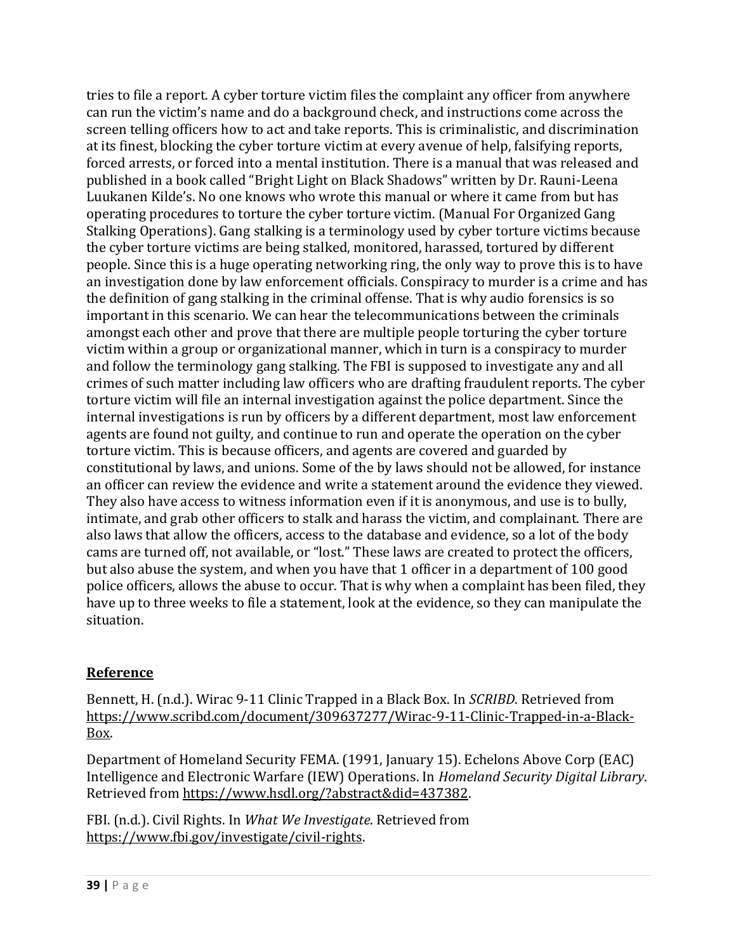tries to file a report. A cyber torture victim files the complaint any officer from anywhere can run the victim's name and do a background check, and instructions come across the screen telling officers how to act and take reports. This is criminalistic, and discrimination at its finest, blocking the cyber torture victim at every avenue of help, falsifying reports, forced arrests, or forced into a mental institution. There is a manual that was released and published in a book called "Bright Light on Black Shadows" written by Dr. Rauni-Leena Luukanen Kilde's. No one knows who wrote this manual or where it came from but has operating procedures to torture the cyber torture victim. (Manual For Organized Gang Stalking Operations). Gang stalking is a terminology used by cyber torture victims because the cyber torture victims are being stalked, monitored, harassed, tortured by different people. Since this is a huge operating networking ring, the only way to prove this is to have an investigation done by law enforcement officials. Conspiracy to murder is a crime and has the definition of gang stalking in the criminal offense. That is why audio forensics is so important in this scenario. We can hear the telecommunications between the criminals amongst each other and prove that there are multiple people torturing the cyber torture victim within a group or organizational manner, which in turn is a conspiracy to murder and follow the terminology gang stalking. The FBI is supposed to investigate any and all crimes of such matter including law officers who are drafting fraudulent reports. The cyber torture victim will file an internal investigation against the police department. Since the internal investigations is run by officers by a different department, most law enforcement agents are found not guilty, and continue to run and operate the operation on the cyber torture victim. This is because officers, and agents are covered and guarded by constitutional by laws, and unions. Some of the by laws should not be allowed, for instance an officer can review the evidence and write a statement around the evidence they viewed. They also have access to witness information even if it is anonymous, and use is to bully, intimate, and grab other officers to stalk and harass the victim, and complainant. There are also laws that allow the officers, access to the database and evidence, so a lot of the body cams are turned off, not available, or "lost." These laws are created to protect the officers, but also abuse the system, and when you have that 1 officer in a department of 100 good police officers, allows the abuse to occur. That is why when a complaint has been filed, they have up to three weeks to file a statement, look at the evidence, so they can manipulate the situation.

## **Reference**

Bennett, H. (n.d.). Wirac 9-11 Clinic Trapped in a Black Box. In *SCRIBD*. Retrieved from [https://www.scribd.com/document/309637277/Wirac-9-11-Clinic-Trapped-in-a-Black-](https://www.scribd.com/document/309637277/Wirac-9-11-Clinic-Trapped-in-a-Black-Box)[Box.](https://www.scribd.com/document/309637277/Wirac-9-11-Clinic-Trapped-in-a-Black-Box)

Department of Homeland Security FEMA. (1991, January 15). Echelons Above Corp (EAC) Intelligence and Electronic Warfare (IEW) Operations. In *Homeland Security Digital Library*. Retrieved from [https://www.hsdl.org/?abstract&did=437382.](https://www.hsdl.org/?abstract&did=437382)

FBI. (n.d.). Civil Rights. In *What We Investigate*. Retrieved from [https://www.fbi.gov/investigate/civil-rights.](https://www.fbi.gov/investigate/civil-rights)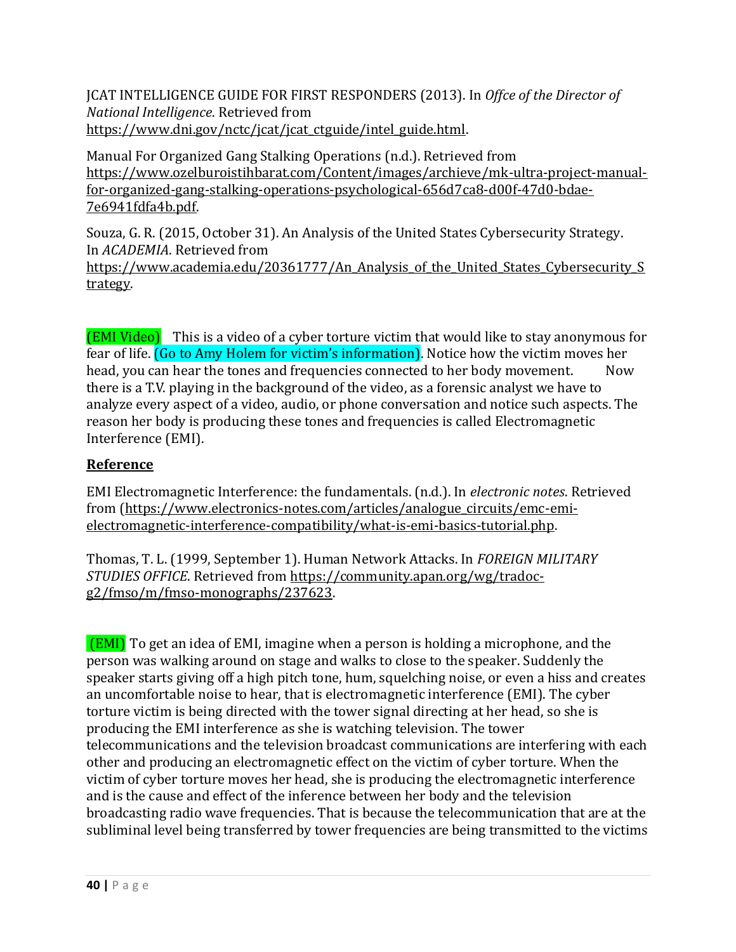JCAT INTELLIGENCE GUIDE FOR FIRST RESPONDERS (2013). In *Offce of the Director of National Intelligence*. Retrieved from [https://www.dni.gov/nctc/jcat/jcat\\_ctguide/intel\\_guide.html.](https://www.dni.gov/nctc/jcat/jcat_ctguide/intel_guide.html)

Manual For Organized Gang Stalking Operations (n.d.). Retrieved from [https://www.ozelburoistihbarat.com/Content/images/archieve/mk-ultra-project-manual](https://www.ozelburoistihbarat.com/Content/images/archieve/mk-ultra-project-manual-for-organized-gang-stalking-operations-psychological-656d7ca8-d00f-47d0-bdae-7e6941fdfa4b.pdf)[for-organized-gang-stalking-operations-psychological-656d7ca8-d00f-47d0-bdae-](https://www.ozelburoistihbarat.com/Content/images/archieve/mk-ultra-project-manual-for-organized-gang-stalking-operations-psychological-656d7ca8-d00f-47d0-bdae-7e6941fdfa4b.pdf)[7e6941fdfa4b.pdf.](https://www.ozelburoistihbarat.com/Content/images/archieve/mk-ultra-project-manual-for-organized-gang-stalking-operations-psychological-656d7ca8-d00f-47d0-bdae-7e6941fdfa4b.pdf) 

Souza, G. R. (2015, October 31). An Analysis of the United States Cybersecurity Strategy. In *ACADEMIA*. Retrieved from https://www.academia.edu/20361777/An Analysis of the United States Cybersecurity S

[trategy.](https://www.academia.edu/20361777/An_Analysis_of_the_United_States_Cybersecurity_Strategy)

(EMI Video) This is a video of a cyber torture victim that would like to stay anonymous for fear of life. (Go to Amy Holem for victim's information). Notice how the victim moves her head, you can hear the tones and frequencies connected to her body movement. Now there is a T.V. playing in the background of the video, as a forensic analyst we have to analyze every aspect of a video, audio, or phone conversation and notice such aspects. The reason her body is producing these tones and frequencies is called Electromagnetic Interference (EMI).

# **Reference**

EMI Electromagnetic Interference: the fundamentals. (n.d.). In *electronic notes*. Retrieved from [\(https://www.electronics-notes.com/articles/analogue\\_circuits/emc-emi](https://www.electronics-notes.com/articles/analogue_circuits/emc-emi-electromagnetic-interference-compatibility/what-is-emi-basics-tutorial.php)[electromagnetic-interference-compatibility/what-is-emi-basics-tutorial.php.](https://www.electronics-notes.com/articles/analogue_circuits/emc-emi-electromagnetic-interference-compatibility/what-is-emi-basics-tutorial.php) 

Thomas, T. L. (1999, September 1). Human Network Attacks. In *FOREIGN MILITARY STUDIES OFFICE*. Retrieved from [https://community.apan.org/wg/tradoc](https://community.apan.org/wg/tradoc-g2/fmso/m/fmso-monographs/237623)[g2/fmso/m/fmso-monographs/237623.](https://community.apan.org/wg/tradoc-g2/fmso/m/fmso-monographs/237623)

(EMI) To get an idea of EMI, imagine when a person is holding a microphone, and the person was walking around on stage and walks to close to the speaker. Suddenly the speaker starts giving off a high pitch tone, hum, squelching noise, or even a hiss and creates an uncomfortable noise to hear, that is electromagnetic interference (EMI). The cyber torture victim is being directed with the tower signal directing at her head, so she is producing the EMI interference as she is watching television. The tower telecommunications and the television broadcast communications are interfering with each other and producing an electromagnetic effect on the victim of cyber torture. When the victim of cyber torture moves her head, she is producing the electromagnetic interference and is the cause and effect of the inference between her body and the television broadcasting radio wave frequencies. That is because the telecommunication that are at the subliminal level being transferred by tower frequencies are being transmitted to the victims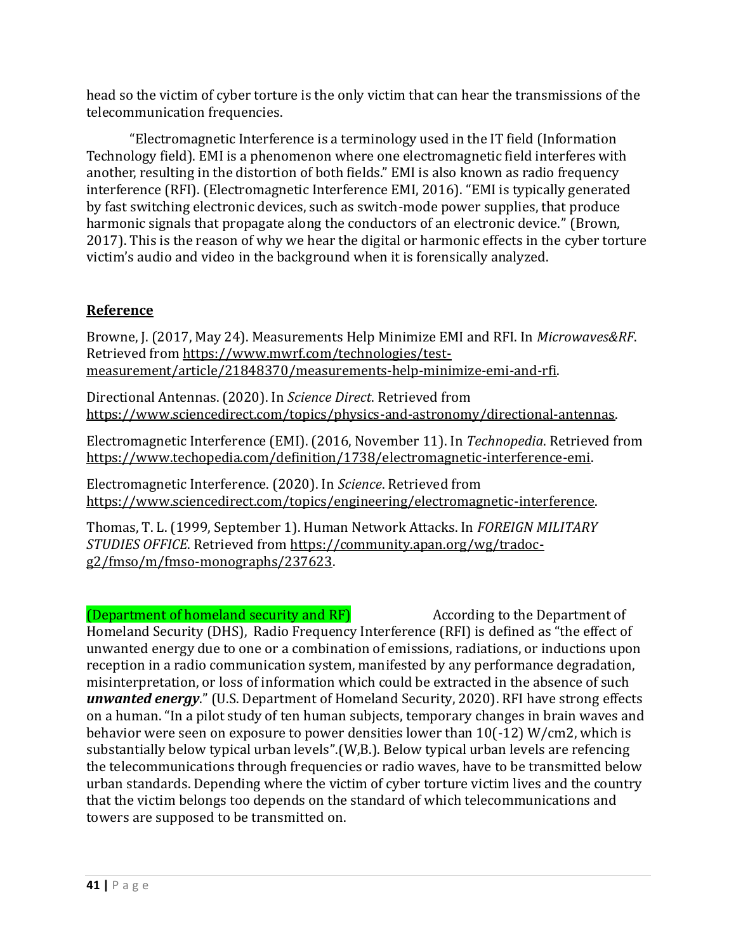head so the victim of cyber torture is the only victim that can hear the transmissions of the telecommunication frequencies.

"Electromagnetic Interference is a terminology used in the IT field (Information Technology field). EMI is a phenomenon where one electromagnetic field interferes with another, resulting in the distortion of both fields." EMI is also known as radio frequency interference (RFI). (Electromagnetic Interference EMI, 2016). "EMI is typically generated by fast switching electronic devices, such as switch-mode power supplies, that produce harmonic signals that propagate along the conductors of an electronic device." (Brown, 2017). This is the reason of why we hear the digital or harmonic effects in the cyber torture victim's audio and video in the background when it is forensically analyzed.

## **Reference**

Browne, J. (2017, May 24). Measurements Help Minimize EMI and RFI. In *Microwaves&RF*. Retrieved from [https://www.mwrf.com/technologies/test](https://www.mwrf.com/technologies/test-measurement/article/21848370/measurements-help-minimize-emi-and-rfi)[measurement/article/21848370/measurements-help-minimize-emi-and-rfi.](https://www.mwrf.com/technologies/test-measurement/article/21848370/measurements-help-minimize-emi-and-rfi)

Directional Antennas. (2020). In *Science Direct*. Retrieved from [https://www.sciencedirect.com/topics/physics-and-astronomy/directional-antennas.](https://www.sciencedirect.com/topics/physics-and-astronomy/directional-antennas)

Electromagnetic Interference (EMI). (2016, November 11). In *Technopedia*. Retrieved from [https://www.techopedia.com/definition/1738/electromagnetic-interference-emi.](https://www.techopedia.com/definition/1738/electromagnetic-interference-emi)

Electromagnetic Interference. (2020). In *Science*. Retrieved from [https://www.sciencedirect.com/topics/engineering/electromagnetic-interference.](https://www.sciencedirect.com/topics/engineering/electromagnetic-interference)

Thomas, T. L. (1999, September 1). Human Network Attacks. In *FOREIGN MILITARY STUDIES OFFICE*. Retrieved from [https://community.apan.org/wg/tradoc](https://community.apan.org/wg/tradoc-g2/fmso/m/fmso-monographs/237623)[g2/fmso/m/fmso-monographs/237623.](https://community.apan.org/wg/tradoc-g2/fmso/m/fmso-monographs/237623)

## (Department of homeland security and RF) According to the Department of

Homeland Security (DHS), Radio Frequency Interference (RFI) is defined as "the effect of unwanted energy due to one or a combination of emissions, radiations, or inductions upon reception in a radio communication system, manifested by any performance degradation, misinterpretation, or loss of information which could be extracted in the absence of such *unwanted energy*." (U.S. Department of Homeland Security, 2020). RFI have strong effects on a human. "In a pilot study of ten human subjects, temporary changes in brain waves and behavior were seen on exposure to power densities lower than 10(-12) W/cm2, which is substantially below typical urban levels".(W,B.). Below typical urban levels are refencing the telecommunications through frequencies or radio waves, have to be transmitted below urban standards. Depending where the victim of cyber torture victim lives and the country that the victim belongs too depends on the standard of which telecommunications and towers are supposed to be transmitted on.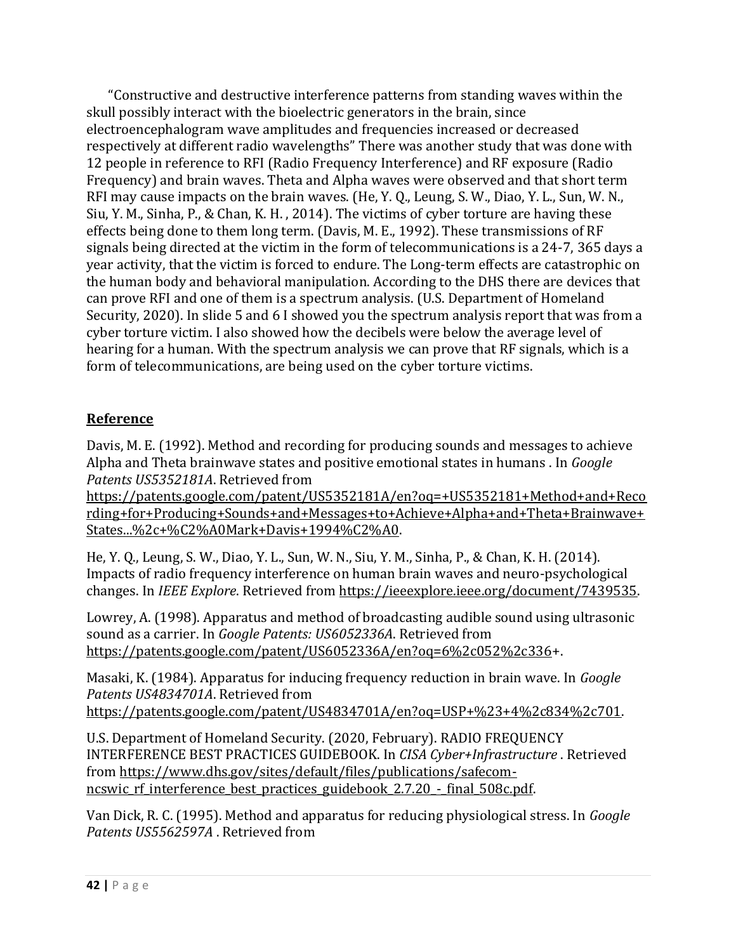"Constructive and destructive interference patterns from standing waves within the skull possibly interact with the bioelectric generators in the brain, since electroencephalogram wave amplitudes and frequencies increased or decreased respectively at different radio wavelengths" There was another study that was done with 12 people in reference to RFI (Radio Frequency Interference) and RF exposure (Radio Frequency) and brain waves. Theta and Alpha waves were observed and that short term RFI may cause impacts on the brain waves. (He, Y. Q., Leung, S. W., Diao, Y. L., Sun, W. N., Siu, Y. M., Sinha, P., & Chan, K. H. , 2014). The victims of cyber torture are having these effects being done to them long term. (Davis, M. E., 1992). These transmissions of RF signals being directed at the victim in the form of telecommunications is a 24-7, 365 days a year activity, that the victim is forced to endure. The Long-term effects are catastrophic on the human body and behavioral manipulation. According to the DHS there are devices that can prove RFI and one of them is a spectrum analysis. (U.S. Department of Homeland Security, 2020). In slide 5 and 6 I showed you the spectrum analysis report that was from a cyber torture victim. I also showed how the decibels were below the average level of hearing for a human. With the spectrum analysis we can prove that RF signals, which is a form of telecommunications, are being used on the cyber torture victims.

# **Reference**

Davis, M. E. (1992). Method and recording for producing sounds and messages to achieve Alpha and Theta brainwave states and positive emotional states in humans . In *Google Patents US5352181A*. Retrieved from

[https://patents.google.com/patent/US5352181A/en?oq=+US5352181+Method+and+Reco](https://patents.google.com/patent/US5352181A/en?oq=+US5352181+Method+and+Recording+for+Producing+Sounds+and+Messages+to+Achieve+Alpha+and+Theta+Brainwave+States...%2c+%C2%A0Mark+Davis+1994%C2%A0) [rding+for+Producing+Sounds+and+Messages+to+Achieve+Alpha+and+Theta+Brainwave+](https://patents.google.com/patent/US5352181A/en?oq=+US5352181+Method+and+Recording+for+Producing+Sounds+and+Messages+to+Achieve+Alpha+and+Theta+Brainwave+States...%2c+%C2%A0Mark+Davis+1994%C2%A0) [States...%2c+%C2%A0Mark+Davis+1994%C2%A0.](https://patents.google.com/patent/US5352181A/en?oq=+US5352181+Method+and+Recording+for+Producing+Sounds+and+Messages+to+Achieve+Alpha+and+Theta+Brainwave+States...%2c+%C2%A0Mark+Davis+1994%C2%A0) 

He, Y. Q., Leung, S. W., Diao, Y. L., Sun, W. N., Siu, Y. M., Sinha, P., & Chan, K. H. (2014). Impacts of radio frequency interference on human brain waves and neuro-psychological changes. In *IEEE Explore*. Retrieved from [https://ieeexplore.ieee.org/document/7439535.](https://ieeexplore.ieee.org/document/7439535) 

Lowrey, A. (1998). Apparatus and method of broadcasting audible sound using ultrasonic sound as a carrier. In *Google Patents: US6052336A*. Retrieved from [https://patents.google.com/patent/US6052336A/en?oq=6%2c052%2c336+](https://patents.google.com/patent/US6052336A/en?oq=6%2c052%2c336).

Masaki, K. (1984). Apparatus for inducing frequency reduction in brain wave. In *Google Patents US4834701A*. Retrieved from [https://patents.google.com/patent/US4834701A/en?oq=USP+%23+4%2c834%2c701.](https://patents.google.com/patent/US4834701A/en?oq=USP+%23+4%2c834%2c701) 

U.S. Department of Homeland Security. (2020, February). RADIO FREQUENCY INTERFERENCE BEST PRACTICES GUIDEBOOK. In *CISA Cyber+Infrastructure* . Retrieved from [https://www.dhs.gov/sites/default/files/publications/safecom](https://www.dhs.gov/sites/default/files/publications/safecom-ncswic_rf_interference_best_practices_guidebook_2.7.20_-_final_508c.pdf)ncswic rf interference best practices guidebook 2.7.20 - final 508c.pdf.

Van Dick, R. C. (1995). Method and apparatus for reducing physiological stress. In *Google Patents US5562597A* . Retrieved from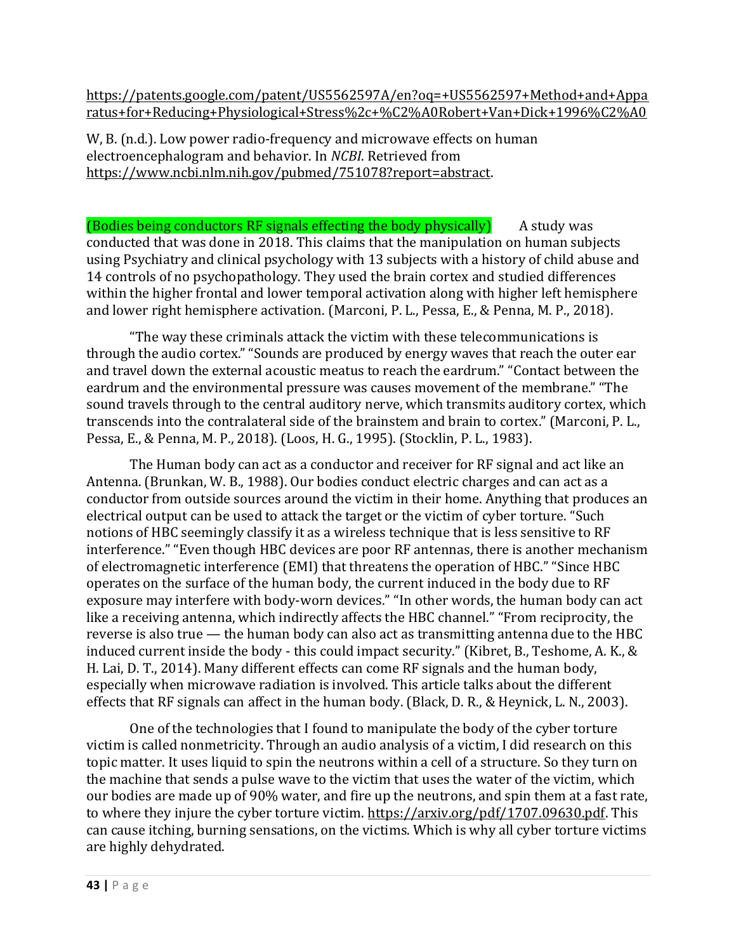[https://patents.google.com/patent/US5562597A/en?oq=+US5562597+Method+and+Appa](https://patents.google.com/patent/US5562597A/en?oq=+US5562597+Method+and+Apparatus+for+Reducing+Physiological+Stress%2c+%C2%A0Robert+Van+Dick+1996%C2%A0) [ratus+for+Reducing+Physiological+Stress%2c+%C2%A0Robert+Van+Dick+1996%C2%A0](https://patents.google.com/patent/US5562597A/en?oq=+US5562597+Method+and+Apparatus+for+Reducing+Physiological+Stress%2c+%C2%A0Robert+Van+Dick+1996%C2%A0)

W, B. (n.d.). Low power radio-frequency and microwave effects on human electroencephalogram and behavior. In *NCBI*. Retrieved from [https://www.ncbi.nlm.nih.gov/pubmed/751078?report=abstract.](https://www.ncbi.nlm.nih.gov/pubmed/751078?report=abstract) 

 $(B$ odies being conductors RF signals effecting the body physically  $(A)$  A study was conducted that was done in 2018. This claims that the manipulation on human subjects using Psychiatry and clinical psychology with 13 subjects with a history of child abuse and 14 controls of no psychopathology. They used the brain cortex and studied differences within the higher frontal and lower temporal activation along with higher left hemisphere and lower right hemisphere activation. (Marconi, P. L., Pessa, E., & Penna, M. P., 2018).

"The way these criminals attack the victim with these telecommunications is through the audio cortex." "Sounds are produced by energy waves that reach the outer ear and travel down the external acoustic meatus to reach the eardrum." "Contact between the eardrum and the environmental pressure was causes movement of the membrane." "The sound travels through to the central auditory nerve, which transmits auditory cortex, which transcends into the contralateral side of the brainstem and brain to cortex." (Marconi, P. L., Pessa, E., & Penna, M. P., 2018). (Loos, H. G., 1995). (Stocklin, P. L., 1983).

The Human body can act as a conductor and receiver for RF signal and act like an Antenna. (Brunkan, W. B., 1988). Our bodies conduct electric charges and can act as a conductor from outside sources around the victim in their home. Anything that produces an electrical output can be used to attack the target or the victim of cyber torture. "Such notions of HBC seemingly classify it as a wireless technique that is less sensitive to RF interference." "Even though HBC devices are poor RF antennas, there is another mechanism of electromagnetic interference (EMI) that threatens the operation of HBC." "Since HBC operates on the surface of the human body, the current induced in the body due to RF exposure may interfere with body-worn devices." "In other words, the human body can act like a receiving antenna, which indirectly affects the HBC channel." "From reciprocity, the reverse is also true — the human body can also act as transmitting antenna due to the HBC induced current inside the body - this could impact security." (Kibret, B., Teshome, A. K., & H. Lai, D. T., 2014). Many different effects can come RF signals and the human body, especially when microwave radiation is involved. This article talks about the different effects that RF signals can affect in the human body. (Black, D. R., & Heynick, L. N., 2003).

One of the technologies that I found to manipulate the body of the cyber torture victim is called nonmetricity. Through an audio analysis of a victim, I did research on this topic matter. It uses liquid to spin the neutrons within a cell of a structure. So they turn on the machine that sends a pulse wave to the victim that uses the water of the victim, which our bodies are made up of 90% water, and fire up the neutrons, and spin them at a fast rate, to where they injure the cyber torture victim. [https://arxiv.org/pdf/1707.09630.pdf.](https://arxiv.org/pdf/1707.09630.pdf) This can cause itching, burning sensations, on the victims. Which is why all cyber torture victims are highly dehydrated.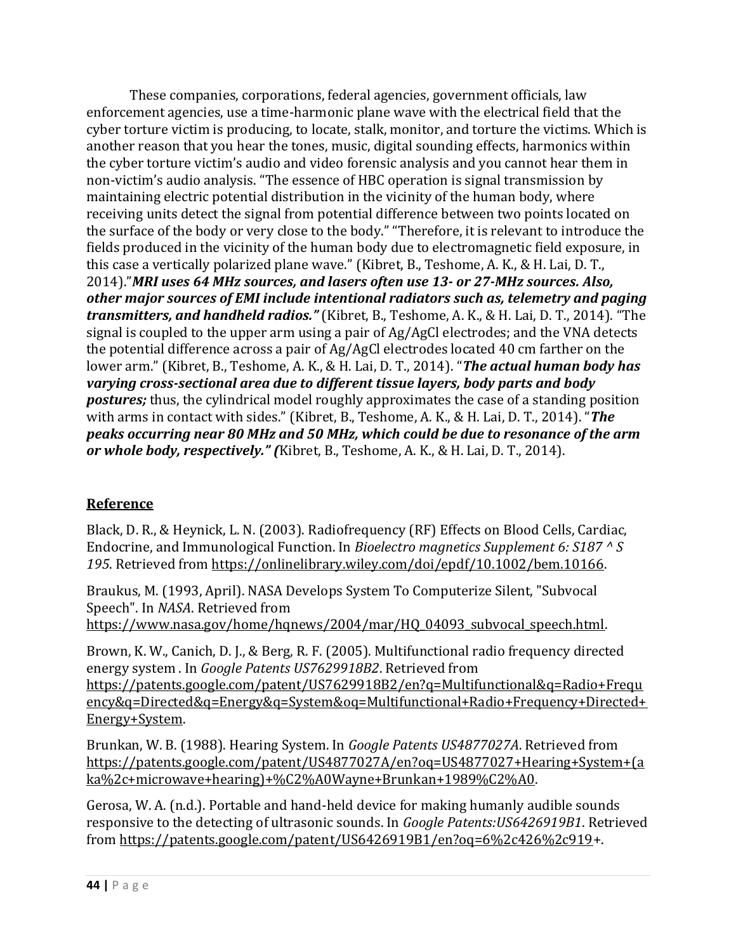These companies, corporations, federal agencies, government officials, law enforcement agencies, use a time-harmonic plane wave with the electrical field that the cyber torture victim is producing, to locate, stalk, monitor, and torture the victims. Which is another reason that you hear the tones, music, digital sounding effects, harmonics within the cyber torture victim's audio and video forensic analysis and you cannot hear them in non-victim's audio analysis. "The essence of HBC operation is signal transmission by maintaining electric potential distribution in the vicinity of the human body, where receiving units detect the signal from potential difference between two points located on the surface of the body or very close to the body." "Therefore, it is relevant to introduce the fields produced in the vicinity of the human body due to electromagnetic field exposure, in this case a vertically polarized plane wave." (Kibret, B., Teshome, A. K., & H. Lai, D. T., 2014)."*MRI uses 64 MHz sources, and lasers often use 13- or 27-MHz sources. Also, other major sources of EMI include intentional radiators such as, telemetry and paging transmitters, and handheld radios."* (Kibret, B., Teshome, A. K., & H. Lai, D. T., 2014). "The signal is coupled to the upper arm using a pair of Ag/AgCl electrodes; and the VNA detects the potential difference across a pair of Ag/AgCl electrodes located 40 cm farther on the lower arm." (Kibret, B., Teshome, A. K., & H. Lai, D. T., 2014). "*The actual human body has varying cross-sectional area due to different tissue layers, body parts and body postures;* thus, the cylindrical model roughly approximates the case of a standing position with arms in contact with sides." (Kibret, B., Teshome, A. K., & H. Lai, D. T., 2014). "*The peaks occurring near 80 MHz and 50 MHz, which could be due to resonance of the arm or whole body, respectively." (*Kibret, B., Teshome, A. K., & H. Lai, D. T., 2014).

## **Reference**

Black, D. R., & Heynick, L. N. (2003). Radiofrequency (RF) Effects on Blood Cells, Cardiac, Endocrine, and Immunological Function. In *Bioelectro magnetics Supplement 6: S187 ^ S 195*. Retrieved from [https://onlinelibrary.wiley.com/doi/epdf/10.1002/bem.10166.](https://onlinelibrary.wiley.com/doi/epdf/10.1002/bem.10166)

Braukus, M. (1993, April). NASA Develops System To Computerize Silent, "Subvocal Speech". In *NASA*. Retrieved from

https://www.nasa.gov/home/hqnews/2004/mar/HQ\_04093\_subvocal\_speech.html.

Brown, K. W., Canich, D. J., & Berg, R. F. (2005). Multifunctional radio frequency directed energy system . In *Google Patents US7629918B2*. Retrieved from [https://patents.google.com/patent/US7629918B2/en?q=Multifunctional&q=Radio+Frequ](https://patents.google.com/patent/US7629918B2/en?q=Multifunctional&q=Radio+Frequency&q=Directed&q=Energy&q=System&oq=Multifunctional+Radio+Frequency+Directed+Energy+System) [ency&q=Directed&q=Energy&q=System&oq=Multifunctional+Radio+Frequency+Directed+](https://patents.google.com/patent/US7629918B2/en?q=Multifunctional&q=Radio+Frequency&q=Directed&q=Energy&q=System&oq=Multifunctional+Radio+Frequency+Directed+Energy+System) [Energy+System.](https://patents.google.com/patent/US7629918B2/en?q=Multifunctional&q=Radio+Frequency&q=Directed&q=Energy&q=System&oq=Multifunctional+Radio+Frequency+Directed+Energy+System)

Brunkan, W. B. (1988). Hearing System. In *Google Patents US4877027A*. Retrieved from [https://patents.google.com/patent/US4877027A/en?oq=US4877027+Hearing+System+\(a](https://patents.google.com/patent/US4877027A/en?oq=US4877027+Hearing+System+(aka%2c+microwave+hearing)+%C2%A0Wayne+Brunkan+1989%C2%A0) [ka%2c+microwave+hearing\)+%C2%A0Wayne+Brunkan+1989%C2%A0.](https://patents.google.com/patent/US4877027A/en?oq=US4877027+Hearing+System+(aka%2c+microwave+hearing)+%C2%A0Wayne+Brunkan+1989%C2%A0)

Gerosa, W. A. (n.d.). Portable and hand-held device for making humanly audible sounds responsive to the detecting of ultrasonic sounds. In *Google Patents:US6426919B1*. Retrieved from [https://patents.google.com/patent/US6426919B1/en?oq=6%2c426%2c919+](https://patents.google.com/patent/US6426919B1/en?oq=6%2c426%2c919).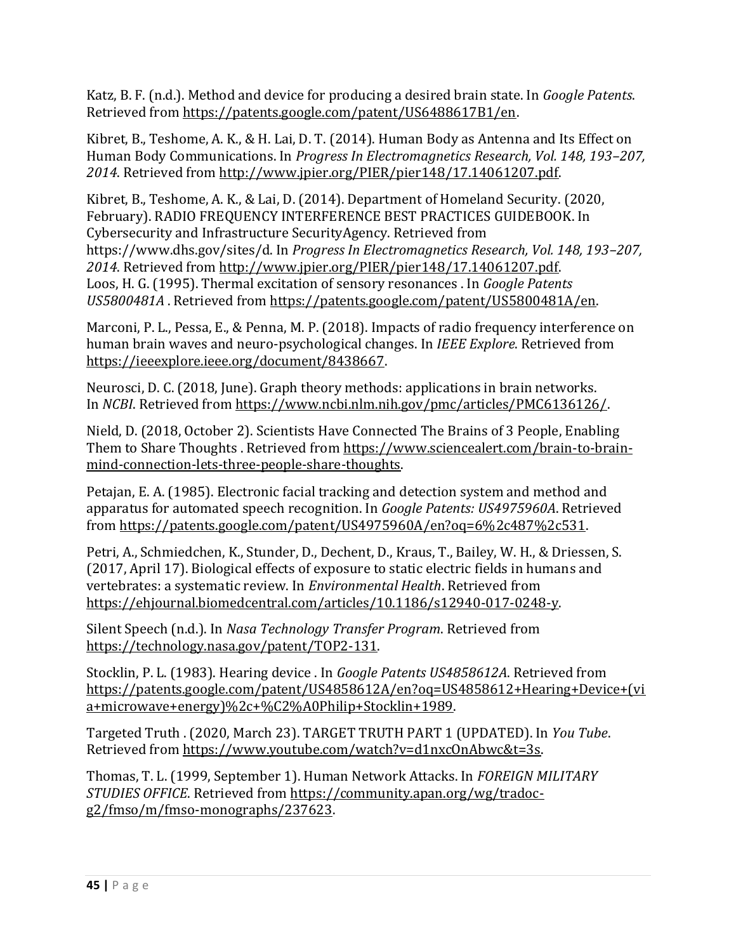Katz, B. F. (n.d.). Method and device for producing a desired brain state. In *Google Patents*. Retrieved from [https://patents.google.com/patent/US6488617B1/en.](https://patents.google.com/patent/US6488617B1/en)

Kibret, B., Teshome, A. K., & H. Lai, D. T. (2014). Human Body as Antenna and Its Effect on Human Body Communications. In *Progress In Electromagnetics Research, Vol. 148, 193–207, 2014*. Retrieved from [http://www.jpier.org/PIER/pier148/17.14061207.pdf.](http://www.jpier.org/PIER/pier148/17.14061207.pdf)

Kibret, B., Teshome, A. K., & Lai, D. (2014). Department of Homeland Security. (2020, February). RADIO FREQUENCY INTERFERENCE BEST PRACTICES GUIDEBOOK. In Cybersecurity and Infrastructure SecurityAgency. Retrieved from https://www.dhs.gov/sites/d. In *Progress In Electromagnetics Research, Vol. 148, 193–207, 2014*. Retrieved from [http://www.jpier.org/PIER/pier148/17.14061207.pdf.](http://www.jpier.org/PIER/pier148/17.14061207.pdf) Loos, H. G. (1995). Thermal excitation of sensory resonances . In *Google Patents US5800481A* . Retrieved from [https://patents.google.com/patent/US5800481A/en.](https://patents.google.com/patent/US5800481A/en)

Marconi, P. L., Pessa, E., & Penna, M. P. (2018). Impacts of radio frequency interference on human brain waves and neuro-psychological changes. In *IEEE Explore*. Retrieved from [https://ieeexplore.ieee.org/document/8438667.](https://ieeexplore.ieee.org/document/8438667)

Neurosci, D. C. (2018, June). Graph theory methods: applications in brain networks. In *NCBI*. Retrieved from [https://www.ncbi.nlm.nih.gov/pmc/articles/PMC6136126/.](https://www.ncbi.nlm.nih.gov/pmc/articles/PMC6136126/) 

Nield, D. (2018, October 2). Scientists Have Connected The Brains of 3 People, Enabling Them to Share Thoughts . Retrieved fro[m https://www.sciencealert.com/brain-to-brain](https://www.sciencealert.com/brain-to-brain-mind-connection-lets-three-people-share-thoughts)[mind-connection-lets-three-people-share-thoughts.](https://www.sciencealert.com/brain-to-brain-mind-connection-lets-three-people-share-thoughts) 

Petajan, E. A. (1985). Electronic facial tracking and detection system and method and apparatus for automated speech recognition. In *Google Patents: US4975960A*. Retrieved from [https://patents.google.com/patent/US4975960A/en?oq=6%2c487%2c531.](https://patents.google.com/patent/US4975960A/en?oq=6%2c487%2c531)

Petri, A., Schmiedchen, K., Stunder, D., Dechent, D., Kraus, T., Bailey, W. H., & Driessen, S. (2017, April 17). Biological effects of exposure to static electric fields in humans and vertebrates: a systematic review. In *Environmental Health*. Retrieved from [https://ehjournal.biomedcentral.com/articles/10.1186/s12940-017-0248-y.](https://ehjournal.biomedcentral.com/articles/10.1186/s12940-017-0248-y)

Silent Speech (n.d.). In *Nasa Technology Transfer Program*. Retrieved from [https://technology.nasa.gov/patent/TOP2-131.](https://technology.nasa.gov/patent/TOP2-131)

Stocklin, P. L. (1983). Hearing device . In *Google Patents US4858612A*. Retrieved from [https://patents.google.com/patent/US4858612A/en?oq=US4858612+Hearing+Device+\(vi](https://patents.google.com/patent/US4858612A/en?oq=US4858612+Hearing+Device+(via+microwave+energy)%2c+%C2%A0Philip+Stocklin+1989) [a+microwave+energy\)%2c+%C2%A0Philip+Stocklin+1989.](https://patents.google.com/patent/US4858612A/en?oq=US4858612+Hearing+Device+(via+microwave+energy)%2c+%C2%A0Philip+Stocklin+1989) 

Targeted Truth . (2020, March 23). TARGET TRUTH PART 1 (UPDATED). In *You Tube*. Retrieved from [https://www.youtube.com/watch?v=d1nxcOnAbwc&t=3s.](https://www.youtube.com/watch?v=d1nxcOnAbwc&t=3s)

Thomas, T. L. (1999, September 1). Human Network Attacks. In *FOREIGN MILITARY STUDIES OFFICE*. Retrieved from [https://community.apan.org/wg/tradoc](https://community.apan.org/wg/tradoc-g2/fmso/m/fmso-monographs/237623)[g2/fmso/m/fmso-monographs/237623.](https://community.apan.org/wg/tradoc-g2/fmso/m/fmso-monographs/237623)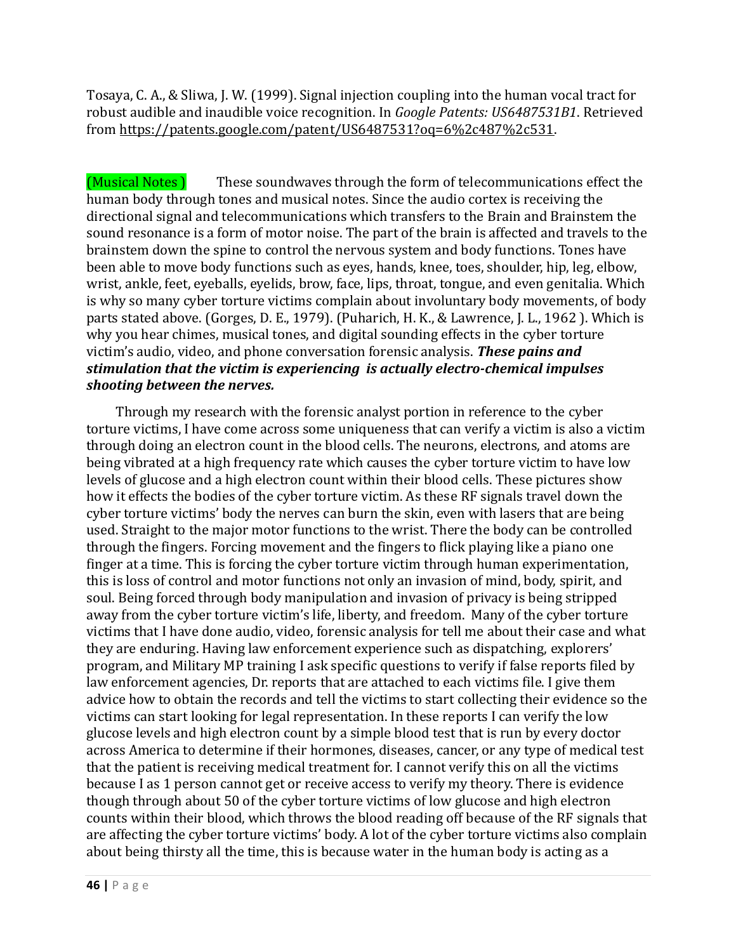Tosaya, C. A., & Sliwa, J. W. (1999). Signal injection coupling into the human vocal tract for robust audible and inaudible voice recognition. In *Google Patents: US6487531B1*. Retrieved from [https://patents.google.com/patent/US6487531?oq=6%2c487%2c531.](https://patents.google.com/patent/US6487531?oq=6%2c487%2c531)

(Musical Notes ) These soundwaves through the form of telecommunications effect the human body through tones and musical notes. Since the audio cortex is receiving the directional signal and telecommunications which transfers to the Brain and Brainstem the sound resonance is a form of motor noise. The part of the brain is affected and travels to the brainstem down the spine to control the nervous system and body functions. Tones have been able to move body functions such as eyes, hands, knee, toes, shoulder, hip, leg, elbow, wrist, ankle, feet, eyeballs, eyelids, brow, face, lips, throat, tongue, and even genitalia. Which is why so many cyber torture victims complain about involuntary body movements, of body parts stated above. (Gorges, D. E., 1979). (Puharich, H. K., & Lawrence, J. L., 1962 ). Which is why you hear chimes, musical tones, and digital sounding effects in the cyber torture victim's audio, video, and phone conversation forensic analysis. *These pains and stimulation that the victim is experiencing is actually electro-chemical impulses shooting between the nerves.*

Through my research with the forensic analyst portion in reference to the cyber torture victims, I have come across some uniqueness that can verify a victim is also a victim through doing an electron count in the blood cells. The neurons, electrons, and atoms are being vibrated at a high frequency rate which causes the cyber torture victim to have low levels of glucose and a high electron count within their blood cells. These pictures show how it effects the bodies of the cyber torture victim. As these RF signals travel down the cyber torture victims' body the nerves can burn the skin, even with lasers that are being used. Straight to the major motor functions to the wrist. There the body can be controlled through the fingers. Forcing movement and the fingers to flick playing like a piano one finger at a time. This is forcing the cyber torture victim through human experimentation, this is loss of control and motor functions not only an invasion of mind, body, spirit, and soul. Being forced through body manipulation and invasion of privacy is being stripped away from the cyber torture victim's life, liberty, and freedom. Many of the cyber torture victims that I have done audio, video, forensic analysis for tell me about their case and what they are enduring. Having law enforcement experience such as dispatching, explorers' program, and Military MP training I ask specific questions to verify if false reports filed by law enforcement agencies, Dr. reports that are attached to each victims file. I give them advice how to obtain the records and tell the victims to start collecting their evidence so the victims can start looking for legal representation. In these reports I can verify the low glucose levels and high electron count by a simple blood test that is run by every doctor across America to determine if their hormones, diseases, cancer, or any type of medical test that the patient is receiving medical treatment for. I cannot verify this on all the victims because I as 1 person cannot get or receive access to verify my theory. There is evidence though through about 50 of the cyber torture victims of low glucose and high electron counts within their blood, which throws the blood reading off because of the RF signals that are affecting the cyber torture victims' body. A lot of the cyber torture victims also complain about being thirsty all the time, this is because water in the human body is acting as a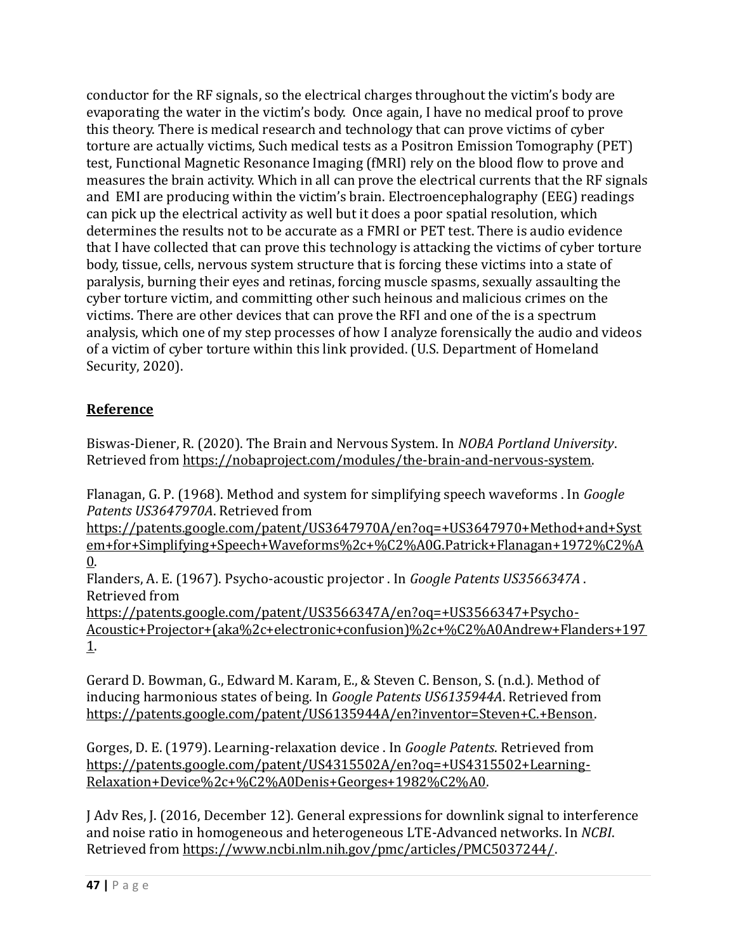conductor for the RF signals, so the electrical charges throughout the victim's body are evaporating the water in the victim's body. Once again, I have no medical proof to prove this theory. There is medical research and technology that can prove victims of cyber torture are actually victims, Such medical tests as a Positron Emission Tomography (PET) test, Functional Magnetic Resonance Imaging (fMRI) rely on the blood flow to prove and measures the brain activity. Which in all can prove the electrical currents that the RF signals and EMI are producing within the victim's brain. Electroencephalography (EEG) readings can pick up the electrical activity as well but it does a poor spatial resolution, which determines the results not to be accurate as a FMRI or PET test. There is audio evidence that I have collected that can prove this technology is attacking the victims of cyber torture body, tissue, cells, nervous system structure that is forcing these victims into a state of paralysis, burning their eyes and retinas, forcing muscle spasms, sexually assaulting the cyber torture victim, and committing other such heinous and malicious crimes on the victims. There are other devices that can prove the RFI and one of the is a spectrum analysis, which one of my step processes of how I analyze forensically the audio and videos of a victim of cyber torture within this link provided. (U.S. Department of Homeland Security, 2020).

# **Reference**

Biswas-Diener, R. (2020). The Brain and Nervous System. In *NOBA Portland University*. Retrieved from [https://nobaproject.com/modules/the-brain-and-nervous-system.](https://nobaproject.com/modules/the-brain-and-nervous-system) 

Flanagan, G. P. (1968). Method and system for simplifying speech waveforms . In *Google Patents US3647970A*. Retrieved from

[https://patents.google.com/patent/US3647970A/en?oq=+US3647970+Method+and+Syst](https://patents.google.com/patent/US3647970A/en?oq=+US3647970+Method+and+System+for+Simplifying+Speech+Waveforms%2c+%C2%A0G.Patrick+Flanagan+1972%C2%A0) [em+for+Simplifying+Speech+Waveforms%2c+%C2%A0G.Patrick+Flanagan+1972%C2%A](https://patents.google.com/patent/US3647970A/en?oq=+US3647970+Method+and+System+for+Simplifying+Speech+Waveforms%2c+%C2%A0G.Patrick+Flanagan+1972%C2%A0) [0.](https://patents.google.com/patent/US3647970A/en?oq=+US3647970+Method+and+System+for+Simplifying+Speech+Waveforms%2c+%C2%A0G.Patrick+Flanagan+1972%C2%A0)

Flanders, A. E. (1967). Psycho-acoustic projector . In *Google Patents US3566347A* . Retrieved from

[https://patents.google.com/patent/US3566347A/en?oq=+US3566347+Psycho-](https://patents.google.com/patent/US3566347A/en?oq=+US3566347+Psycho-Acoustic+Projector+(aka%2c+electronic+confusion)%2c+%C2%A0Andrew+Flanders+1971)[Acoustic+Projector+\(aka%2c+electronic+confusion\)%2c+%C2%A0Andrew+Flanders+197](https://patents.google.com/patent/US3566347A/en?oq=+US3566347+Psycho-Acoustic+Projector+(aka%2c+electronic+confusion)%2c+%C2%A0Andrew+Flanders+1971) [1.](https://patents.google.com/patent/US3566347A/en?oq=+US3566347+Psycho-Acoustic+Projector+(aka%2c+electronic+confusion)%2c+%C2%A0Andrew+Flanders+1971)

Gerard D. Bowman, G., Edward M. Karam, E., & Steven C. Benson, S. (n.d.). Method of inducing harmonious states of being. In *Google Patents US6135944A*. Retrieved from [https://patents.google.com/patent/US6135944A/en?inventor=Steven+C.+Benson.](https://patents.google.com/patent/US6135944A/en?inventor=Steven+C.+Benson)

Gorges, D. E. (1979). Learning-relaxation device . In *Google Patents*. Retrieved from [https://patents.google.com/patent/US4315502A/en?oq=+US4315502+Learning-](https://patents.google.com/patent/US4315502A/en?oq=+US4315502+Learning-Relaxation+Device%2c+%C2%A0Denis+Georges+1982%C2%A0)[Relaxation+Device%2c+%C2%A0Denis+Georges+1982%C2%A0.](https://patents.google.com/patent/US4315502A/en?oq=+US4315502+Learning-Relaxation+Device%2c+%C2%A0Denis+Georges+1982%C2%A0)

J Adv Res, J. (2016, December 12). General expressions for downlink signal to interference and noise ratio in homogeneous and heterogeneous LTE-Advanced networks. In *NCBI*. Retrieved from [https://www.ncbi.nlm.nih.gov/pmc/articles/PMC5037244/.](https://www.ncbi.nlm.nih.gov/pmc/articles/PMC5037244/)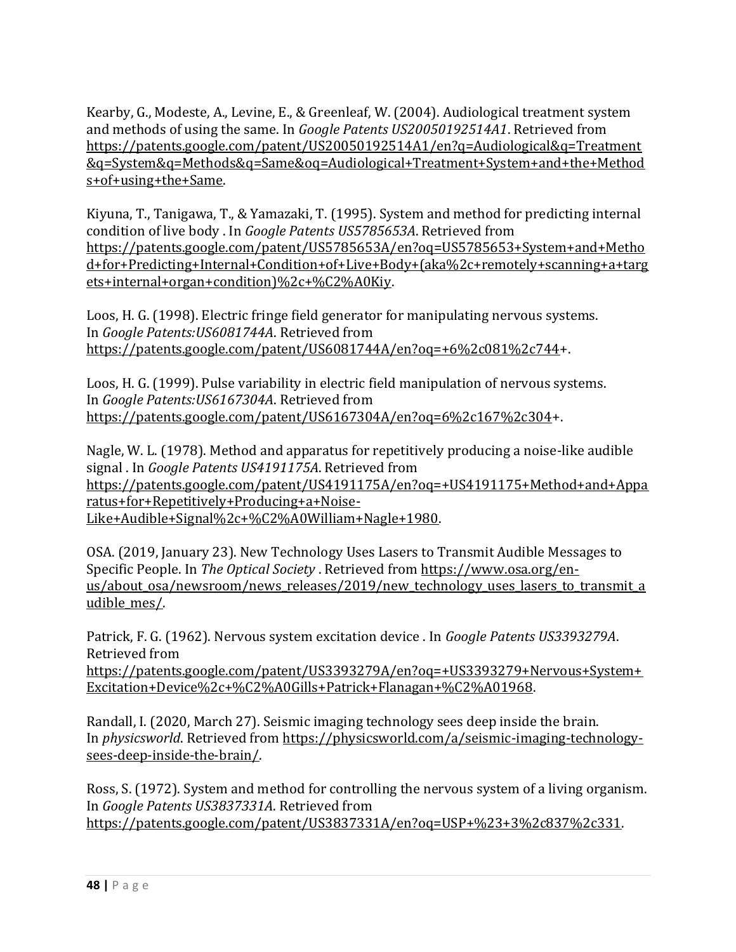Kearby, G., Modeste, A., Levine, E., & Greenleaf, W. (2004). Audiological treatment system and methods of using the same. In *Google Patents US20050192514A1*. Retrieved from [https://patents.google.com/patent/US20050192514A1/en?q=Audiological&q=Treatment](https://patents.google.com/patent/US20050192514A1/en?q=Audiological&q=Treatment&q=System&q=Methods&q=Same&oq=Audiological+Treatment+System+and+the+Methods+of+using+the+Same) [&q=System&q=Methods&q=Same&oq=Audiological+Treatment+System+and+the+Method](https://patents.google.com/patent/US20050192514A1/en?q=Audiological&q=Treatment&q=System&q=Methods&q=Same&oq=Audiological+Treatment+System+and+the+Methods+of+using+the+Same) [s+of+using+the+Same.](https://patents.google.com/patent/US20050192514A1/en?q=Audiological&q=Treatment&q=System&q=Methods&q=Same&oq=Audiological+Treatment+System+and+the+Methods+of+using+the+Same)

Kiyuna, T., Tanigawa, T., & Yamazaki, T. (1995). System and method for predicting internal condition of live body . In *Google Patents US5785653A*. Retrieved from [https://patents.google.com/patent/US5785653A/en?oq=US5785653+System+and+Metho](https://patents.google.com/patent/US5785653A/en?oq=US5785653+System+and+Method+for+Predicting+Internal+Condition+of+Live+Body+(aka%2c+remotely+scanning+a+targets+internal+organ+condition)%2c+%C2%A0Kiy) [d+for+Predicting+Internal+Condition+of+Live+Body+\(aka%2c+remotely+scanning+a+targ](https://patents.google.com/patent/US5785653A/en?oq=US5785653+System+and+Method+for+Predicting+Internal+Condition+of+Live+Body+(aka%2c+remotely+scanning+a+targets+internal+organ+condition)%2c+%C2%A0Kiy) [ets+internal+organ+condition\)%2c+%C2%A0Kiy.](https://patents.google.com/patent/US5785653A/en?oq=US5785653+System+and+Method+for+Predicting+Internal+Condition+of+Live+Body+(aka%2c+remotely+scanning+a+targets+internal+organ+condition)%2c+%C2%A0Kiy)

Loos, H. G. (1998). Electric fringe field generator for manipulating nervous systems. In *Google Patents:US6081744A*. Retrieved from [https://patents.google.com/patent/US6081744A/en?oq=+6%2c081%2c744+](https://patents.google.com/patent/US6081744A/en?oq=+6%2c081%2c744).

Loos, H. G. (1999). Pulse variability in electric field manipulation of nervous systems. In *Google Patents:US6167304A*. Retrieved from [https://patents.google.com/patent/US6167304A/en?oq=6%2c167%2c304+](https://patents.google.com/patent/US6167304A/en?oq=6%2c167%2c304).

Nagle, W. L. (1978). Method and apparatus for repetitively producing a noise-like audible signal . In *Google Patents US4191175A*. Retrieved from [https://patents.google.com/patent/US4191175A/en?oq=+US4191175+Method+and+Appa](https://patents.google.com/patent/US4191175A/en?oq=+US4191175+Method+and+Apparatus+for+Repetitively+Producing+a+Noise-Like+Audible+Signal%2c+%C2%A0William+Nagle+1980) [ratus+for+Repetitively+Producing+a+Noise-](https://patents.google.com/patent/US4191175A/en?oq=+US4191175+Method+and+Apparatus+for+Repetitively+Producing+a+Noise-Like+Audible+Signal%2c+%C2%A0William+Nagle+1980)[Like+Audible+Signal%2c+%C2%A0William+Nagle+1980.](https://patents.google.com/patent/US4191175A/en?oq=+US4191175+Method+and+Apparatus+for+Repetitively+Producing+a+Noise-Like+Audible+Signal%2c+%C2%A0William+Nagle+1980)

OSA. (2019, January 23). New Technology Uses Lasers to Transmit Audible Messages to Specific People. In *The Optical Society* . Retrieved from [https://www.osa.org/en](https://www.osa.org/en-us/about_osa/newsroom/news_releases/2019/new_technology_uses_lasers_to_transmit_audible_mes/)us/about osa/newsroom/news releases/2019/new technology uses lasers to transmit a udible mes/.

Patrick, F. G. (1962). Nervous system excitation device . In *Google Patents US3393279A*. Retrieved from [https://patents.google.com/patent/US3393279A/en?oq=+US3393279+Nervous+System+](https://patents.google.com/patent/US3393279A/en?oq=+US3393279+Nervous+System+Excitation+Device%2c+%C2%A0Gills+Patrick+Flanagan+%C2%A01968) [Excitation+Device%2c+%C2%A0Gills+Patrick+Flanagan+%C2%A01968.](https://patents.google.com/patent/US3393279A/en?oq=+US3393279+Nervous+System+Excitation+Device%2c+%C2%A0Gills+Patrick+Flanagan+%C2%A01968)

Randall, I. (2020, March 27). Seismic imaging technology sees deep inside the brain. In *physicsworld*. Retrieved from [https://physicsworld.com/a/seismic-imaging-technology](https://physicsworld.com/a/seismic-imaging-technology-sees-deep-inside-the-brain/)[sees-deep-inside-the-brain/.](https://physicsworld.com/a/seismic-imaging-technology-sees-deep-inside-the-brain/)

Ross, S. (1972). System and method for controlling the nervous system of a living organism. In *Google Patents US3837331A*. Retrieved from [https://patents.google.com/patent/US3837331A/en?oq=USP+%23+3%2c837%2c331.](https://patents.google.com/patent/US3837331A/en?oq=USP+%23+3%2c837%2c331)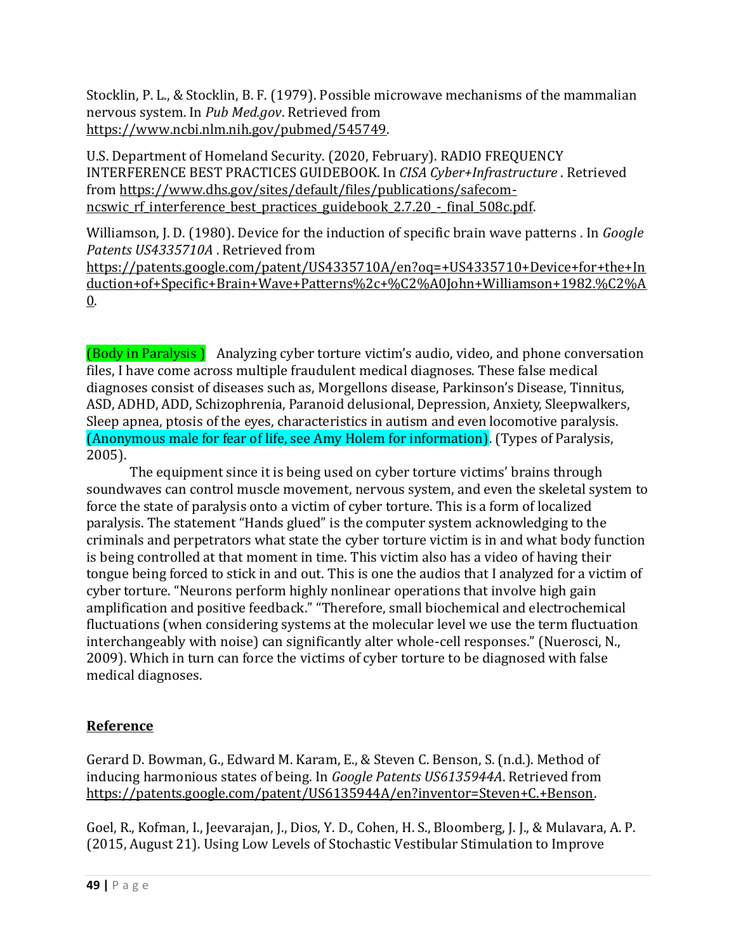Stocklin, P. L., & Stocklin, B. F. (1979). Possible microwave mechanisms of the mammalian nervous system. In *Pub Med.gov*. Retrieved from [https://www.ncbi.nlm.nih.gov/pubmed/545749.](https://www.ncbi.nlm.nih.gov/pubmed/545749)

U.S. Department of Homeland Security. (2020, February). RADIO FREQUENCY INTERFERENCE BEST PRACTICES GUIDEBOOK. In *CISA Cyber+Infrastructure* . Retrieved from [https://www.dhs.gov/sites/default/files/publications/safecom](https://www.dhs.gov/sites/default/files/publications/safecom-ncswic_rf_interference_best_practices_guidebook_2.7.20_-_final_508c.pdf)ncswic rf interference best practices guidebook 2.7.20 - final 508c.pdf.

Williamson, J. D. (1980). Device for the induction of specific brain wave patterns . In *Google Patents US4335710A* . Retrieved from

[https://patents.google.com/patent/US4335710A/en?oq=+US4335710+Device+for+the+In](https://patents.google.com/patent/US4335710A/en?oq=+US4335710+Device+for+the+Induction+of+Specific+Brain+Wave+Patterns%2c+%C2%A0John+Williamson+1982.%C2%A0) [duction+of+Specific+Brain+Wave+Patterns%2c+%C2%A0John+Williamson+1982.%C2%A](https://patents.google.com/patent/US4335710A/en?oq=+US4335710+Device+for+the+Induction+of+Specific+Brain+Wave+Patterns%2c+%C2%A0John+Williamson+1982.%C2%A0) [0.](https://patents.google.com/patent/US4335710A/en?oq=+US4335710+Device+for+the+Induction+of+Specific+Brain+Wave+Patterns%2c+%C2%A0John+Williamson+1982.%C2%A0)

(Body in Paralysis ) Analyzing cyber torture victim's audio, video, and phone conversation files, I have come across multiple fraudulent medical diagnoses. These false medical diagnoses consist of diseases such as, Morgellons disease, Parkinson's Disease, Tinnitus, ASD, ADHD, ADD, Schizophrenia, Paranoid delusional, Depression, Anxiety, Sleepwalkers, Sleep apnea, ptosis of the eyes, characteristics in autism and even locomotive paralysis. (Anonymous male for fear of life, see Amy Holem for information). (Types of Paralysis, 2005).

The equipment since it is being used on cyber torture victims' brains through soundwaves can control muscle movement, nervous system, and even the skeletal system to force the state of paralysis onto a victim of cyber torture. This is a form of localized paralysis. The statement "Hands glued" is the computer system acknowledging to the criminals and perpetrators what state the cyber torture victim is in and what body function is being controlled at that moment in time. This victim also has a video of having their tongue being forced to stick in and out. This is one the audios that I analyzed for a victim of cyber torture. "Neurons perform highly nonlinear operations that involve high gain amplification and positive feedback." "Therefore, small biochemical and electrochemical fluctuations (when considering systems at the molecular level we use the term fluctuation interchangeably with noise) can significantly alter whole-cell responses." (Nuerosci, N., 2009). Which in turn can force the victims of cyber torture to be diagnosed with false medical diagnoses.

# **Reference**

Gerard D. Bowman, G., Edward M. Karam, E., & Steven C. Benson, S. (n.d.). Method of inducing harmonious states of being. In *Google Patents US6135944A*. Retrieved from [https://patents.google.com/patent/US6135944A/en?inventor=Steven+C.+Benson.](https://patents.google.com/patent/US6135944A/en?inventor=Steven+C.+Benson)

Goel, R., Kofman, I., Jeevarajan, J., Dios, Y. D., Cohen, H. S., Bloomberg, J. J., & Mulavara, A. P. (2015, August 21). Using Low Levels of Stochastic Vestibular Stimulation to Improve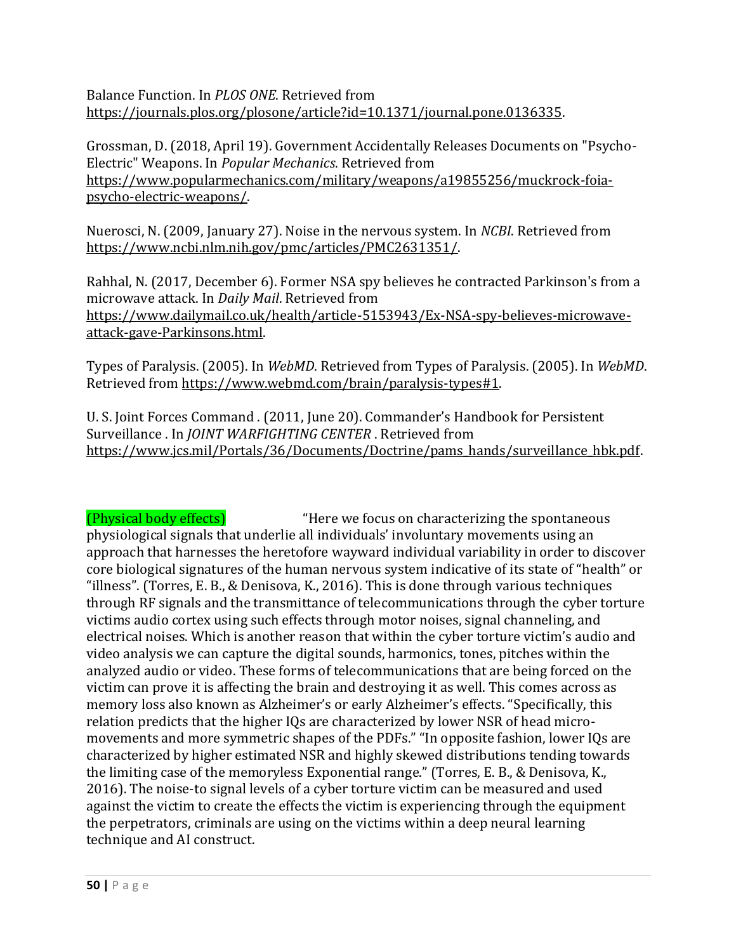Balance Function. In *PLOS ONE*. Retrieved from [https://journals.plos.org/plosone/article?id=10.1371/journal.pone.0136335.](https://journals.plos.org/plosone/article?id=10.1371/journal.pone.0136335)

Grossman, D. (2018, April 19). Government Accidentally Releases Documents on "Psycho-Electric" Weapons. In *Popular Mechanics*. Retrieved from [https://www.popularmechanics.com/military/weapons/a19855256/muckrock-foia](https://www.popularmechanics.com/military/weapons/a19855256/muckrock-foia-psycho-electric-weapons/)[psycho-electric-weapons/.](https://www.popularmechanics.com/military/weapons/a19855256/muckrock-foia-psycho-electric-weapons/)

Nuerosci, N. (2009, January 27). Noise in the nervous system. In *NCBI*. Retrieved from [https://www.ncbi.nlm.nih.gov/pmc/articles/PMC2631351/.](https://www.ncbi.nlm.nih.gov/pmc/articles/PMC2631351/)

Rahhal, N. (2017, December 6). Former NSA spy believes he contracted Parkinson's from a microwave attack. In *Daily Mail*. Retrieved from [https://www.dailymail.co.uk/health/article-5153943/Ex-NSA-spy-believes-microwave](https://www.dailymail.co.uk/health/article-5153943/Ex-NSA-spy-believes-microwave-attack-gave-Parkinsons.html)[attack-gave-Parkinsons.html.](https://www.dailymail.co.uk/health/article-5153943/Ex-NSA-spy-believes-microwave-attack-gave-Parkinsons.html)

Types of Paralysis. (2005). In *WebMD*. Retrieved from Types of Paralysis. (2005). In *WebMD*. Retrieved from [https://www.webmd.com/brain/paralysis-types#1.](https://www.webmd.com/brain/paralysis-types) 

U. S. Joint Forces Command . (2011, June 20). Commander's Handbook for Persistent Surveillance . In *JOINT WARFIGHTING CENTER* . Retrieved from [https://www.jcs.mil/Portals/36/Documents/Doctrine/pams\\_hands/surveillance\\_hbk.pdf.](https://www.jcs.mil/Portals/36/Documents/Doctrine/pams_hands/surveillance_hbk.pdf)

(Physical body effects) "Here we focus on characterizing the spontaneous physiological signals that underlie all individuals' involuntary movements using an approach that harnesses the heretofore wayward individual variability in order to discover core biological signatures of the human nervous system indicative of its state of "health" or "illness". (Torres, E. B., & Denisova, K., 2016). This is done through various techniques through RF signals and the transmittance of telecommunications through the cyber torture victims audio cortex using such effects through motor noises, signal channeling, and electrical noises. Which is another reason that within the cyber torture victim's audio and video analysis we can capture the digital sounds, harmonics, tones, pitches within the analyzed audio or video. These forms of telecommunications that are being forced on the victim can prove it is affecting the brain and destroying it as well. This comes across as memory loss also known as Alzheimer's or early Alzheimer's effects. "Specifically, this relation predicts that the higher IQs are characterized by lower NSR of head micromovements and more symmetric shapes of the PDFs." "In opposite fashion, lower IQs are characterized by higher estimated NSR and highly skewed distributions tending towards the limiting case of the memoryless Exponential range." (Torres, E. B., & Denisova, K., 2016). The noise-to signal levels of a cyber torture victim can be measured and used against the victim to create the effects the victim is experiencing through the equipment the perpetrators, criminals are using on the victims within a deep neural learning technique and AI construct.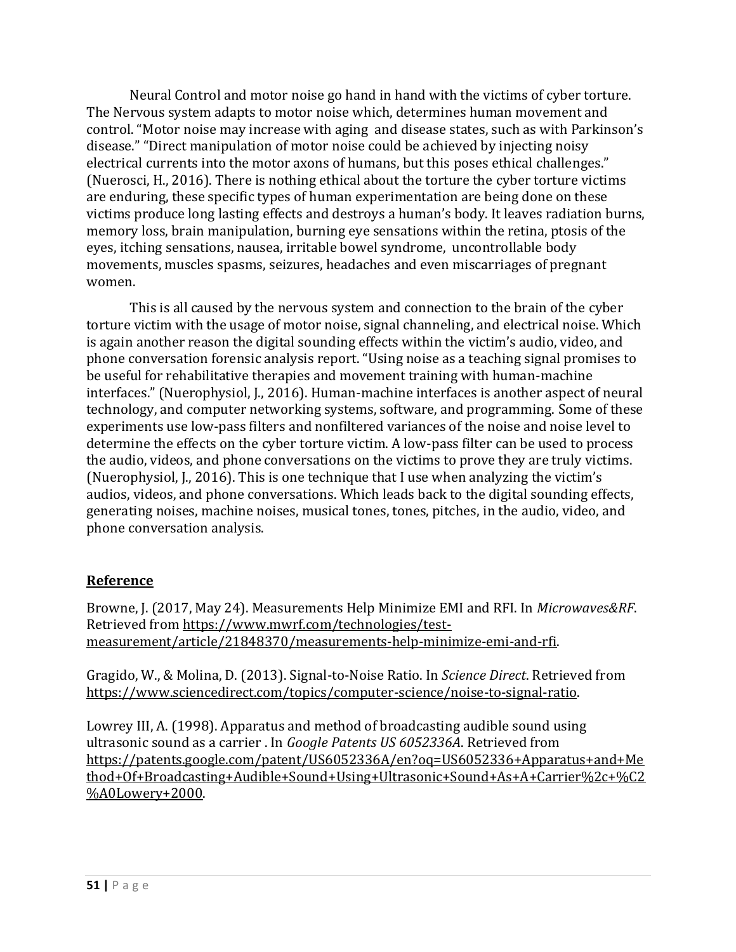Neural Control and motor noise go hand in hand with the victims of cyber torture. The Nervous system adapts to motor noise which, determines human movement and control. "Motor noise may increase with aging and disease states, such as with Parkinson's disease." "Direct manipulation of motor noise could be achieved by injecting noisy electrical currents into the motor axons of humans, but this poses ethical challenges." (Nuerosci, H., 2016). There is nothing ethical about the torture the cyber torture victims are enduring, these specific types of human experimentation are being done on these victims produce long lasting effects and destroys a human's body. It leaves radiation burns, memory loss, brain manipulation, burning eye sensations within the retina, ptosis of the eyes, itching sensations, nausea, irritable bowel syndrome, uncontrollable body movements, muscles spasms, seizures, headaches and even miscarriages of pregnant women.

This is all caused by the nervous system and connection to the brain of the cyber torture victim with the usage of motor noise, signal channeling, and electrical noise. Which is again another reason the digital sounding effects within the victim's audio, video, and phone conversation forensic analysis report. "Using noise as a teaching signal promises to be useful for rehabilitative therapies and movement training with human-machine interfaces." (Nuerophysiol, J., 2016). Human-machine interfaces is another aspect of neural technology, and computer networking systems, software, and programming. Some of these experiments use low-pass filters and nonfiltered variances of the noise and noise level to determine the effects on the cyber torture victim. A low-pass filter can be used to process the audio, videos, and phone conversations on the victims to prove they are truly victims. (Nuerophysiol, J., 2016). This is one technique that I use when analyzing the victim's audios, videos, and phone conversations. Which leads back to the digital sounding effects, generating noises, machine noises, musical tones, tones, pitches, in the audio, video, and phone conversation analysis.

#### **Reference**

Browne, J. (2017, May 24). Measurements Help Minimize EMI and RFI. In *Microwaves&RF*. Retrieved from [https://www.mwrf.com/technologies/test](https://www.mwrf.com/technologies/test-measurement/article/21848370/measurements-help-minimize-emi-and-rfi)[measurement/article/21848370/measurements-help-minimize-emi-and-rfi.](https://www.mwrf.com/technologies/test-measurement/article/21848370/measurements-help-minimize-emi-and-rfi)

Gragido, W., & Molina, D. (2013). Signal-to-Noise Ratio. In *Science Direct*. Retrieved from [https://www.sciencedirect.com/topics/computer-science/noise-to-signal-ratio.](https://www.sciencedirect.com/topics/computer-science/noise-to-signal-ratio)

Lowrey III, A. (1998). Apparatus and method of broadcasting audible sound using ultrasonic sound as a carrier . In *Google Patents US 6052336A*. Retrieved from [https://patents.google.com/patent/US6052336A/en?oq=US6052336+Apparatus+and+Me](https://patents.google.com/patent/US6052336A/en?oq=US6052336+Apparatus+and+Method+Of+Broadcasting+Audible+Sound+Using+Ultrasonic+Sound+As+A+Carrier%2c+%C2%A0Lowery+2000) [thod+Of+Broadcasting+Audible+Sound+Using+Ultrasonic+Sound+As+A+Carrier%2c+%C2](https://patents.google.com/patent/US6052336A/en?oq=US6052336+Apparatus+and+Method+Of+Broadcasting+Audible+Sound+Using+Ultrasonic+Sound+As+A+Carrier%2c+%C2%A0Lowery+2000) [%A0Lowery+2000.](https://patents.google.com/patent/US6052336A/en?oq=US6052336+Apparatus+and+Method+Of+Broadcasting+Audible+Sound+Using+Ultrasonic+Sound+As+A+Carrier%2c+%C2%A0Lowery+2000)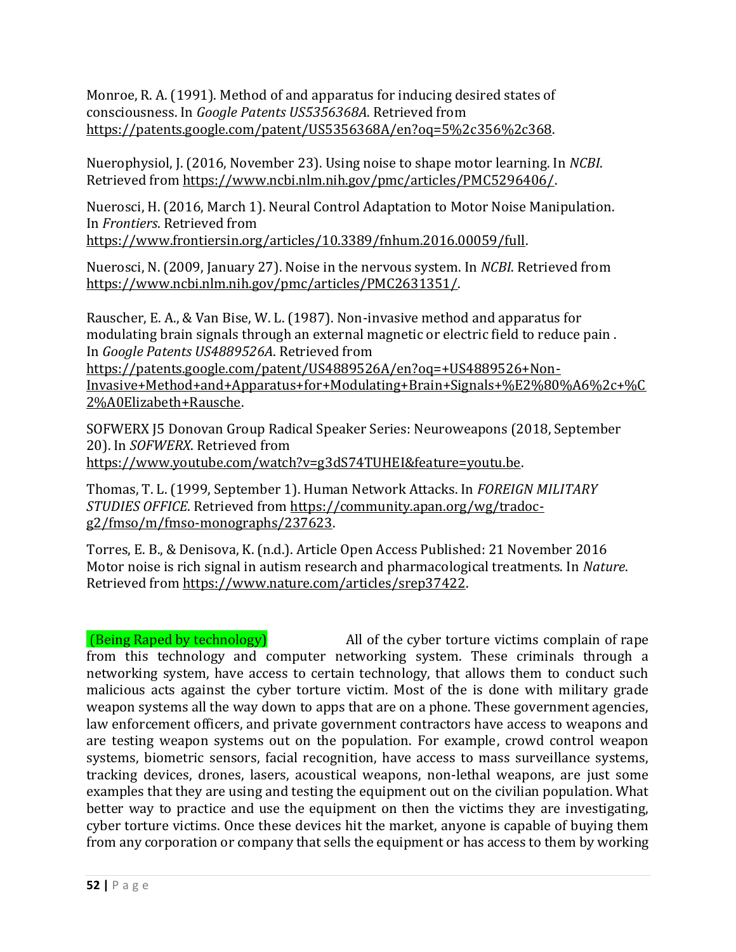Monroe, R. A. (1991). Method of and apparatus for inducing desired states of consciousness. In *Google Patents US5356368A*. Retrieved from [https://patents.google.com/patent/US5356368A/en?oq=5%2c356%2c368.](https://patents.google.com/patent/US5356368A/en?oq=5%2c356%2c368)

Nuerophysiol, J. (2016, November 23). Using noise to shape motor learning. In *NCBI*. Retrieved from [https://www.ncbi.nlm.nih.gov/pmc/articles/PMC5296406/.](https://www.ncbi.nlm.nih.gov/pmc/articles/PMC5296406/) 

Nuerosci, H. (2016, March 1). Neural Control Adaptation to Motor Noise Manipulation. In *Frontiers*. Retrieved from

[https://www.frontiersin.org/articles/10.3389/fnhum.2016.00059/full.](https://www.frontiersin.org/articles/10.3389/fnhum.2016.00059/full) 

Nuerosci, N. (2009, January 27). Noise in the nervous system. In *NCBI*. Retrieved from [https://www.ncbi.nlm.nih.gov/pmc/articles/PMC2631351/.](https://www.ncbi.nlm.nih.gov/pmc/articles/PMC2631351/)

Rauscher, E. A., & Van Bise, W. L. (1987). Non-invasive method and apparatus for modulating brain signals through an external magnetic or electric field to reduce pain . In *Google Patents US4889526A*. Retrieved from

[https://patents.google.com/patent/US4889526A/en?oq=+US4889526+Non-](https://patents.google.com/patent/US4889526A/en?oq=+US4889526+Non-Invasive+Method+and+Apparatus+for+Modulating+Brain+Signals+%E2%80%A6%2c+%C2%A0Elizabeth+Rausche)[Invasive+Method+and+Apparatus+for+Modulating+Brain+Signals+%E2%80%A6%2c+%C](https://patents.google.com/patent/US4889526A/en?oq=+US4889526+Non-Invasive+Method+and+Apparatus+for+Modulating+Brain+Signals+%E2%80%A6%2c+%C2%A0Elizabeth+Rausche) [2%A0Elizabeth+Rausche.](https://patents.google.com/patent/US4889526A/en?oq=+US4889526+Non-Invasive+Method+and+Apparatus+for+Modulating+Brain+Signals+%E2%80%A6%2c+%C2%A0Elizabeth+Rausche)

SOFWERX J5 Donovan Group Radical Speaker Series: Neuroweapons (2018, September 20). In *SOFWERX*. Retrieved from [https://www.youtube.com/watch?v=g3dS74TUHEI&feature=youtu.be.](https://www.youtube.com/watch?v=g3dS74TUHEI&feature=youtu.be)

Thomas, T. L. (1999, September 1). Human Network Attacks. In *FOREIGN MILITARY STUDIES OFFICE*. Retrieved from [https://community.apan.org/wg/tradoc](https://community.apan.org/wg/tradoc-g2/fmso/m/fmso-monographs/237623)[g2/fmso/m/fmso-monographs/237623.](https://community.apan.org/wg/tradoc-g2/fmso/m/fmso-monographs/237623)

Torres, E. B., & Denisova, K. (n.d.). Article Open Access Published: 21 November 2016 Motor noise is rich signal in autism research and pharmacological treatments. In *Nature*. Retrieved from [https://www.nature.com/articles/srep37422.](https://www.nature.com/articles/srep37422)

(Being Raped by technology) All of the cyber torture victims complain of rape from this technology and computer networking system. These criminals through a networking system, have access to certain technology, that allows them to conduct such malicious acts against the cyber torture victim. Most of the is done with military grade weapon systems all the way down to apps that are on a phone. These government agencies, law enforcement officers, and private government contractors have access to weapons and are testing weapon systems out on the population. For example, crowd control weapon systems, biometric sensors, facial recognition, have access to mass surveillance systems, tracking devices, drones, lasers, acoustical weapons, non-lethal weapons, are just some examples that they are using and testing the equipment out on the civilian population. What better way to practice and use the equipment on then the victims they are investigating, cyber torture victims. Once these devices hit the market, anyone is capable of buying them from any corporation or company that sells the equipment or has access to them by working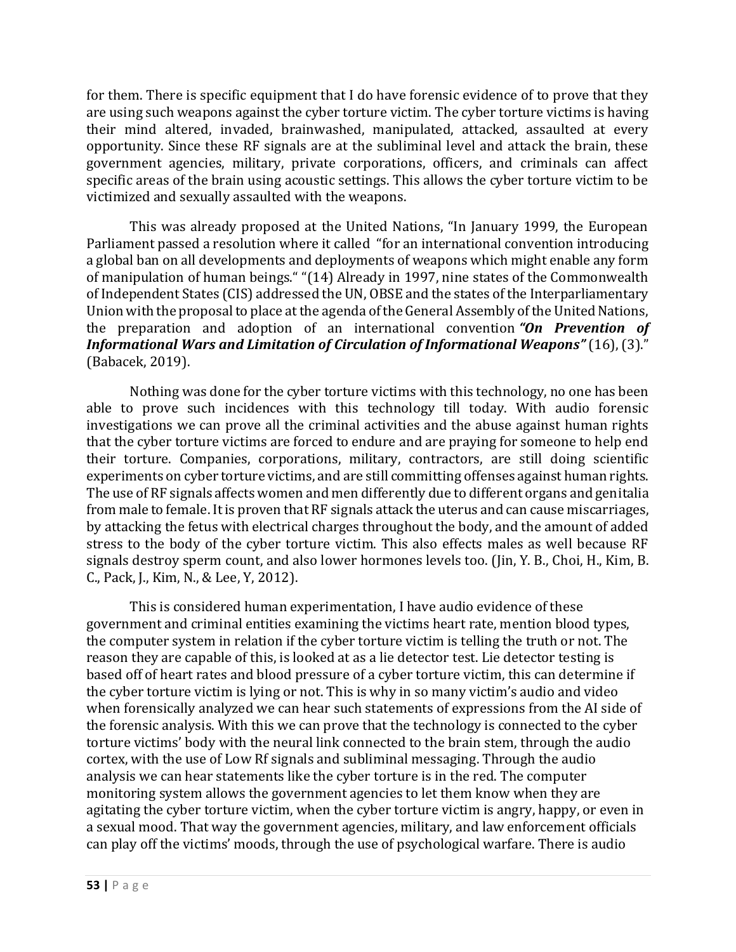for them. There is specific equipment that I do have forensic evidence of to prove that they are using such weapons against the cyber torture victim. The cyber torture victims is having their mind altered, invaded, brainwashed, manipulated, attacked, assaulted at every opportunity. Since these RF signals are at the subliminal level and attack the brain, these government agencies, military, private corporations, officers, and criminals can affect specific areas of the brain using acoustic settings. This allows the cyber torture victim to be victimized and sexually assaulted with the weapons.

This was already proposed at the United Nations, "In January 1999, the European Parliament passed a resolution where it called "for an international convention introducing a global ban on all developments and deployments of weapons which might enable any form of manipulation of human beings." "(14) Already in 1997, nine states of the Commonwealth of Independent States (CIS) addressed the UN, OBSE and the states of the Interparliamentary Union with the proposal to place at the agenda of the General Assembly of the United Nations, the preparation and adoption of an international convention *"On Prevention of Informational Wars and Limitation of Circulation of Informational Weapons"* (16), (3)." (Babacek, 2019).

Nothing was done for the cyber torture victims with this technology, no one has been able to prove such incidences with this technology till today. With audio forensic investigations we can prove all the criminal activities and the abuse against human rights that the cyber torture victims are forced to endure and are praying for someone to help end their torture. Companies, corporations, military, contractors, are still doing scientific experiments on cyber torture victims, and are still committing offenses against human rights. The use of RF signals affects women and men differently due to different organs and genitalia from male to female. It is proven that RF signals attack the uterus and can cause miscarriages, by attacking the fetus with electrical charges throughout the body, and the amount of added stress to the body of the cyber torture victim. This also effects males as well because RF signals destroy sperm count, and also lower hormones levels too. (Jin, Y. B., Choi, H., Kim, B. C., Pack, J., Kim, N., & Lee, Y, 2012).

This is considered human experimentation, I have audio evidence of these government and criminal entities examining the victims heart rate, mention blood types, the computer system in relation if the cyber torture victim is telling the truth or not. The reason they are capable of this, is looked at as a lie detector test. Lie detector testing is based off of heart rates and blood pressure of a cyber torture victim, this can determine if the cyber torture victim is lying or not. This is why in so many victim's audio and video when forensically analyzed we can hear such statements of expressions from the AI side of the forensic analysis. With this we can prove that the technology is connected to the cyber torture victims' body with the neural link connected to the brain stem, through the audio cortex, with the use of Low Rf signals and subliminal messaging. Through the audio analysis we can hear statements like the cyber torture is in the red. The computer monitoring system allows the government agencies to let them know when they are agitating the cyber torture victim, when the cyber torture victim is angry, happy, or even in a sexual mood. That way the government agencies, military, and law enforcement officials can play off the victims' moods, through the use of psychological warfare. There is audio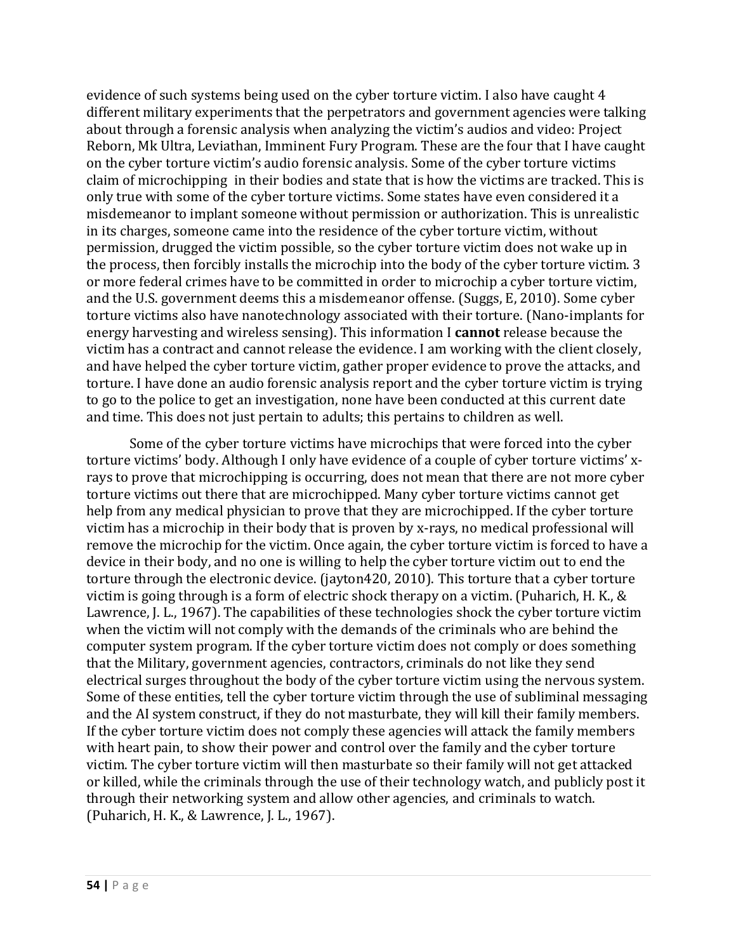evidence of such systems being used on the cyber torture victim. I also have caught 4 different military experiments that the perpetrators and government agencies were talking about through a forensic analysis when analyzing the victim's audios and video: Project Reborn, Mk Ultra, Leviathan, Imminent Fury Program. These are the four that I have caught on the cyber torture victim's audio forensic analysis. Some of the cyber torture victims claim of microchipping in their bodies and state that is how the victims are tracked. This is only true with some of the cyber torture victims. Some states have even considered it a misdemeanor to implant someone without permission or authorization. This is unrealistic in its charges, someone came into the residence of the cyber torture victim, without permission, drugged the victim possible, so the cyber torture victim does not wake up in the process, then forcibly installs the microchip into the body of the cyber torture victim. 3 or more federal crimes have to be committed in order to microchip a cyber torture victim, and the U.S. government deems this a misdemeanor offense. (Suggs, E, 2010). Some cyber torture victims also have nanotechnology associated with their torture. (Nano-implants for energy harvesting and wireless sensing). This information I **cannot** release because the victim has a contract and cannot release the evidence. I am working with the client closely, and have helped the cyber torture victim, gather proper evidence to prove the attacks, and torture. I have done an audio forensic analysis report and the cyber torture victim is trying to go to the police to get an investigation, none have been conducted at this current date and time. This does not just pertain to adults; this pertains to children as well.

Some of the cyber torture victims have microchips that were forced into the cyber torture victims' body. Although I only have evidence of a couple of cyber torture victims' xrays to prove that microchipping is occurring, does not mean that there are not more cyber torture victims out there that are microchipped. Many cyber torture victims cannot get help from any medical physician to prove that they are microchipped. If the cyber torture victim has a microchip in their body that is proven by x-rays, no medical professional will remove the microchip for the victim. Once again, the cyber torture victim is forced to have a device in their body, and no one is willing to help the cyber torture victim out to end the torture through the electronic device. (jayton420, 2010). This torture that a cyber torture victim is going through is a form of electric shock therapy on a victim. (Puharich, H. K., & Lawrence, J. L., 1967). The capabilities of these technologies shock the cyber torture victim when the victim will not comply with the demands of the criminals who are behind the computer system program. If the cyber torture victim does not comply or does something that the Military, government agencies, contractors, criminals do not like they send electrical surges throughout the body of the cyber torture victim using the nervous system. Some of these entities, tell the cyber torture victim through the use of subliminal messaging and the AI system construct, if they do not masturbate, they will kill their family members. If the cyber torture victim does not comply these agencies will attack the family members with heart pain, to show their power and control over the family and the cyber torture victim. The cyber torture victim will then masturbate so their family will not get attacked or killed, while the criminals through the use of their technology watch, and publicly post it through their networking system and allow other agencies, and criminals to watch. (Puharich, H. K., & Lawrence, J. L., 1967).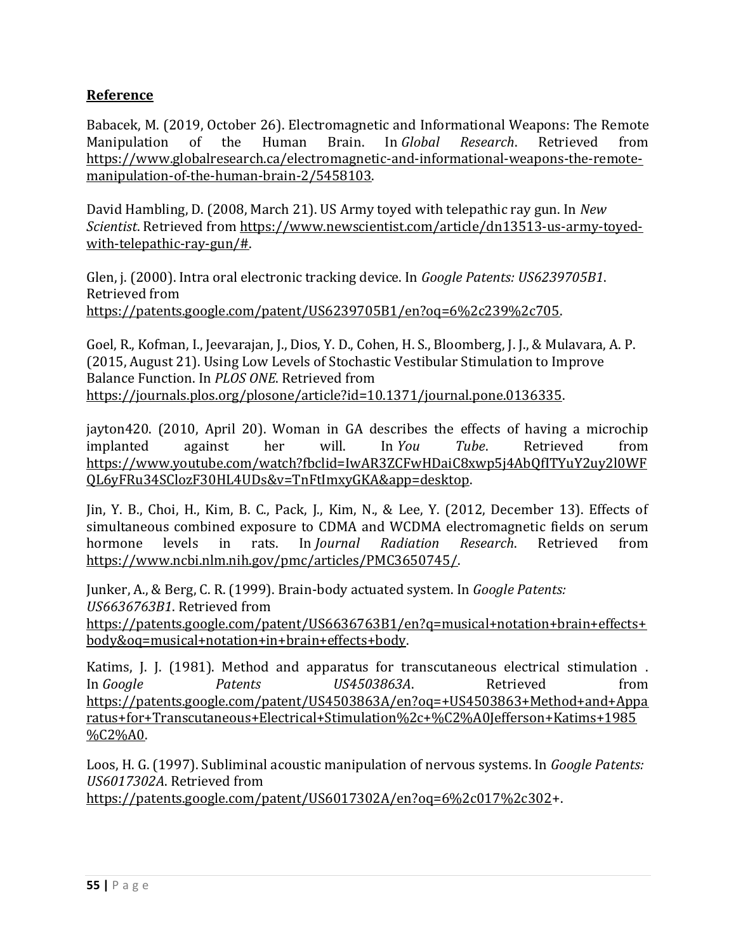## **Reference**

Babacek, M. (2019, October 26). Electromagnetic and Informational Weapons: The Remote Manipulation of the Human Brain. In *Global Research*. Retrieved from [https://www.globalresearch.ca/electromagnetic-and-informational-weapons-the-remote](https://www.globalresearch.ca/electromagnetic-and-informational-weapons-the-remote-manipulation-of-the-human-brain-2/5458103)[manipulation-of-the-human-brain-2/5458103.](https://www.globalresearch.ca/electromagnetic-and-informational-weapons-the-remote-manipulation-of-the-human-brain-2/5458103)

David Hambling, D. (2008, March 21). US Army toyed with telepathic ray gun. In *New Scientist*. Retrieved from [https://www.newscientist.com/article/dn13513-us-army-toyed](https://www.newscientist.com/article/dn13513-us-army-toyed-with-telepathic-ray-gun/)[with-telepathic-ray-gun/#.](https://www.newscientist.com/article/dn13513-us-army-toyed-with-telepathic-ray-gun/) 

Glen, j. (2000). Intra oral electronic tracking device. In *Google Patents: US6239705B1*. Retrieved from [https://patents.google.com/patent/US6239705B1/en?oq=6%2c239%2c705.](https://patents.google.com/patent/US6239705B1/en?oq=6%2c239%2c705)

Goel, R., Kofman, I., Jeevarajan, J., Dios, Y. D., Cohen, H. S., Bloomberg, J. J., & Mulavara, A. P. (2015, August 21). Using Low Levels of Stochastic Vestibular Stimulation to Improve Balance Function. In *PLOS ONE*. Retrieved from [https://journals.plos.org/plosone/article?id=10.1371/journal.pone.0136335.](https://journals.plos.org/plosone/article?id=10.1371/journal.pone.0136335)

jayton420. (2010, April 20). Woman in GA describes the effects of having a microchip implanted against her will. In *You Tube*. Retrieved from [https://www.youtube.com/watch?fbclid=IwAR3ZCFwHDaiC8xwp5j4AbQfITYuY2uy2l0WF](https://www.youtube.com/watch?fbclid=IwAR3ZCFwHDaiC8xwp5j4AbQfITYuY2uy2l0WFQL6yFRu34SClozF30HL4UDs&v=TnFtImxyGKA&app=desktop) [QL6yFRu34SClozF30HL4UDs&v=TnFtImxyGKA&app=desktop.](https://www.youtube.com/watch?fbclid=IwAR3ZCFwHDaiC8xwp5j4AbQfITYuY2uy2l0WFQL6yFRu34SClozF30HL4UDs&v=TnFtImxyGKA&app=desktop)

Jin, Y. B., Choi, H., Kim, B. C., Pack, J., Kim, N., & Lee, Y. (2012, December 13). Effects of simultaneous combined exposure to CDMA and WCDMA electromagnetic fields on serum hormone levels in rats. In *Journal Radiation Research*. Retrieved from [https://www.ncbi.nlm.nih.gov/pmc/articles/PMC3650745/.](https://www.ncbi.nlm.nih.gov/pmc/articles/PMC3650745/)

Junker, A., & Berg, C. R. (1999). Brain-body actuated system. In *Google Patents: US6636763B1*. Retrieved from

[https://patents.google.com/patent/US6636763B1/en?q=musical+notation+brain+effects+](https://patents.google.com/patent/US6636763B1/en?q=musical+notation+brain+effects+body&oq=musical+notation+in+brain+effects+body) [body&oq=musical+notation+in+brain+effects+body.](https://patents.google.com/patent/US6636763B1/en?q=musical+notation+brain+effects+body&oq=musical+notation+in+brain+effects+body)

Katims, J. J. (1981). Method and apparatus for transcutaneous electrical stimulation . In *Google* Patents *US4503863A*. Retrieved from [https://patents.google.com/patent/US4503863A/en?oq=+US4503863+Method+and+Appa](https://patents.google.com/patent/US4503863A/en?oq=+US4503863+Method+and+Apparatus+for+Transcutaneous+Electrical+Stimulation%2c+%C2%A0Jefferson+Katims+1985%C2%A0) [ratus+for+Transcutaneous+Electrical+Stimulation%2c+%C2%A0Jefferson+Katims+1985](https://patents.google.com/patent/US4503863A/en?oq=+US4503863+Method+and+Apparatus+for+Transcutaneous+Electrical+Stimulation%2c+%C2%A0Jefferson+Katims+1985%C2%A0) [%C2%A0.](https://patents.google.com/patent/US4503863A/en?oq=+US4503863+Method+and+Apparatus+for+Transcutaneous+Electrical+Stimulation%2c+%C2%A0Jefferson+Katims+1985%C2%A0)

Loos, H. G. (1997). Subliminal acoustic manipulation of nervous systems. In *Google Patents: US6017302A*. Retrieved from

[https://patents.google.com/patent/US6017302A/en?oq=6%2c017%2c302+](https://patents.google.com/patent/US6017302A/en?oq=6%2c017%2c302).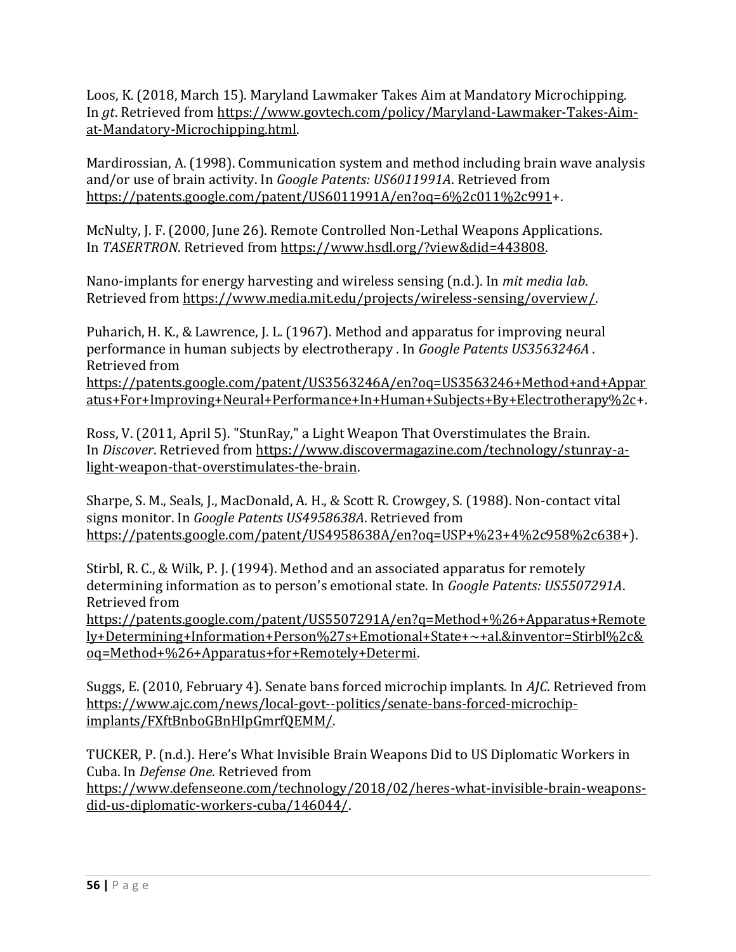Loos, K. (2018, March 15). Maryland Lawmaker Takes Aim at Mandatory Microchipping. In *gt*. Retrieved from [https://www.govtech.com/policy/Maryland-Lawmaker-Takes-Aim](https://www.govtech.com/policy/Maryland-Lawmaker-Takes-Aim-at-Mandatory-Microchipping.html)[at-Mandatory-Microchipping.html.](https://www.govtech.com/policy/Maryland-Lawmaker-Takes-Aim-at-Mandatory-Microchipping.html)

Mardirossian, A. (1998). Communication system and method including brain wave analysis and/or use of brain activity. In *Google Patents: US6011991A*. Retrieved from [https://patents.google.com/patent/US6011991A/en?oq=6%2c011%2c991+](https://patents.google.com/patent/US6011991A/en?oq=6%2c011%2c991).

McNulty, J. F. (2000, June 26). Remote Controlled Non-Lethal Weapons Applications. In *TASERTRON*. Retrieved from [https://www.hsdl.org/?view&did=443808.](https://www.hsdl.org/?view&did=443808)

Nano-implants for energy harvesting and wireless sensing (n.d.). In *mit media lab*. Retrieved from [https://www.media.mit.edu/projects/wireless-sensing/overview/.](https://www.media.mit.edu/projects/wireless-sensing/overview/)

Puharich, H. K., & Lawrence, J. L. (1967). Method and apparatus for improving neural performance in human subjects by electrotherapy . In *Google Patents US3563246A* . Retrieved from

[https://patents.google.com/patent/US3563246A/en?oq=US3563246+Method+and+Appar](https://patents.google.com/patent/US3563246A/en?oq=US3563246+Method+and+Apparatus+For+Improving+Neural+Performance+In+Human+Subjects+By+Electrotherapy%2c) [atus+For+Improving+Neural+Performance+In+Human+Subjects+By+Electrotherapy%2c+](https://patents.google.com/patent/US3563246A/en?oq=US3563246+Method+and+Apparatus+For+Improving+Neural+Performance+In+Human+Subjects+By+Electrotherapy%2c).

Ross, V. (2011, April 5). "StunRay," a Light Weapon That Overstimulates the Brain. In *Discover*. Retrieved from [https://www.discovermagazine.com/technology/stunray-a](https://www.discovermagazine.com/technology/stunray-a-light-weapon-that-overstimulates-the-brain)[light-weapon-that-overstimulates-the-brain.](https://www.discovermagazine.com/technology/stunray-a-light-weapon-that-overstimulates-the-brain)

Sharpe, S. M., Seals, J., MacDonald, A. H., & Scott R. Crowgey, S. (1988). Non-contact vital signs monitor. In *Google Patents US4958638A*. Retrieved from [https://patents.google.com/patent/US4958638A/en?oq=USP+%23+4%2c958%2c638+](https://patents.google.com/patent/US4958638A/en?oq=USP+%23+4%2c958%2c638)).

Stirbl, R. C., & Wilk, P. J. (1994). Method and an associated apparatus for remotely determining information as to person's emotional state. In *Google Patents: US5507291A*. Retrieved from

[https://patents.google.com/patent/US5507291A/en?q=Method+%26+Apparatus+Remote](https://patents.google.com/patent/US5507291A/en?q=Method+%26+Apparatus+Remotely+Determining+Information+Person%27s+Emotional+State+~+al.&inventor=Stirbl%2c&oq=Method+%26+Apparatus+for+Remotely+Determi) [ly+Determining+Information+Person%27s+Emotional+State+~+al.&inventor=Stirbl%2c&](https://patents.google.com/patent/US5507291A/en?q=Method+%26+Apparatus+Remotely+Determining+Information+Person%27s+Emotional+State+~+al.&inventor=Stirbl%2c&oq=Method+%26+Apparatus+for+Remotely+Determi) [oq=Method+%26+Apparatus+for+Remotely+Determi.](https://patents.google.com/patent/US5507291A/en?q=Method+%26+Apparatus+Remotely+Determining+Information+Person%27s+Emotional+State+~+al.&inventor=Stirbl%2c&oq=Method+%26+Apparatus+for+Remotely+Determi) 

Suggs, E. (2010, February 4). Senate bans forced microchip implants. In *AJC*. Retrieved from [https://www.ajc.com/news/local-govt--politics/senate-bans-forced-microchip](https://www.ajc.com/news/local-govt--politics/senate-bans-forced-microchip-implants/FXftBnboGBnHIpGmrfQEMM/)[implants/FXftBnboGBnHIpGmrfQEMM/.](https://www.ajc.com/news/local-govt--politics/senate-bans-forced-microchip-implants/FXftBnboGBnHIpGmrfQEMM/)

TUCKER, P. (n.d.). Here's What Invisible Brain Weapons Did to US Diplomatic Workers in Cuba. In *Defense One*. Retrieved from [https://www.defenseone.com/technology/2018/02/heres-what-invisible-brain-weapons](https://www.defenseone.com/technology/2018/02/heres-what-invisible-brain-weapons-did-us-diplomatic-workers-cuba/146044/)[did-us-diplomatic-workers-cuba/146044/.](https://www.defenseone.com/technology/2018/02/heres-what-invisible-brain-weapons-did-us-diplomatic-workers-cuba/146044/)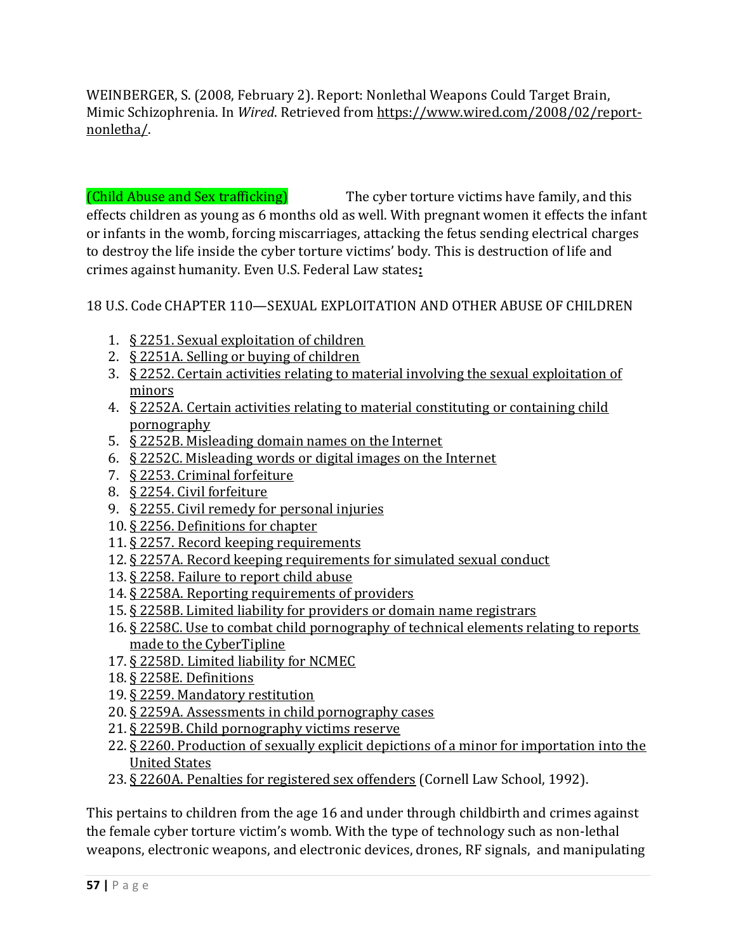WEINBERGER, S. (2008, February 2). Report: Nonlethal Weapons Could Target Brain, Mimic Schizophrenia. In *Wired*. Retrieved from [https://www.wired.com/2008/02/report](https://www.wired.com/2008/02/report-nonletha/)[nonletha/.](https://www.wired.com/2008/02/report-nonletha/) 

(Child Abuse and Sex trafficking) The cyber torture victims have family, and this effects children as young as 6 months old as well. With pregnant women it effects the infant or infants in the womb, forcing miscarriages, attacking the fetus sending electrical charges to destroy the life inside the cyber torture victims' body. This is destruction of life and crimes against humanity. Even U.S. Federal Law states**:**

18 U.S. Code CHAPTER 110—SEXUAL EXPLOITATION AND OTHER ABUSE OF CHILDREN

- 1. [§ 2251. Sexual exploitation of children](https://www.law.cornell.edu/uscode/text/18/2251)
- 2. [§ 2251A. Selling or buying of children](https://www.law.cornell.edu/uscode/text/18/2251A)
- 3. [§ 2252. Certain activities relating to material involving the sexual exploitation of](https://www.law.cornell.edu/uscode/text/18/2252)  [minors](https://www.law.cornell.edu/uscode/text/18/2252)
- 4. [§ 2252A. Certain activities relating to material constituting or containing child](https://www.law.cornell.edu/uscode/text/18/2252A)  [pornography](https://www.law.cornell.edu/uscode/text/18/2252A)
- 5. [§ 2252B. Misleading domain names on the Internet](https://www.law.cornell.edu/uscode/text/18/2252B)
- 6. [§ 2252C. Misleading words or digital images on the Internet](https://www.law.cornell.edu/uscode/text/18/2252C)
- 7. [§ 2253. Criminal forfeiture](https://www.law.cornell.edu/uscode/text/18/2253)
- 8. [§ 2254. Civil forfeiture](https://www.law.cornell.edu/uscode/text/18/2254)
- 9. [§ 2255. Civil remedy for personal injuries](https://www.law.cornell.edu/uscode/text/18/2255)
- 10. [§ 2256. Definitions for chapter](https://www.law.cornell.edu/uscode/text/18/2256)
- 11. [§ 2257. Record keeping requirement](https://www.law.cornell.edu/uscode/text/18/2257)s
- 12. [§ 2257A. Record keeping requirements for simulated sexual conduct](https://www.law.cornell.edu/uscode/text/18/2257A)
- 13. [§ 2258. Failure to report child abuse](https://www.law.cornell.edu/uscode/text/18/2258)
- 14. [§ 2258A. Reporting requirements of providers](https://www.law.cornell.edu/uscode/text/18/2258A)
- 15. [§ 2258B. Limited liability for providers or domain name registrars](https://www.law.cornell.edu/uscode/text/18/2258B)
- 16. [§ 2258C. Use to combat child pornography of technical elements relating to reports](https://www.law.cornell.edu/uscode/text/18/2258C)  [made to the CyberTipline](https://www.law.cornell.edu/uscode/text/18/2258C)
- 17. [§ 2258D. Limited liability for NCMEC](https://www.law.cornell.edu/uscode/text/18/2258D)
- 18. [§ 2258E. Definitions](https://www.law.cornell.edu/uscode/text/18/2258E)
- 19. [§ 2259. Mandatory restitution](https://www.law.cornell.edu/uscode/text/18/2259)
- 20. [§ 2259A. Assessments in ch](https://www.law.cornell.edu/uscode/text/18/2259A)ild pornography cases
- 21. [§ 2259B. Child pornography victims reserve](https://www.law.cornell.edu/uscode/text/18/2259B)
- 22. [§ 2260. Production of sexually explicit depictions of a minor for importation into the](https://www.law.cornell.edu/uscode/text/18/2260)  [United States](https://www.law.cornell.edu/uscode/text/18/2260)
- 23. § 2260A. Penalties for registered sex offenders (Cornell Law School, 1992).

This pertains to children from the age 16 and under through childbirth and crimes against the female cyber torture victim's womb. With the type of technology such as non-lethal weapons, electronic weapons, and electronic devices, drones, RF signals, and manipulating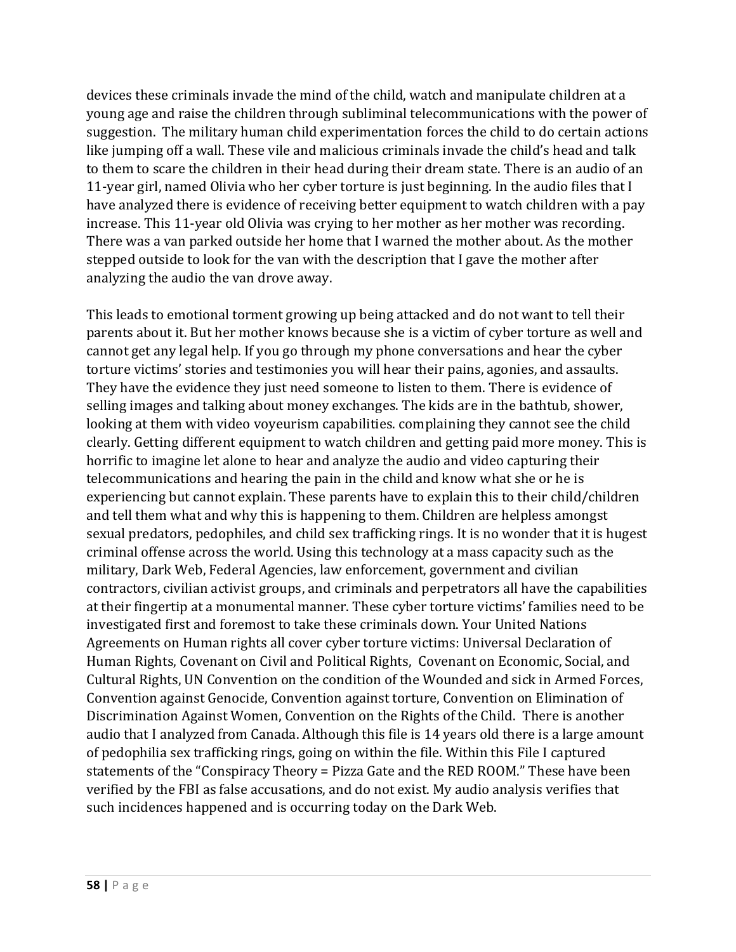devices these criminals invade the mind of the child, watch and manipulate children at a young age and raise the children through subliminal telecommunications with the power of suggestion. The military human child experimentation forces the child to do certain actions like jumping off a wall. These vile and malicious criminals invade the child's head and talk to them to scare the children in their head during their dream state. There is an audio of an 11-year girl, named Olivia who her cyber torture is just beginning. In the audio files that I have analyzed there is evidence of receiving better equipment to watch children with a pay increase. This 11-year old Olivia was crying to her mother as her mother was recording. There was a van parked outside her home that I warned the mother about. As the mother stepped outside to look for the van with the description that I gave the mother after analyzing the audio the van drove away.

This leads to emotional torment growing up being attacked and do not want to tell their parents about it. But her mother knows because she is a victim of cyber torture as well and cannot get any legal help. If you go through my phone conversations and hear the cyber torture victims' stories and testimonies you will hear their pains, agonies, and assaults. They have the evidence they just need someone to listen to them. There is evidence of selling images and talking about money exchanges. The kids are in the bathtub, shower, looking at them with video voyeurism capabilities. complaining they cannot see the child clearly. Getting different equipment to watch children and getting paid more money. This is horrific to imagine let alone to hear and analyze the audio and video capturing their telecommunications and hearing the pain in the child and know what she or he is experiencing but cannot explain. These parents have to explain this to their child/children and tell them what and why this is happening to them. Children are helpless amongst sexual predators, pedophiles, and child sex trafficking rings. It is no wonder that it is hugest criminal offense across the world. Using this technology at a mass capacity such as the military, Dark Web, Federal Agencies, law enforcement, government and civilian contractors, civilian activist groups, and criminals and perpetrators all have the capabilities at their fingertip at a monumental manner. These cyber torture victims' families need to be investigated first and foremost to take these criminals down. Your United Nations Agreements on Human rights all cover cyber torture victims: Universal Declaration of Human Rights, Covenant on Civil and Political Rights, Covenant on Economic, Social, and Cultural Rights, UN Convention on the condition of the Wounded and sick in Armed Forces, Convention against Genocide, Convention against torture, Convention on Elimination of Discrimination Against Women, Convention on the Rights of the Child. There is another audio that I analyzed from Canada. Although this file is 14 years old there is a large amount of pedophilia sex trafficking rings, going on within the file. Within this File I captured statements of the "Conspiracy Theory = Pizza Gate and the RED ROOM." These have been verified by the FBI as false accusations, and do not exist. My audio analysis verifies that such incidences happened and is occurring today on the Dark Web.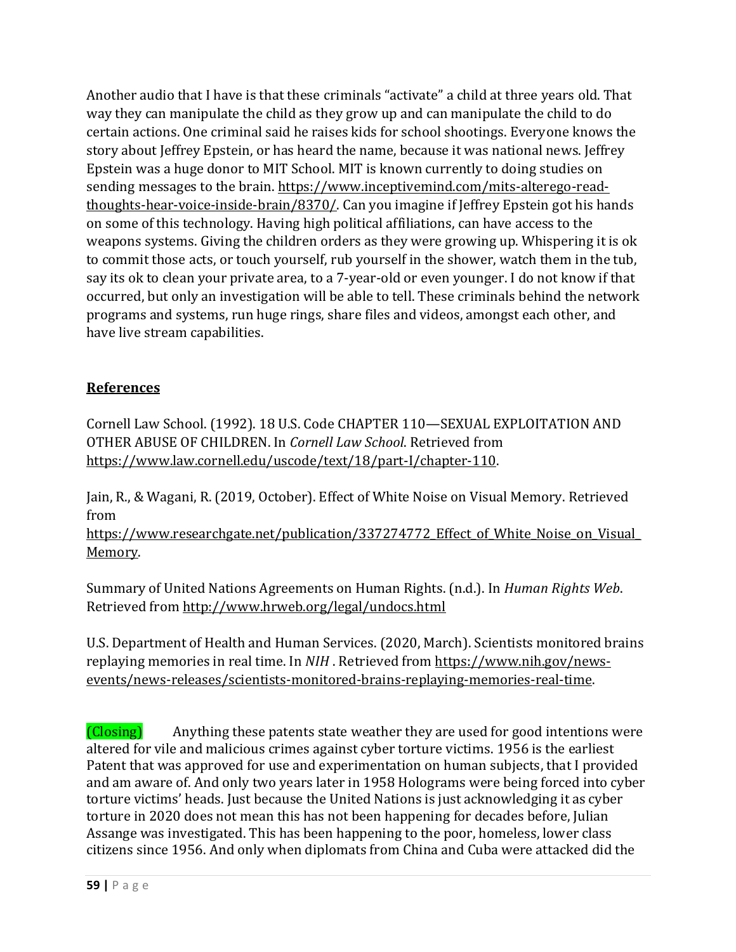Another audio that I have is that these criminals "activate" a child at three years old. That way they can manipulate the child as they grow up and can manipulate the child to do certain actions. One criminal said he raises kids for school shootings. Everyone knows the story about Jeffrey Epstein, or has heard the name, because it was national news. Jeffrey Epstein was a huge donor to MIT School. MIT is known currently to doing studies on sending messages to the brain. [https://www.inceptivemind.com/mits-alterego-read](https://www.inceptivemind.com/mits-alterego-read-thoughts-hear-voice-inside-brain/8370/)[thoughts-hear-voice-inside-brain/8370/.](https://www.inceptivemind.com/mits-alterego-read-thoughts-hear-voice-inside-brain/8370/) Can you imagine if Jeffrey Epstein got his hands on some of this technology. Having high political affiliations, can have access to the weapons systems. Giving the children orders as they were growing up. Whispering it is ok to commit those acts, or touch yourself, rub yourself in the shower, watch them in the tub, say its ok to clean your private area, to a 7-year-old or even younger. I do not know if that occurred, but only an investigation will be able to tell. These criminals behind the network programs and systems, run huge rings, share files and videos, amongst each other, and have live stream capabilities.

# **References**

Cornell Law School. (1992). 18 U.S. Code CHAPTER 110—SEXUAL EXPLOITATION AND OTHER ABUSE OF CHILDREN. In *Cornell Law School*. Retrieved from [https://www.law.cornell.edu/uscode/text/18/part-I/chapter-110.](https://www.law.cornell.edu/uscode/text/18/part-I/chapter-110)

Jain, R., & Wagani, R. (2019, October). Effect of White Noise on Visual Memory. Retrieved from

https://www.researchgate.net/publication/337274772 Effect of White Noise on Visual [Memory.](https://www.researchgate.net/publication/337274772_Effect_of_White_Noise_on_Visual_Memory)

Summary of United Nations Agreements on Human Rights. (n.d.). In *Human Rights Web*. Retrieved from<http://www.hrweb.org/legal/undocs.html>

U.S. Department of Health and Human Services. (2020, March). Scientists monitored brains replaying memories in real time. In *NIH* . Retrieved from [https://www.nih.gov/news](https://www.nih.gov/news-events/news-releases/scientists-monitored-brains-replaying-memories-real-time)[events/news-releases/scientists-monitored-brains-replaying-memories-real-time.](https://www.nih.gov/news-events/news-releases/scientists-monitored-brains-replaying-memories-real-time)

(Closing) Anything these patents state weather they are used for good intentions were altered for vile and malicious crimes against cyber torture victims. 1956 is the earliest Patent that was approved for use and experimentation on human subjects, that I provided and am aware of. And only two years later in 1958 Holograms were being forced into cyber torture victims' heads. Just because the United Nations is just acknowledging it as cyber torture in 2020 does not mean this has not been happening for decades before, Julian Assange was investigated. This has been happening to the poor, homeless, lower class citizens since 1956. And only when diplomats from China and Cuba were attacked did the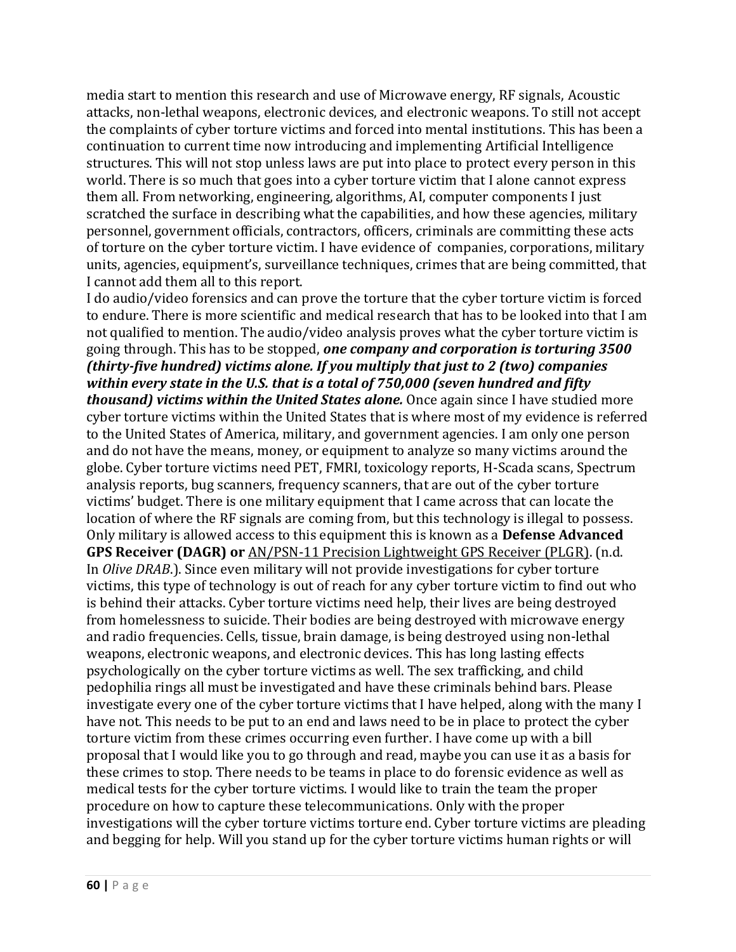media start to mention this research and use of Microwave energy, RF signals, Acoustic attacks, non-lethal weapons, electronic devices, and electronic weapons. To still not accept the complaints of cyber torture victims and forced into mental institutions. This has been a continuation to current time now introducing and implementing Artificial Intelligence structures. This will not stop unless laws are put into place to protect every person in this world. There is so much that goes into a cyber torture victim that I alone cannot express them all. From networking, engineering, algorithms, AI, computer components I just scratched the surface in describing what the capabilities, and how these agencies, military personnel, government officials, contractors, officers, criminals are committing these acts of torture on the cyber torture victim. I have evidence of companies, corporations, military units, agencies, equipment's, surveillance techniques, crimes that are being committed, that I cannot add them all to this report.

I do audio/video forensics and can prove the torture that the cyber torture victim is forced to endure. There is more scientific and medical research that has to be looked into that I am not qualified to mention. The audio/video analysis proves what the cyber torture victim is going through. This has to be stopped, *one company and corporation is torturing 3500 (thirty-five hundred) victims alone. If you multiply that just to 2 (two) companies within every state in the U.S. that is a total of 750,000 (seven hundred and fifty thousand) victims within the United States alone.* Once again since I have studied more cyber torture victims within the United States that is where most of my evidence is referred to the United States of America, military, and government agencies. I am only one person and do not have the means, money, or equipment to analyze so many victims around the globe. Cyber torture victims need PET, FMRI, toxicology reports, H-Scada scans, Spectrum analysis reports, bug scanners, frequency scanners, that are out of the cyber torture victims' budget. There is one military equipment that I came across that can locate the location of where the RF signals are coming from, but this technology is illegal to possess. Only military is allowed access to this equipment this is known as a **Defense Advanced GPS Receiver (DAGR) or** [AN/PSN-11 Precision Lightweight GPS Receiver \(PLGR\).](https://olive-drab.com/od_electronics_gps_plgr.php) (n.d. In *Olive DRAB*.). Since even military will not provide investigations for cyber torture victims, this type of technology is out of reach for any cyber torture victim to find out who is behind their attacks. Cyber torture victims need help, their lives are being destroyed from homelessness to suicide. Their bodies are being destroyed with microwave energy and radio frequencies. Cells, tissue, brain damage, is being destroyed using non-lethal weapons, electronic weapons, and electronic devices. This has long lasting effects psychologically on the cyber torture victims as well. The sex trafficking, and child pedophilia rings all must be investigated and have these criminals behind bars. Please investigate every one of the cyber torture victims that I have helped, along with the many I have not. This needs to be put to an end and laws need to be in place to protect the cyber torture victim from these crimes occurring even further. I have come up with a bill proposal that I would like you to go through and read, maybe you can use it as a basis for these crimes to stop. There needs to be teams in place to do forensic evidence as well as medical tests for the cyber torture victims. I would like to train the team the proper procedure on how to capture these telecommunications. Only with the proper investigations will the cyber torture victims torture end. Cyber torture victims are pleading and begging for help. Will you stand up for the cyber torture victims human rights or will